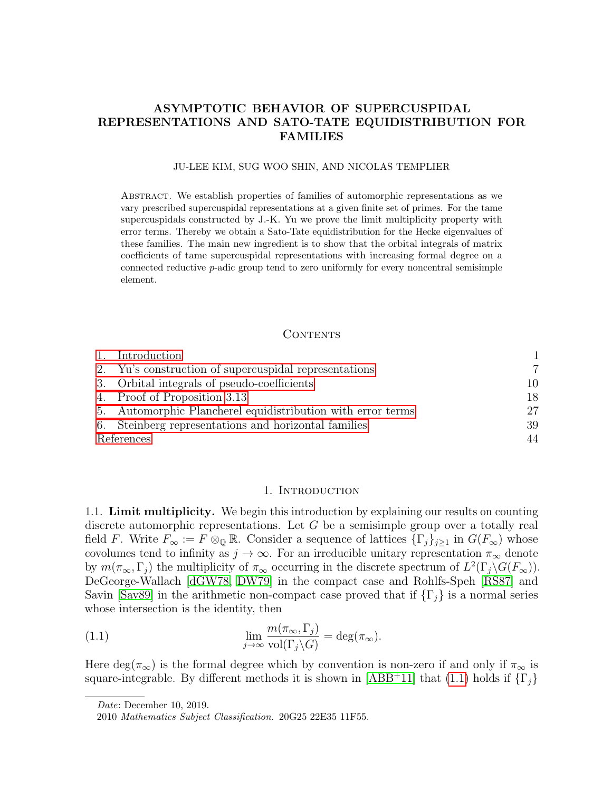# <span id="page-0-3"></span>ASYMPTOTIC BEHAVIOR OF SUPERCUSPIDAL REPRESENTATIONS AND SATO-TATE EQUIDISTRIBUTION FOR FAMILIES

#### JU-LEE KIM, SUG WOO SHIN, AND NICOLAS TEMPLIER

Abstract. We establish properties of families of automorphic representations as we vary prescribed supercuspidal representations at a given finite set of primes. For the tame supercuspidals constructed by J.-K. Yu we prove the limit multiplicity property with error terms. Thereby we obtain a Sato-Tate equidistribution for the Hecke eigenvalues of these families. The main new ingredient is to show that the orbital integrals of matrix coefficients of tame supercuspidal representations with increasing formal degree on a connected reductive  $p$ -adic group tend to zero uniformly for every noncentral semisimple element.

### CONTENTS

|            | 1. Introduction                                             |    |
|------------|-------------------------------------------------------------|----|
|            | 2. Yu's construction of supercuspidal representations       |    |
|            | 3. Orbital integrals of pseudo-coefficients                 | 10 |
|            | 4. Proof of Proposition 3.13                                | 18 |
|            | 5. Automorphic Plancherel equidistribution with error terms | 27 |
|            | 6. Steinberg representations and horizontal families        | 39 |
| References |                                                             | 44 |

### <span id="page-0-1"></span>1. INTRODUCTION

<span id="page-0-2"></span><span id="page-0-0"></span>1.1. Limit multiplicity. We begin this introduction by explaining our results on counting discrete automorphic representations. Let  $G$  be a semisimple group over a totally real field F. Write  $F_{\infty} := F \otimes_{\mathbb{Q}} \mathbb{R}$ . Consider a sequence of lattices  $\{\Gamma_j\}_{j\geq 1}$  in  $G(F_{\infty})$  whose covolumes tend to infinity as  $j \to \infty$ . For an irreducible unitary representation  $\pi_{\infty}$  denote by  $m(\pi_{\infty}, \Gamma_j)$  the multiplicity of  $\pi_{\infty}$  occurring in the discrete spectrum of  $L^2(\Gamma_j \backslash G(F_{\infty}))$ . DeGeorge-Wallach [\[dGW78,](#page-43-1) [DW79\]](#page-43-2) in the compact case and Rohlfs-Speh [\[RS87\]](#page-45-0) and Savin [\[Sav89\]](#page-45-1) in the arithmetic non-compact case proved that if  $\{\Gamma_i\}$  is a normal series whose intersection is the identity, then

(1.1) 
$$
\lim_{j \to \infty} \frac{m(\pi_{\infty}, \Gamma_j)}{\text{vol}(\Gamma_j \backslash G)} = \deg(\pi_{\infty}).
$$

Here deg( $\pi_{\infty}$ ) is the formal degree which by convention is non-zero if and only if  $\pi_{\infty}$  is square-integrable. By different methods it is shown in [\[ABB](#page-43-3)+11] that [\(1.1\)](#page-0-1) holds if  $\{\Gamma_i\}$ 

Date: December 10, 2019.

<sup>2010</sup> Mathematics Subject Classification. 20G25 22E35 11F55.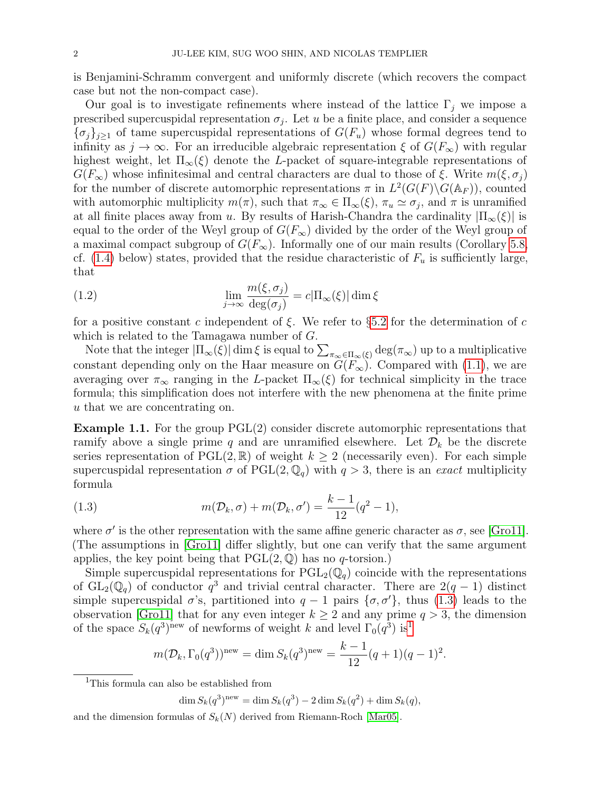is Benjamini-Schramm convergent and uniformly discrete (which recovers the compact case but not the non-compact case).

Our goal is to investigate refinements where instead of the lattice  $\Gamma_i$  we impose a prescribed supercuspidal representation  $\sigma_j$ . Let u be a finite place, and consider a sequence  ${\{\sigma_i\}_{i\geq 1}}$  of tame supercuspidal representations of  $G(F_u)$  whose formal degrees tend to infinity as  $j \to \infty$ . For an irreducible algebraic representation  $\xi$  of  $G(F_{\infty})$  with regular highest weight, let  $\Pi_{\infty}(\xi)$  denote the L-packet of square-integrable representations of  $G(F_{\infty})$  whose infinitesimal and central characters are dual to those of  $\xi$ . Write  $m(\xi, \sigma_i)$ for the number of discrete automorphic representations  $\pi$  in  $L^2(G(F)\backslash G(\mathbb{A}_F))$ , counted with automorphic multiplicity  $m(\pi)$ , such that  $\pi_{\infty} \in \Pi_{\infty}(\xi)$ ,  $\pi_u \simeq \sigma_j$ , and  $\pi$  is unramified at all finite places away from u. By results of Harish-Chandra the cardinality  $|\Pi_{\infty}(\xi)|$  is equal to the order of the Weyl group of  $G(F_{\infty})$  divided by the order of the Weyl group of a maximal compact subgroup of  $G(F_{\infty})$ . Informally one of our main results (Corollary [5.8,](#page-34-0) cf. [\(1.4\)](#page-3-0) below) states, provided that the residue characteristic of  $F_u$  is sufficiently large, that

<span id="page-1-2"></span>(1.2) 
$$
\lim_{j \to \infty} \frac{m(\xi, \sigma_j)}{\deg(\sigma_j)} = c |\Pi_{\infty}(\xi)| \dim \xi
$$

for a positive constant c independent of  $\xi$ . We refer to §[5.2](#page-27-0) for the determination of c which is related to the Tamagawa number of G.

Note that the integer  $|\Pi_{\infty}(\xi)| \dim \xi$  is equal to  $\sum_{\pi_{\infty} \in \Pi_{\infty}(\xi)} \deg(\pi_{\infty})$  up to a multiplicative constant depending only on the Haar measure on  $G(F_{\infty})$ . Compared with [\(1.1\)](#page-0-1), we are averaging over  $\pi_{\infty}$  ranging in the L-packet  $\Pi_{\infty}(\xi)$  for technical simplicity in the trace formula; this simplification does not interfere with the new phenomena at the finite prime u that we are concentrating on.

<span id="page-1-3"></span>Example 1.1. For the group PGL(2) consider discrete automorphic representations that ramify above a single prime q and are unramified elsewhere. Let  $\mathcal{D}_k$  be the discrete series representation of  $PGL(2,\mathbb{R})$  of weight  $k \geq 2$  (necessarily even). For each simple supercuspidal representation  $\sigma$  of PGL $(2, \mathbb{Q}_q)$  with  $q > 3$ , there is an exact multiplicity formula

<span id="page-1-0"></span>(1.3) 
$$
m(\mathcal{D}_k, \sigma) + m(\mathcal{D}_k, \sigma') = \frac{k-1}{12}(q^2 - 1),
$$

where  $\sigma'$  is the other representation with the same affine generic character as  $\sigma$ , see [\[Gro11\]](#page-44-0). (The assumptions in [\[Gro11\]](#page-44-0) differ slightly, but one can verify that the same argument applies, the key point being that  $PGL(2,\mathbb{Q})$  has no q-torsion.)

Simple supercuspidal representations for  $PGL_2(\mathbb{Q}_q)$  coincide with the representations of  $GL_2(\mathbb{Q}_q)$  of conductor  $q^3$  and trivial central character. There are  $2(q-1)$  distinct simple supercuspidal  $\sigma$ 's, partitioned into  $q-1$  pairs  $\{\sigma, \sigma'\}$ , thus [\(1.3\)](#page-1-0) leads to the observation [\[Gro11\]](#page-44-0) that for any even integer  $k \geq 2$  and any prime  $q > 3$ , the dimension of the space  $S_k(q^3)$ <sup>new</sup> of newforms of weight k and level  $\Gamma_0(q^3)$  is<sup>[1](#page-1-1)</sup>

$$
m(\mathcal{D}_k, \Gamma_0(q^3))^{\text{new}} = \dim S_k(q^3)^{\text{new}} = \frac{k-1}{12}(q+1)(q-1)^2.
$$

 $\dim S_k(q^3)^{\text{new}} = \dim S_k(q^3) - 2 \dim S_k(q^2) + \dim S_k(q),$ 

and the dimension formulas of  $S_k(N)$  derived from Riemann-Roch [\[Mar05\]](#page-44-1).

<span id="page-1-1"></span><sup>&</sup>lt;sup>1</sup>This formula can also be established from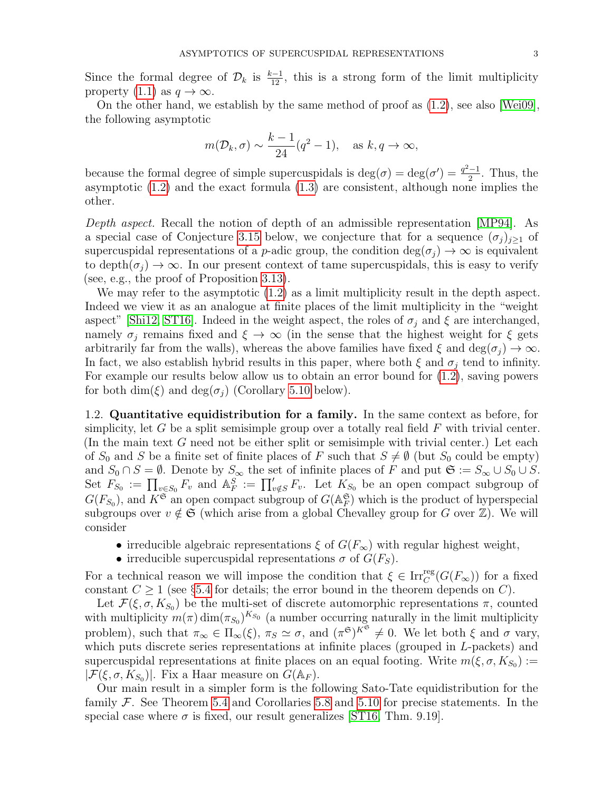Since the formal degree of  $\mathcal{D}_k$  is  $\frac{k-1}{12}$ , this is a strong form of the limit multiplicity property [\(1.1\)](#page-0-1) as  $q \to \infty$ .

On the other hand, we establish by the same method of proof as [\(1.2\)](#page-1-2), see also [\[Wei09\]](#page-45-2), the following asymptotic

$$
m(\mathcal{D}_k, \sigma) \sim \frac{k-1}{24} (q^2 - 1), \text{ as } k, q \to \infty,
$$

because the formal degree of simple supercuspidals is  $deg(\sigma) = deg(\sigma') = \frac{q^2-1}{2}$  $\frac{-1}{2}$ . Thus, the asymptotic [\(1.2\)](#page-1-2) and the exact formula [\(1.3\)](#page-1-0) are consistent, although none implies the other.

Depth aspect. Recall the notion of depth of an admissible representation [\[MP94\]](#page-45-3). As a special case of Conjecture [3.15](#page-16-0) below, we conjecture that for a sequence  $(\sigma_j)_{j\geq 1}$  of supercuspidal representations of a p-adic group, the condition  $\deg(\sigma_i) \to \infty$  is equivalent to depth $(\sigma_i) \to \infty$ . In our present context of tame supercuspidals, this is easy to verify (see, e.g., the proof of Proposition [3.13\)](#page-15-0).

We may refer to the asymptotic [\(1.2\)](#page-1-2) as a limit multiplicity result in the depth aspect. Indeed we view it as an analogue at finite places of the limit multiplicity in the "weight aspect" [\[Shi12,](#page-45-4) [ST16\]](#page-45-5). Indeed in the weight aspect, the roles of  $\sigma_j$  and  $\xi$  are interchanged, namely  $\sigma_j$  remains fixed and  $\xi \to \infty$  (in the sense that the highest weight for  $\xi$  gets arbitrarily far from the walls), whereas the above families have fixed  $\xi$  and  $\deg(\sigma_i) \to \infty$ . In fact, we also establish hybrid results in this paper, where both  $\xi$  and  $\sigma_i$  tend to infinity. For example our results below allow us to obtain an error bound for [\(1.2\)](#page-1-2), saving powers for both dim( $\xi$ ) and deg( $\sigma_i$ ) (Corollary [5.10](#page-35-0) below).

<span id="page-2-0"></span>1.2. Quantitative equidistribution for a family. In the same context as before, for simplicity, let G be a split semisimple group over a totally real field  $F$  with trivial center. (In the main text  $G$  need not be either split or semisimple with trivial center.) Let each of  $S_0$  and S be a finite set of finite places of F such that  $S \neq \emptyset$  (but  $S_0$  could be empty) and  $S_0 \cap S = \emptyset$ . Denote by  $S_{\infty}$  the set of infinite places of F and put  $\mathfrak{S} := S_{\infty} \cup S_0 \cup S$ . Set  $F_{S_0} := \prod_{v \in S_0} F_v$  and  $\mathbb{A}_F^S := \prod'_{v \notin S} F_v$ . Let  $K_{S_0}$  be an open compact subgroup of  $G(F_{S_0})$ , and  $K^{\mathfrak{S}}$  an open compact subgroup of  $G(\mathbb{A}_F^{\mathfrak{S}})$  which is the product of hyperspecial subgroups over  $v \notin \mathfrak{S}$  (which arise from a global Chevalley group for G over  $\mathbb{Z}$ ). We will consider

- irreducible algebraic representations  $\xi$  of  $G(F_{\infty})$  with regular highest weight,
- irreducible supercuspidal representations  $\sigma$  of  $G(F_S)$ .

For a technical reason we will impose the condition that  $\xi \in \text{Irr}_{C}^{\text{reg}}(G(F_{\infty}))$  for a fixed constant  $C \geq 1$  (see §[5.4](#page-29-0) for details; the error bound in the theorem depends on C).

Let  $\mathcal{F}(\xi, \sigma, K_{S_0})$  be the multi-set of discrete automorphic representations  $\pi$ , counted with multiplicity  $m(\pi) \dim(\pi_{S_0})^{K_{S_0}}$  (a number occurring naturally in the limit multiplicity problem), such that  $\pi_{\infty} \in \Pi_{\infty}(\xi)$ ,  $\pi_{S} \simeq \sigma$ , and  $(\pi^{\mathfrak{S}})^{K^{\mathfrak{S}}} \neq 0$ . We let both  $\xi$  and  $\sigma$  vary, which puts discrete series representations at infinite places (grouped in L-packets) and supercuspidal representations at finite places on an equal footing. Write  $m(\xi, \sigma, K_{S_0}) :=$  $|\mathcal{F}(\xi,\sigma,K_{S_0})|$ . Fix a Haar measure on  $G(\mathbb{A}_F)$ .

Our main result in a simpler form is the following Sato-Tate equidistribution for the family  $\mathcal F$ . See Theorem [5.4](#page-32-0) and Corollaries [5.8](#page-34-0) and [5.10](#page-35-0) for precise statements. In the special case where  $\sigma$  is fixed, our result generalizes [\[ST16,](#page-45-5) Thm. 9.19].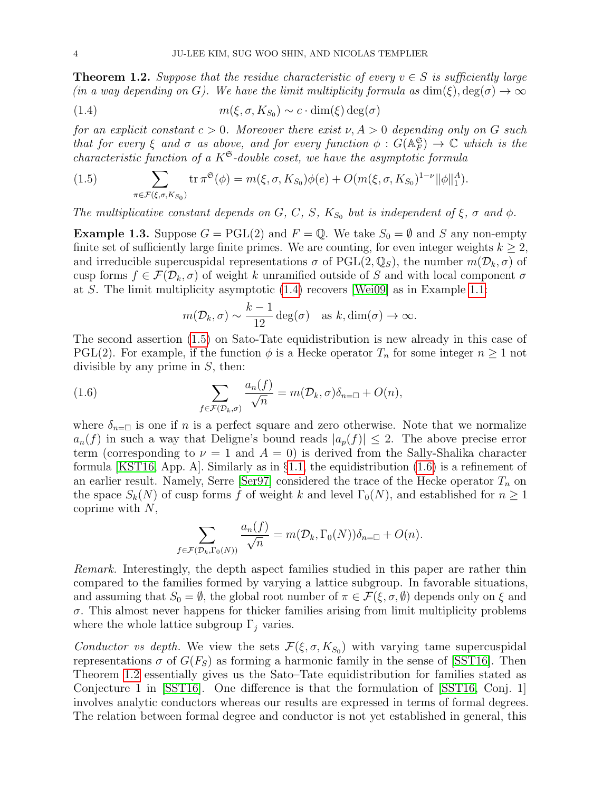<span id="page-3-3"></span>**Theorem 1.2.** Suppose that the residue characteristic of every  $v \in S$  is sufficiently large (in a way depending on G). We have the limit multiplicity formula as  $\dim(\xi)$ ,  $\deg(\sigma) \to \infty$ 

<span id="page-3-0"></span>(1.4) 
$$
m(\xi, \sigma, K_{S_0}) \sim c \cdot \dim(\xi) \deg(\sigma)
$$

for an explicit constant  $c > 0$ . Moreover there exist  $\nu$ ,  $A > 0$  depending only on G such that for every  $\xi$  and  $\sigma$  as above, and for every function  $\phi: G(\mathbb{A}_F^{\mathfrak{S}}) \to \mathbb{C}$  which is the characteristic function of a  $K^{\mathfrak{S}}$ -double coset, we have the asymptotic formula

<span id="page-3-1"></span>(1.5) 
$$
\sum_{\pi \in \mathcal{F}(\xi,\sigma,K_{S_0})} \text{tr } \pi^{\mathfrak{S}}(\phi) = m(\xi,\sigma,K_{S_0})\phi(e) + O(m(\xi,\sigma,K_{S_0})^{1-\nu} \|\phi\|_1^A).
$$

The multiplicative constant depends on G, C, S,  $K_{S_0}$  but is independent of  $\xi$ ,  $\sigma$  and  $\phi$ .

**Example 1.3.** Suppose  $G = \text{PGL}(2)$  and  $F = \mathbb{Q}$ . We take  $S_0 = \emptyset$  and S any non-empty finite set of sufficiently large finite primes. We are counting, for even integer weights  $k \geq 2$ , and irreducible supercuspidal representations  $\sigma$  of PGL(2,  $\mathbb{Q}_s$ ), the number  $m(\mathcal{D}_k, \sigma)$  of cusp forms  $f \in \mathcal{F}(\mathcal{D}_k, \sigma)$  of weight k unramified outside of S and with local component  $\sigma$ at S. The limit multiplicity asymptotic [\(1.4\)](#page-3-0) recovers [\[Wei09\]](#page-45-2) as in Example [1.1:](#page-1-3)

<span id="page-3-2"></span>
$$
m(\mathcal{D}_k, \sigma) \sim \frac{k-1}{12} \deg(\sigma)
$$
 as  $k, \dim(\sigma) \to \infty$ .

The second assertion [\(1.5\)](#page-3-1) on Sato-Tate equidistribution is new already in this case of PGL(2). For example, if the function  $\phi$  is a Hecke operator  $T_n$  for some integer  $n \geq 1$  not divisible by any prime in  $S$ , then:

(1.6) 
$$
\sum_{f \in \mathcal{F}(\mathcal{D}_k, \sigma)} \frac{a_n(f)}{\sqrt{n}} = m(\mathcal{D}_k, \sigma) \delta_{n=0} + O(n),
$$

where  $\delta_{n=\square}$  is one if n is a perfect square and zero otherwise. Note that we normalize  $a_n(f)$  in such a way that Deligne's bound reads  $|a_n(f)| \leq 2$ . The above precise error term (corresponding to  $\nu = 1$  and  $A = 0$ ) is derived from the Sally-Shalika character formula [\[KST16,](#page-44-2) App. A]. Similarly as in §[1.1,](#page-0-2) the equidistribution  $(1.6)$  is a refinement of an earlier result. Namely, Serre [\[Ser97\]](#page-45-6) considered the trace of the Hecke operator  $T_n$  on the space  $S_k(N)$  of cusp forms f of weight k and level  $\Gamma_0(N)$ , and established for  $n \geq 1$ coprime with  $N$ ,

$$
\sum_{f \in \mathcal{F}(\mathcal{D}_k, \Gamma_0(N))} \frac{a_n(f)}{\sqrt{n}} = m(\mathcal{D}_k, \Gamma_0(N)) \delta_{n=0} + O(n).
$$

Remark. Interestingly, the depth aspect families studied in this paper are rather thin compared to the families formed by varying a lattice subgroup. In favorable situations, and assuming that  $S_0 = \emptyset$ , the global root number of  $\pi \in \mathcal{F}(\xi, \sigma, \emptyset)$  depends only on  $\xi$  and  $\sigma$ . This almost never happens for thicker families arising from limit multiplicity problems where the whole lattice subgroup  $\Gamma_i$  varies.

Conductor vs depth. We view the sets  $\mathcal{F}(\xi, \sigma, K_{S_0})$  with varying tame supercuspidal representations  $\sigma$  of  $G(F_S)$  as forming a harmonic family in the sense of [\[SST16\]](#page-45-7). Then Theorem [1.2](#page-3-3) essentially gives us the Sato–Tate equidistribution for families stated as Conjecture 1 in [\[SST16\]](#page-45-7). One difference is that the formulation of [\[SST16,](#page-45-7) Conj. 1] involves analytic conductors whereas our results are expressed in terms of formal degrees. The relation between formal degree and conductor is not yet established in general, this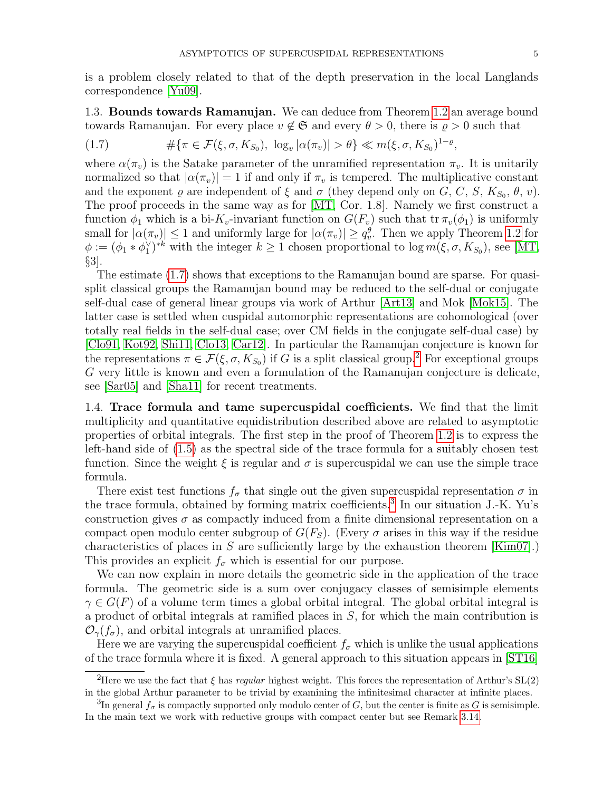is a problem closely related to that of the depth preservation in the local Langlands correspondence [\[Yu09\]](#page-45-8).

1.3. Bounds towards Ramanujan. We can deduce from Theorem [1.2](#page-3-3) an average bound towards Ramanujan. For every place  $v \notin \mathfrak{S}$  and every  $\theta > 0$ , there is  $\rho > 0$  such that

<span id="page-4-0"></span>(1.7) 
$$
\#\{\pi \in \mathcal{F}(\xi,\sigma,K_{S_0}), \log_v |\alpha(\pi_v)| > \theta\} \ll m(\xi,\sigma,K_{S_0})^{1-\varrho},
$$

where  $\alpha(\pi_v)$  is the Satake parameter of the unramified representation  $\pi_v$ . It is unitarily normalized so that  $|\alpha(\pi_v)| = 1$  if and only if  $\pi_v$  is tempered. The multiplicative constant and the exponent  $\varrho$  are independent of  $\xi$  and  $\sigma$  (they depend only on  $G, C, S, K_{S_0}, \theta, v$ ). The proof proceeds in the same way as for [\[MT,](#page-45-9) Cor. 1.8]. Namely we first construct a function  $\phi_1$  which is a bi-K<sub>v</sub>-invariant function on  $G(F_v)$  such that tr  $\pi_v(\phi_1)$  is uniformly small for  $|\alpha(\pi_v)| \leq 1$  and uniformly large for  $|\alpha(\pi_v)| \geq q_v^{\theta}$ . Then we apply Theorem [1.2](#page-3-3) for  $\phi := (\phi_1 * \phi_1^{\vee})^{*k}$  with the integer  $k \ge 1$  chosen proportional to  $\log m(\xi, \sigma, K_{S_0})$ , see [\[MT,](#page-45-9) §3].

The estimate [\(1.7\)](#page-4-0) shows that exceptions to the Ramanujan bound are sparse. For quasisplit classical groups the Ramanujan bound may be reduced to the self-dual or conjugate self-dual case of general linear groups via work of Arthur [\[Art13\]](#page-43-4) and Mok [\[Mok15\]](#page-45-10). The latter case is settled when cuspidal automorphic representations are cohomological (over totally real fields in the self-dual case; over CM fields in the conjugate self-dual case) by [\[Clo91,](#page-43-5) [Kot92,](#page-44-3) [Shi11,](#page-45-11) [Clo13,](#page-43-6) [Car12\]](#page-43-7). In particular the Ramanujan conjecture is known for the representations  $\pi \in \mathcal{F}(\xi, \sigma, K_{S_0})$  if G is a split classical group.<sup>[2](#page-4-1)</sup> For exceptional groups G very little is known and even a formulation of the Ramanujan conjecture is delicate, see [\[Sar05\]](#page-45-12) and [\[Sha11\]](#page-45-13) for recent treatments.

1.4. Trace formula and tame supercuspidal coefficients. We find that the limit multiplicity and quantitative equidistribution described above are related to asymptotic properties of orbital integrals. The first step in the proof of Theorem [1.2](#page-3-3) is to express the left-hand side of [\(1.5\)](#page-3-1) as the spectral side of the trace formula for a suitably chosen test function. Since the weight  $\xi$  is regular and  $\sigma$  is supercuspidal we can use the simple trace formula.

There exist test functions  $f_{\sigma}$  that single out the given supercuspidal representation  $\sigma$  in the trace formula, obtained by forming matrix coefficients.<sup>[3](#page-4-2)</sup> In our situation J.-K. Yu's construction gives  $\sigma$  as compactly induced from a finite dimensional representation on a compact open modulo center subgroup of  $G(F_S)$ . (Every  $\sigma$  arises in this way if the residue characteristics of places in S are sufficiently large by the exhaustion theorem  $\text{[Kim07]}$ . This provides an explicit  $f_{\sigma}$  which is essential for our purpose.

We can now explain in more details the geometric side in the application of the trace formula. The geometric side is a sum over conjugacy classes of semisimple elements  $\gamma \in G(F)$  of a volume term times a global orbital integral. The global orbital integral is a product of orbital integrals at ramified places in S, for which the main contribution is  $\mathcal{O}_{\gamma}(f_{\sigma})$ , and orbital integrals at unramified places.

Here we are varying the supercuspidal coefficient  $f_{\sigma}$  which is unlike the usual applications of the trace formula where it is fixed. A general approach to this situation appears in [\[ST16\]](#page-45-5)

<span id="page-4-1"></span><sup>&</sup>lt;sup>2</sup>Here we use the fact that  $\xi$  has *regular* highest weight. This forces the representation of Arthur's SL(2) in the global Arthur parameter to be trivial by examining the infinitesimal character at infinite places.

<span id="page-4-2"></span><sup>&</sup>lt;sup>3</sup>In general  $f_{\sigma}$  is compactly supported only modulo center of G, but the center is finite as G is semisimple. In the main text we work with reductive groups with compact center but see Remark [3.14.](#page-16-1)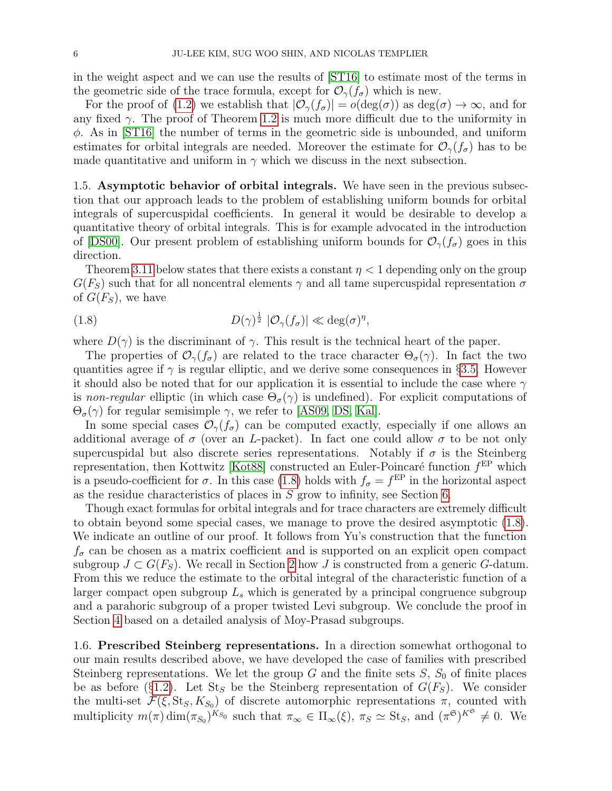in the weight aspect and we can use the results of [\[ST16\]](#page-45-5) to estimate most of the terms in the geometric side of the trace formula, except for  $\mathcal{O}_{\gamma}(f_{\sigma})$  which is new.

For the proof of [\(1.2\)](#page-1-2) we establish that  $|\mathcal{O}_{\gamma}(f_{\sigma})| = o(\deg(\sigma))$  as  $deg(\sigma) \to \infty$ , and for any fixed  $\gamma$ . The proof of Theorem [1.2](#page-3-3) is much more difficult due to the uniformity in  $\phi$ . As in [\[ST16\]](#page-45-5) the number of terms in the geometric side is unbounded, and uniform estimates for orbital integrals are needed. Moreover the estimate for  $\mathcal{O}_{\gamma}(f_{\sigma})$  has to be made quantitative and uniform in  $\gamma$  which we discuss in the next subsection.

1.5. Asymptotic behavior of orbital integrals. We have seen in the previous subsection that our approach leads to the problem of establishing uniform bounds for orbital integrals of supercuspidal coefficients. In general it would be desirable to develop a quantitative theory of orbital integrals. This is for example advocated in the introduction of [\[DS00\]](#page-44-5). Our present problem of establishing uniform bounds for  $\mathcal{O}_{\gamma}(f_{\sigma})$  goes in this direction.

Theorem [3.11](#page-15-1) below states that there exists a constant  $\eta < 1$  depending only on the group  $G(F_S)$  such that for all noncentral elements  $\gamma$  and all tame supercuspidal representation  $\sigma$ of  $G(F_S)$ , we have

<span id="page-5-0"></span>(1.8) 
$$
D(\gamma)^{\frac{1}{2}} |O_{\gamma}(f_{\sigma})| \ll \deg(\sigma)^{\eta},
$$

where  $D(\gamma)$  is the discriminant of  $\gamma$ . This result is the technical heart of the paper.

The properties of  $\mathcal{O}_{\gamma}(f_{\sigma})$  are related to the trace character  $\Theta_{\sigma}(\gamma)$ . In fact the two quantities agree if  $\gamma$  is regular elliptic, and we derive some consequences in §[3.5.](#page-16-2) However it should also be noted that for our application it is essential to include the case where  $\gamma$ is non-regular elliptic (in which case  $\Theta_{\sigma}(\gamma)$  is undefined). For explicit computations of  $\Theta_{\sigma}(\gamma)$  for regular semisimple  $\gamma$ , we refer to [\[AS09,](#page-43-8) [DS,](#page-44-6) [Kal\]](#page-44-7).

In some special cases  $\mathcal{O}_{\gamma}(f_{\sigma})$  can be computed exactly, especially if one allows an additional average of  $\sigma$  (over an L-packet). In fact one could allow  $\sigma$  to be not only supercuspidal but also discrete series representations. Notably if  $\sigma$  is the Steinberg representation, then Kottwitz [\[Kot88\]](#page-44-8) constructed an Euler-Poincaré function  $f<sup>EP</sup>$  which is a pseudo-coefficient for  $\sigma$ . In this case [\(1.8\)](#page-5-0) holds with  $f_{\sigma} = f^{\text{EP}}$  in the horizontal aspect as the residue characteristics of places in  $S$  grow to infinity, see Section [6.](#page-38-0)

Though exact formulas for orbital integrals and for trace characters are extremely difficult to obtain beyond some special cases, we manage to prove the desired asymptotic [\(1.8\)](#page-5-0). We indicate an outline of our proof. It follows from Yu's construction that the function  $f_{\sigma}$  can be chosen as a matrix coefficient and is supported on an explicit open compact subgroup  $J \subset G(F_S)$ . We recall in Section [2](#page-6-0) how J is constructed from a generic G-datum. From this we reduce the estimate to the orbital integral of the characteristic function of a larger compact open subgroup  $L<sub>s</sub>$  which is generated by a principal congruence subgroup and a parahoric subgroup of a proper twisted Levi subgroup. We conclude the proof in Section [4](#page-17-0) based on a detailed analysis of Moy-Prasad subgroups.

1.6. Prescribed Steinberg representations. In a direction somewhat orthogonal to our main results described above, we have developed the case of families with prescribed Steinberg representations. We let the group G and the finite sets  $S$ ,  $S_0$  of finite places be as before (§[1.2\)](#page-2-0). Let  $St_S$  be the Steinberg representation of  $G(F_S)$ . We consider the multi-set  $\mathcal{F}(\xi, \text{St}_S, K_{S_0})$  of discrete automorphic representations  $\pi$ , counted with multiplicity  $m(\pi) \dim_{\pi_{S_0}} K_{S_0}$  such that  $\pi_{\infty} \in \Pi_{\infty}(\xi)$ ,  $\pi_S \simeq \text{St}_S$ , and  $(\pi^{\mathfrak{S}})^{K^{\mathfrak{S}}} \neq 0$ . We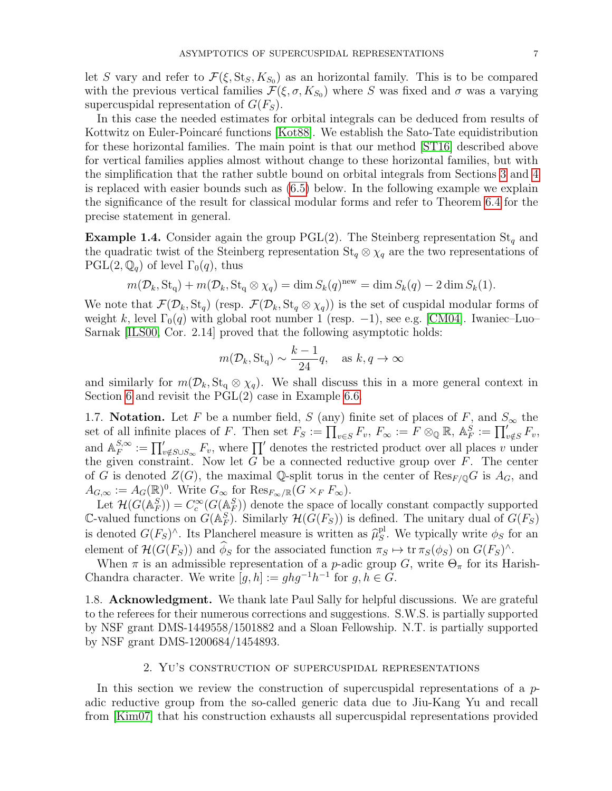let S vary and refer to  $\mathcal{F}(\xi, \text{St}_S, K_{S_0})$  as an horizontal family. This is to be compared with the previous vertical families  $\mathcal{F}(\xi, \sigma, K_{S_0})$  where S was fixed and  $\sigma$  was a varying supercuspidal representation of  $G(F<sub>S</sub>)$ .

In this case the needed estimates for orbital integrals can be deduced from results of Kottwitz on Euler-Poincaré functions [\[Kot88\]](#page-44-8). We establish the Sato-Tate equidistribution for these horizontal families. The main point is that our method [\[ST16\]](#page-45-5) described above for vertical families applies almost without change to these horizontal families, but with the simplification that the rather subtle bound on orbital integrals from Sections [3](#page-9-0) and [4](#page-17-0) is replaced with easier bounds such as [\(6.5\)](#page-40-0) below. In the following example we explain the significance of the result for classical modular forms and refer to Theorem [6.4](#page-39-0) for the precise statement in general.

**Example 1.4.** Consider again the group PGL(2). The Steinberg representation  $St_q$  and the quadratic twist of the Steinberg representation  $St_q \otimes \chi_q$  are the two representations of  $PGL(2,\mathbb{Q}_q)$  of level  $\Gamma_0(q)$ , thus

$$
m(\mathcal{D}_k, \operatorname{St}_q) + m(\mathcal{D}_k, \operatorname{St}_q \otimes \chi_q) = \dim S_k(q)^{\operatorname{new}} = \dim S_k(q) - 2 \dim S_k(1).
$$

We note that  $\mathcal{F}(\mathcal{D}_k, \mathsf{St}_q)$  (resp.  $\mathcal{F}(\mathcal{D}_k, \mathsf{St}_q \otimes \chi_q)$ ) is the set of cuspidal modular forms of weight k, level  $\Gamma_0(q)$  with global root number 1 (resp. -1), see e.g. [\[CM04\]](#page-43-9). Iwaniec–Luo– Sarnak [\[ILS00,](#page-44-9) Cor. 2.14] proved that the following asymptotic holds:

$$
m(\mathcal{D}_k, \text{St}_q) \sim \frac{k-1}{24}q, \text{ as } k, q \to \infty
$$

and similarly for  $m(\mathcal{D}_k, \mathbf{St}_q \otimes \chi_q)$ . We shall discuss this in a more general context in Section [6](#page-38-0) and revisit the  $PGL(2)$  case in Example [6.6.](#page-41-0)

1.7. Notation. Let F be a number field, S (any) finite set of places of F, and  $S_{\infty}$  the set of all infinite places of F. Then set  $F_S := \prod_{v \in S} F_v$ ,  $F_{\infty} := F \otimes_{\mathbb{Q}} \mathbb{R}$ ,  $\mathbb{A}_F^S := \prod_{v \notin S} F_v$ , and  $\mathbb{A}_F^{S,\infty}$  $E_F^{S,\infty} := \prod_{v \notin S \cup S_{\infty}} F_v$ , where  $\prod'$  denotes the restricted product over all places v under the given constraint. Now let  $G$  be a connected reductive group over  $F$ . The center of G is denoted  $Z(G)$ , the maximal Q-split torus in the center of  $\text{Res}_{F\mid Q}G$  is  $A_G$ , and  $A_{G,\infty} := A_G(\mathbb{R})^0$ . Write  $G_{\infty}$  for  $\text{Res}_{F_{\infty}/\mathbb{R}}(G \times_F F_{\infty})$ .

Let  $\mathcal{H}(G(\mathbb{A}_F^S)) = C_c^{\infty}(G(\mathbb{A}_F^S))$  denote the space of locally constant compactly supported C-valued functions on  $G(\mathbb{A}_F^S)$ . Similarly  $\mathcal{H}(G(F_S))$  is defined. The unitary dual of  $G(F_S)$ is denoted  $G(F_S)^\wedge$ . Its Plancherel measure is written as  $\widehat{\mu}_S^{\text{pl}}$ <sup>pl</sup>. We typically write  $\phi_S$  for an element of  $\mathcal{H}(G(F_S))$  and  $\phi_S$  for the associated function  $\pi_S \mapsto \text{tr } \pi_S(\phi_S)$  on  $G(F_S)^{\wedge}$ .

When  $\pi$  is an admissible representation of a *p*-adic group G, write  $\Theta_{\pi}$  for its Harish-Chandra character. We write  $[g, h] := ghg^{-1}h^{-1}$  for  $g, h \in G$ .

1.8. **Acknowledgment.** We thank late Paul Sally for helpful discussions. We are grateful to the referees for their numerous corrections and suggestions. S.W.S. is partially supported by NSF grant DMS-1449558/1501882 and a Sloan Fellowship. N.T. is partially supported by NSF grant DMS-1200684/1454893.

### 2. Yu's construction of supercuspidal representations

<span id="page-6-0"></span>In this section we review the construction of supercuspidal representations of a  $p$ adic reductive group from the so-called generic data due to Jiu-Kang Yu and recall from [\[Kim07\]](#page-44-4) that his construction exhausts all supercuspidal representations provided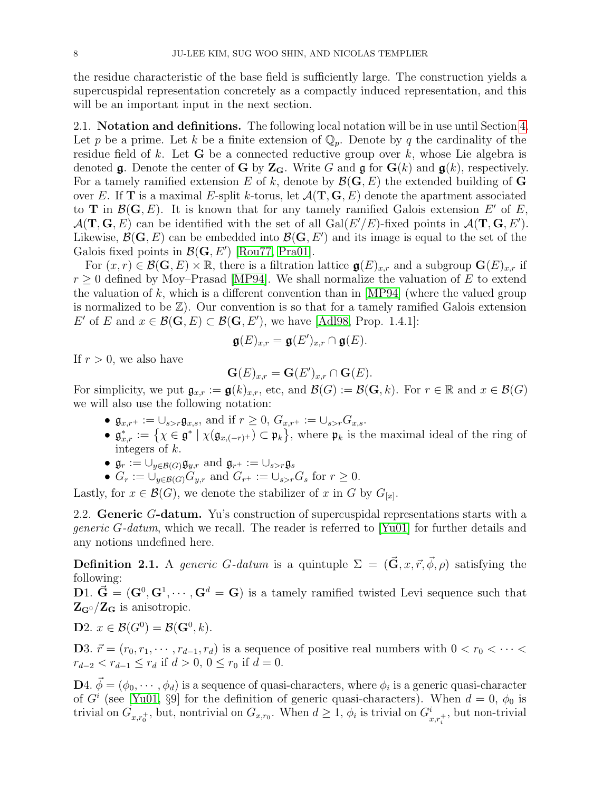the residue characteristic of the base field is sufficiently large. The construction yields a supercuspidal representation concretely as a compactly induced representation, and this will be an important input in the next section.

<span id="page-7-1"></span>2.1. Notation and definitions. The following local notation will be in use until Section [4.](#page-17-0) Let p be a prime. Let k be a finite extension of  $\mathbb{Q}_p$ . Denote by q the cardinality of the residue field of k. Let **G** be a connected reductive group over  $k$ , whose Lie algebra is denoted **g**. Denote the center of **G** by  $\mathbb{Z}_G$ . Write G and **g** for  $\mathbf{G}(k)$  and  $\mathbf{g}(k)$ , respectively. For a tamely ramified extension E of k, denote by  $\mathcal{B}(\mathbf{G}, E)$  the extended building of G over E. If **T** is a maximal E-split k-torus, let  $\mathcal{A}(\mathbf{T}, \mathbf{G}, E)$  denote the apartment associated to **T** in  $\mathcal{B}(\mathbf{G}, E)$ . It is known that for any tamely ramified Galois extension E' of E,  $\mathcal{A}(\mathbf{T},\mathbf{G},E)$  can be identified with the set of all  $Gal(E'/E)$ -fixed points in  $\mathcal{A}(\mathbf{T},\mathbf{G},E')$ . Likewise,  $\mathcal{B}(\mathbf{G}, E)$  can be embedded into  $\mathcal{B}(\mathbf{G}, E')$  and its image is equal to the set of the Galois fixed points in  $\mathcal{B}(\mathbf{G}, E')$  [\[Rou77,](#page-45-14) [Pra01\]](#page-45-15).

For  $(x, r) \in \mathcal{B}(\mathbf{G}, E) \times \mathbb{R}$ , there is a filtration lattice  $\mathfrak{g}(E)_{x,r}$  and a subgroup  $\mathbf{G}(E)_{x,r}$  if  $r \geq 0$  defined by Moy–Prasad [\[MP94\]](#page-45-3). We shall normalize the valuation of E to extend the valuation of k, which is a different convention than in  $[MP94]$  (where the valued group is normalized to be  $\mathbb{Z}$ ). Our convention is so that for a tamely ramified Galois extension E' of E and  $x \in \mathcal{B}(\mathbf{G}, E) \subset \mathcal{B}(\mathbf{G}, E')$ , we have [\[Adl98,](#page-43-10) Prop. 1.4.1]:

$$
\mathfrak{g}(E)_{x,r} = \mathfrak{g}(E')_{x,r} \cap \mathfrak{g}(E).
$$

If  $r > 0$ , we also have

$$
\mathbf{G}(E)_{x,r} = \mathbf{G}(E')_{x,r} \cap \mathbf{G}(E).
$$

For simplicity, we put  $\mathfrak{g}_{x,r} := \mathfrak{g}(k)_{x,r}$ , etc, and  $\mathcal{B}(G) := \mathcal{B}(\mathbf{G}, k)$ . For  $r \in \mathbb{R}$  and  $x \in \mathcal{B}(G)$ we will also use the following notation:

- $\mathfrak{g}_{x,r^+} := \bigcup_{s>r} \mathfrak{g}_{x,s}$ , and if  $r \geq 0$ ,  $G_{x,r^+} := \bigcup_{s>r} G_{x,s}$ .
- $\mathfrak{g}_{x,r}^* := \{ \chi \in \mathfrak{g}^* \mid \chi(\mathfrak{g}_{x,(-r)^+}) \subset \mathfrak{p}_k \}$ , where  $\mathfrak{p}_k$  is the maximal ideal of the ring of integers of k.
- $\mathfrak{g}_r := \bigcup_{y \in \mathcal{B}(G)} \mathfrak{g}_{y,r}$  and  $\mathfrak{g}_{r^+} := \bigcup_{s > r} \mathfrak{g}_s$
- $G_r := \bigcup_{y \in \mathcal{B}(G)} G_{y,r}$  and  $G_{r^+} := \bigcup_{s > r} G_s$  for  $r \geq 0$ .

Lastly, for  $x \in \mathcal{B}(G)$ , we denote the stabilizer of x in G by  $G_{[x]}$ .

2.2. Generic G-datum. Yu's construction of supercuspidal representations starts with a *generic G-datum*, which we recall. The reader is referred to [\[Yu01\]](#page-45-16) for further details and any notions undefined here.

<span id="page-7-0"></span>**Definition 2.1.** A generic G-datum is a quintuple  $\Sigma = (\vec{\mathbf{G}}, x, \vec{r}, \vec{\phi}, \rho)$  satisfying the following:

D1.  $\vec{G} = (G^0, G^1, \dots, G^d = G)$  is a tamely ramified twisted Levi sequence such that  $\mathbf{Z}_{\mathbf{G}^0}/\mathbf{Z}_{\mathbf{G}}$  is anisotropic.

**D**2.  $x \in \mathcal{B}(G^0) = \mathcal{B}(\mathbf{G}^0, k)$ .

D3.  $\vec{r} = (r_0, r_1, \dots, r_{d-1}, r_d)$  is a sequence of positive real numbers with  $0 < r_0 < \dots <$  $r_{d-2} < r_{d-1} \leq r_d$  if  $d > 0$ ,  $0 \leq r_0$  if  $d = 0$ .

**D**4.  $\vec{\phi} = (\phi_0, \dots, \phi_d)$  is a sequence of quasi-characters, where  $\phi_i$  is a generic quasi-character of  $G<sup>i</sup>$  (see [\[Yu01,](#page-45-16) §9] for the definition of generic quasi-characters). When  $d = 0$ ,  $\phi_0$  is trivial on  $G_{x,r_0^+}$ , but, nontrivial on  $G_{x,r_0}$ . When  $d \geq 1$ ,  $\phi_i$  is trivial on  $G_{x,r_i^+}^i$ , but non-trivial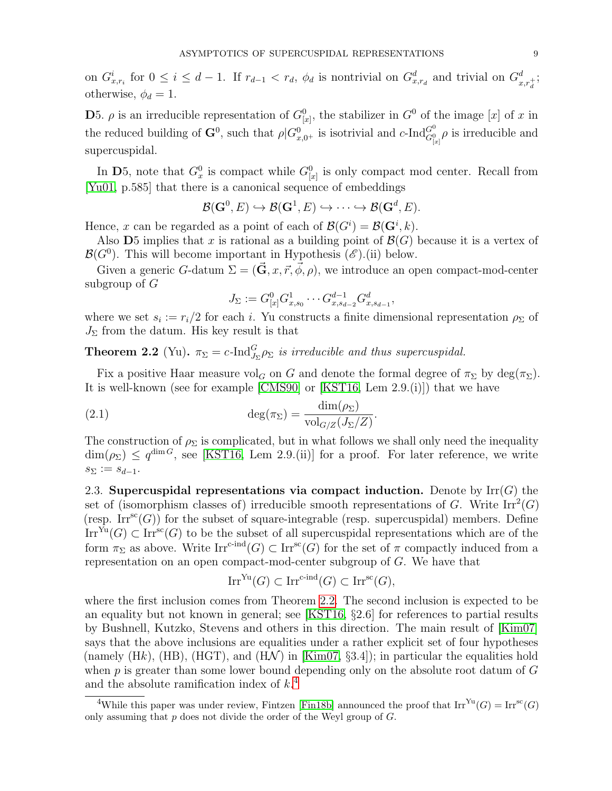on  $G_{x,r_i}^i$  for  $0 \leq i \leq d-1$ . If  $r_{d-1} < r_d$ ,  $\phi_d$  is nontrivial on  $G_{x,r_d}^d$  and trivial on  $G_{x,r_d^i}^d$ ; otherwise,  $\phi_d = 1$ .

**D**5.  $\rho$  is an irreducible representation of  $G_{[x]}^0$ , the stabilizer in  $G^0$  of the image [x] of x in the reduced building of  $\mathbf{G}^0$ , such that  $\rho|G_{x,0+}^0$  is isotrivial and  $c$ -Ind $G_{[x]}^0$   $\rho$  is irreducible and supercuspidal.

In D5, note that  $G_x^0$  is compact while  $G_{[x]}^0$  is only compact mod center. Recall from [\[Yu01,](#page-45-16) p.585] that there is a canonical sequence of embeddings

$$
\mathcal B({\bf G}^0,E)\hookrightarrow \mathcal B({\bf G}^1,E)\hookrightarrow \cdots \hookrightarrow \mathcal B({\bf G}^d,E).
$$

Hence, x can be regarded as a point of each of  $\mathcal{B}(G^i) = \mathcal{B}(\mathbf{G}^i, k)$ .

Also D5 implies that x is rational as a building point of  $\mathcal{B}(G)$  because it is a vertex of  $\mathcal{B}(G^0)$ . This will become important in Hypothesis  $(\mathscr{E})$ .(ii) below.

Given a generic G-datum  $\Sigma = (\vec{G}, x, \vec{r}, \vec{\phi}, \rho)$ , we introduce an open compact-mod-center subgroup of G

<span id="page-8-2"></span>
$$
J_{\Sigma} := G^0_{[x]} G^1_{x,s_0} \cdots G^{d-1}_{x,s_{d-2}} G^d_{x,s_{d-1}},
$$

where we set  $s_i := r_i/2$  for each i. Yu constructs a finite dimensional representation  $\rho_{\Sigma}$  of  $J_{\Sigma}$  from the datum. His key result is that

<span id="page-8-0"></span>**Theorem 2.2** (Yu).  $\pi_{\Sigma} = c$ -Ind ${}_{J_{\Sigma}}^G \rho_{\Sigma}$  is irreducible and thus supercuspidal.

Fix a positive Haar measure vol<sub>G</sub> on G and denote the formal degree of  $\pi_{\Sigma}$  by deg( $\pi_{\Sigma}$ ). It is well-known (see for example [\[CMS90\]](#page-43-11) or [\[KST16,](#page-44-2) Lem 2.9.(i)]) that we have

(2.1) 
$$
\deg(\pi_{\Sigma}) = \frac{\dim(\rho_{\Sigma})}{\text{vol}_{G/Z}(J_{\Sigma}/Z)}.
$$

The construction of  $\rho_{\Sigma}$  is complicated, but in what follows we shall only need the inequality  $\dim(\rho_{\Sigma}) \leq q^{\dim G}$ , see [\[KST16,](#page-44-2) Lem 2.9.(ii)] for a proof. For later reference, we write  $s_{\Sigma} := s_{d-1}.$ 

<span id="page-8-3"></span>2.3. Supercuspidal representations via compact induction. Denote by  $\text{Irr}(G)$  the set of (isomorphism classes of) irreducible smooth representations of G. Write  $\text{Irr}^2(G)$ (resp.  $\text{Irr}^{\text{sc}}(G)$ ) for the subset of square-integrable (resp. supercuspidal) members. Define  $\text{Irr}^{\text{Yu}}(G) \subset \text{Irr}^{\text{sc}}(G)$  to be the subset of all supercuspidal representations which are of the form  $\pi_{\Sigma}$  as above. Write  $\text{Irr}^{\text{c-ind}}(G) \subset \text{Irr}^{\text{sc}}(G)$  for the set of  $\pi$  compactly induced from a representation on an open compact-mod-center subgroup of G. We have that

$$
\operatorname{Irr}^{\operatorname{Yu}}(G) \subset \operatorname{Irr}^{\operatorname{c-ind}}(G) \subset \operatorname{Irr}^{\operatorname{sc}}(G),
$$

where the first inclusion comes from Theorem [2.2.](#page-8-0) The second inclusion is expected to be an equality but not known in general; see [\[KST16,](#page-44-2) §2.6] for references to partial results by Bushnell, Kutzko, Stevens and others in this direction. The main result of [\[Kim07\]](#page-44-4) says that the above inclusions are equalities under a rather explicit set of four hypotheses (namely  $(Hk)$ ,  $(HB)$ ,  $(HGT)$ , and  $(H\mathcal{N})$  in [\[Kim07,](#page-44-4) §3.4]); in particular the equalities hold when  $p$  is greater than some lower bound depending only on the absolute root datum of  $G$ and the absolute ramification index of  $k<sup>4</sup>$  $k<sup>4</sup>$  $k<sup>4</sup>$ .

<span id="page-8-1"></span><sup>&</sup>lt;sup>4</sup>While this paper was under review, Fintzen [\[Fin18b\]](#page-44-10) announced the proof that  $\text{Irr}^{\text{Yu}}(G) = \text{Irr}^{\text{sc}}(G)$ only assuming that  $p$  does not divide the order of the Weyl group of  $G$ .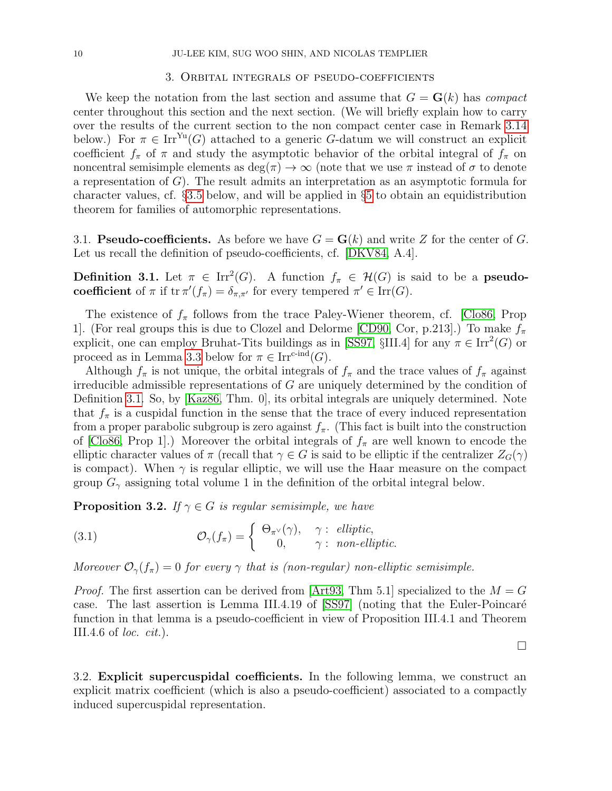### 3. Orbital integrals of pseudo-coefficients

<span id="page-9-0"></span>We keep the notation from the last section and assume that  $G = G(k)$  has *compact* center throughout this section and the next section. (We will briefly explain how to carry over the results of the current section to the non compact center case in Remark [3.14](#page-16-1) below.) For  $\pi \in \text{Irr}^{\text{Yu}}(G)$  attached to a generic G-datum we will construct an explicit coefficient  $f_{\pi}$  of  $\pi$  and study the asymptotic behavior of the orbital integral of  $f_{\pi}$  on noncentral semisimple elements as  $\deg(\pi) \to \infty$  (note that we use  $\pi$  instead of  $\sigma$  to denote a representation of  $G$ ). The result admits an interpretation as an asymptotic formula for character values, cf. §[3.5](#page-16-2) below, and will be applied in §[5](#page-26-0) to obtain an equidistribution theorem for families of automorphic representations.

3.1. **Pseudo-coefficients.** As before we have  $G = G(k)$  and write Z for the center of G. Let us recall the definition of pseudo-coefficients, cf. [\[DKV84,](#page-44-11) A.4].

<span id="page-9-1"></span>**Definition 3.1.** Let  $\pi \in \text{Irr}^2(G)$ . A function  $f_{\pi} \in \mathcal{H}(G)$  is said to be a **pseudo**coefficient of  $\pi$  if  $tr \pi'(f_{\pi}) = \delta_{\pi,\pi'}$  for every tempered  $\pi' \in Irr(G)$ .

The existence of  $f_{\pi}$  follows from the trace Paley-Wiener theorem, cf. [\[Clo86,](#page-43-12) Prop 1]. (For real groups this is due to Clozel and Delorme [\[CD90,](#page-43-13) Cor, p.213].) To make  $f_{\pi}$ explicit, one can employ Bruhat-Tits buildings as in [\[SS97,](#page-45-17) §III.4] for any  $\pi \in \text{Irr}^2(G)$  or proceed as in Lemma [3.3](#page-10-0) below for  $\pi \in \text{Irr}^{\text{c-ind}}(G)$ .

Although  $f_{\pi}$  is not unique, the orbital integrals of  $f_{\pi}$  and the trace values of  $f_{\pi}$  against irreducible admissible representations of  $G$  are uniquely determined by the condition of Definition [3.1.](#page-9-1) So, by [\[Kaz86,](#page-44-12) Thm. 0], its orbital integrals are uniquely determined. Note that  $f_{\pi}$  is a cuspidal function in the sense that the trace of every induced representation from a proper parabolic subgroup is zero against  $f_{\pi}$ . (This fact is built into the construction of [\[Clo86,](#page-43-12) Prop 1].) Moreover the orbital integrals of  $f_{\pi}$  are well known to encode the elliptic character values of  $\pi$  (recall that  $\gamma \in G$  is said to be elliptic if the centralizer  $Z_G(\gamma)$ is compact). When  $\gamma$  is regular elliptic, we will use the Haar measure on the compact group  $G_{\gamma}$  assigning total volume 1 in the definition of the orbital integral below.

<span id="page-9-3"></span>**Proposition 3.2.** If  $\gamma \in G$  is regular semisimple, we have

<span id="page-9-2"></span>(3.1) 
$$
\mathcal{O}_{\gamma}(f_{\pi}) = \begin{cases} \Theta_{\pi^{\vee}}(\gamma), & \gamma : \ \text{elliptic,} \\ 0, & \gamma : \ \text{non-elliptic.} \end{cases}
$$

Moreover  $\mathcal{O}_{\gamma}(f_{\pi})=0$  for every  $\gamma$  that is (non-regular) non-elliptic semisimple.

*Proof.* The first assertion can be derived from [\[Art93,](#page-43-14) Thm 5.1] specialized to the  $M = G$ case. The last assertion is Lemma III.4.19 of  $[SS97]$  (noting that the Euler-Poincaré function in that lemma is a pseudo-coefficient in view of Proposition III.4.1 and Theorem III.4.6 of *loc.*  $cit.$ ).

 $\Box$ 

<span id="page-9-4"></span>3.2. Explicit supercuspidal coefficients. In the following lemma, we construct an explicit matrix coefficient (which is also a pseudo-coefficient) associated to a compactly induced supercuspidal representation.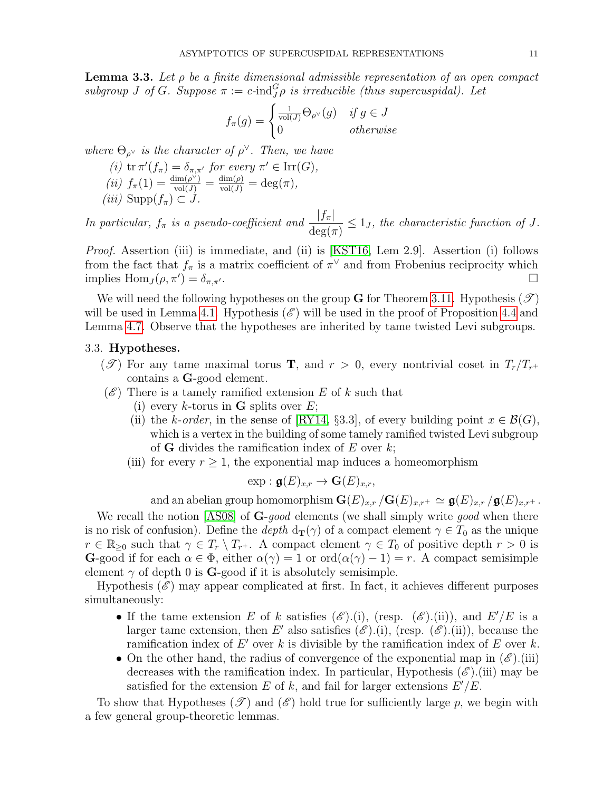<span id="page-10-0"></span>**Lemma 3.3.** Let  $\rho$  be a finite dimensional admissible representation of an open compact subgroup J of G. Suppose  $\pi := c$ -ind ${}^G_J \rho$  is irreducible (thus supercuspidal). Let

$$
f_{\pi}(g) = \begin{cases} \frac{1}{\text{vol}(J)} \Theta_{\rho^{\vee}}(g) & \text{if } g \in J \\ 0 & \text{otherwise} \end{cases}
$$

where  $\Theta_{\rho}$  is the character of  $\rho^{\vee}$ . Then, we have

- (i)  $tr \pi'(f_{\pi}) = \delta_{\pi,\pi'}$  for every  $\pi' \in \text{Irr}(G)$ , (ii)  $f_{\pi}(1) = \frac{\dim(\rho^{\vee})}{\text{vol}(J)} = \frac{\dim(\rho)}{\text{vol}(J)} = \deg(\pi),$
- (iii)  $\text{Supp}(f_\pi) \subset J$ .

In particular,  $f_{\pi}$  is a pseudo-coefficient and  $\frac{|f_{\pi}|}{\deg(\pi)} \leq 1_J$ , the characteristic function of J.

Proof. Assertion (iii) is immediate, and (ii) is [\[KST16,](#page-44-2) Lem 2.9]. Assertion (i) follows from the fact that  $f_{\pi}$  is a matrix coefficient of  $\pi^{\vee}$  and from Frobenius reciprocity which implies  $\text{Hom}_J(\rho, \pi') = \delta_{\pi, \pi'}$ .  $) = \delta_{\pi,\pi'}$ .

We will need the following hypotheses on the group G for Theorem [3.11.](#page-15-1) Hypothesis  $(\mathscr{T})$ will be used in Lemma [4.1.](#page-18-0) Hypothesis  $(\mathscr{E})$  will be used in the proof of Proposition [4.4](#page-19-0) and Lemma [4.7.](#page-20-0) Observe that the hypotheses are inherited by tame twisted Levi subgroups.

# 3.3. Hypotheses.

- (T) For any tame maximal torus **T**, and  $r > 0$ , every nontrivial coset in  $T_r/T_{r^+}$ contains a G-good element.
- $(\mathscr{E})$  There is a tamely ramified extension E of k such that
	- (i) every k-torus in **G** splits over  $E$ ;
	- (ii) the k-order, in the sense of [\[RY14,](#page-45-18) §3.3], of every building point  $x \in \mathcal{B}(G)$ , which is a vertex in the building of some tamely ramified twisted Levi subgroup of **G** divides the ramification index of E over  $k$ ;
	- (iii) for every  $r \geq 1$ , the exponential map induces a homeomorphism

$$
\exp : \mathfrak{g}(E)_{x,r} \to \mathbf{G}(E)_{x,r},
$$

and an abelian group homomorphism  $\mathbf{G}(E)_{x,r}/\mathbf{G}(E)_{x,r^+} \simeq \mathfrak{g}(E)_{x,r}/\mathfrak{g}(E)_{x,r^+}$ .

We recall the notion [\[AS08\]](#page-43-15) of G-good elements (we shall simply write good when there is no risk of confusion). Define the depth  $d_{\mathbf{T}}(\gamma)$  of a compact element  $\gamma \in T_0$  as the unique  $r \in \mathbb{R}_{\geq 0}$  such that  $\gamma \in T_r \setminus T_{r+}$ . A compact element  $\gamma \in T_0$  of positive depth  $r > 0$  is **G**-good if for each  $\alpha \in \Phi$ , either  $\alpha(\gamma) = 1$  or  $\text{ord}(\alpha(\gamma) - 1) = r$ . A compact semisimple element  $\gamma$  of depth 0 is **G**-good if it is absolutely semisimple.

Hypothesis  $(\mathscr{E})$  may appear complicated at first. In fact, it achieves different purposes simultaneously:

- If the tame extension E of k satisfies  $(\mathscr{E})$ .(i), (resp.  $(\mathscr{E})$ .(ii)), and  $E'/E$  is a larger tame extension, then E' also satisfies  $(\mathscr{E}).(i)$ , (resp.  $(\mathscr{E}).(ii)$ ), because the ramification index of  $E'$  over k is divisible by the ramification index of E over k.
- On the other hand, the radius of convergence of the exponential map in  $(\mathscr{E}).$  (iii) decreases with the ramification index. In particular, Hypothesis  $(\mathscr{E})$ .(iii) may be satisfied for the extension E of k, and fail for larger extensions  $E'/E$ .

To show that Hypotheses  $(\mathscr{T})$  and  $(\mathscr{E})$  hold true for sufficiently large p, we begin with a few general group-theoretic lemmas.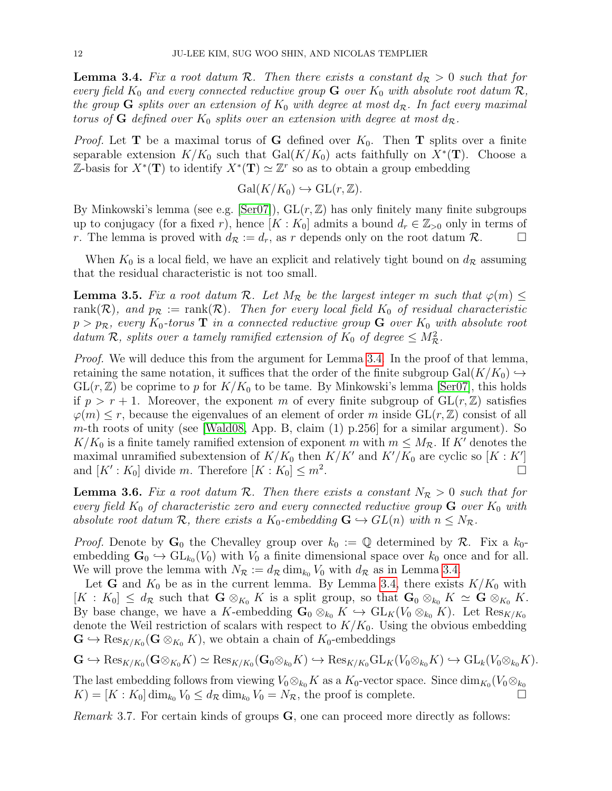<span id="page-11-0"></span>**Lemma 3.4.** Fix a root datum R. Then there exists a constant  $d_R > 0$  such that for every field  $K_0$  and every connected reductive group  $G$  over  $K_0$  with absolute root datum  $\mathcal{R},$ the group G splits over an extension of  $K_0$  with degree at most  $d_{\mathcal{R}}$ . In fact every maximal torus of **G** defined over  $K_0$  splits over an extension with degree at most  $d_{\mathcal{R}}$ .

*Proof.* Let **T** be a maximal torus of **G** defined over  $K_0$ . Then **T** splits over a finite separable extension  $K/K_0$  such that  $Gal(K/K_0)$  acts faithfully on  $X^*(\mathbf{T})$ . Choose a Z-basis for  $X^*(\mathbf{T})$  to identify  $X^*(\mathbf{T}) \simeq \mathbb{Z}^r$  so as to obtain a group embedding

$$
Gal(K/K_0) \hookrightarrow GL(r, \mathbb{Z}).
$$

By Minkowski's lemma (see e.g. [\[Ser07\]](#page-45-19)),  $GL(r, \mathbb{Z})$  has only finitely many finite subgroups up to conjugacy (for a fixed r), hence  $[K: K_0]$  admits a bound  $d_r \in \mathbb{Z}_{>0}$  only in terms of r. The lemma is proved with  $d_{\mathcal{R}} := d_r$ , as r depends only on the root datum  $\mathcal{R}$ .

When  $K_0$  is a local field, we have an explicit and relatively tight bound on  $d_{\mathcal{R}}$  assuming that the residual characteristic is not too small.

<span id="page-11-1"></span>**Lemma 3.5.** Fix a root datum R. Let  $M_R$  be the largest integer m such that  $\varphi(m) \leq$ rank(R), and  $p_{\mathcal{R}} := \text{rank}(\mathcal{R})$ . Then for every local field  $K_0$  of residual characteristic  $p > p_R$ , every  $K_0$ -torus **T** in a connected reductive group **G** over  $K_0$  with absolute root datum R, splits over a tamely ramified extension of  $K_0$  of degree  $\leq M_{\mathcal{R}}^2$ .

*Proof.* We will deduce this from the argument for Lemma [3.4.](#page-11-0) In the proof of that lemma, retaining the same notation, it suffices that the order of the finite subgroup Gal $(K/K_0) \hookrightarrow$  $GL(r, \mathbb{Z})$  be coprime to p for  $K/K_0$  to be tame. By Minkowski's lemma [\[Ser07\]](#page-45-19), this holds if  $p > r + 1$ . Moreover, the exponent m of every finite subgroup of  $GL(r, \mathbb{Z})$  satisfies  $\varphi(m) \leq r$ , because the eigenvalues of an element of order m inside  $GL(r, \mathbb{Z})$  consist of all m-th roots of unity (see [\[Wald08,](#page-45-20) App. B, claim  $(1)$  p.256] for a similar argument). So  $K/K_0$  is a finite tamely ramified extension of exponent m with  $m \leq M_{\mathcal{R}}$ . If K' denotes the maximal unramified subextension of  $K/K_0$  then  $K/K'$  and  $K'/K_0$  are cyclic so  $[K:K']$ and  $[K': K_0]$  divide m. Therefore  $[K: K_0] \leq m^2$ .

**Lemma 3.6.** Fix a root datum R. Then there exists a constant  $N_R > 0$  such that for every field  $K_0$  of characteristic zero and every connected reductive group  $G$  over  $K_0$  with absolute root datum R, there exists a K<sub>0</sub>-embedding  $G \hookrightarrow GL(n)$  with  $n \leq N_{\mathcal{R}}$ .

*Proof.* Denote by  $\mathbf{G}_0$  the Chevalley group over  $k_0 := \mathbb{Q}$  determined by  $\mathcal{R}$ . Fix a  $k_0$ embedding  $\mathbf{G}_0 \hookrightarrow \mathrm{GL}_{k_0}(V_0)$  with  $V_0$  a finite dimensional space over  $k_0$  once and for all. We will prove the lemma with  $N_{\mathcal{R}} := d_{\mathcal{R}} \dim_{k_0} V_0$  with  $d_{\mathcal{R}}$  as in Lemma [3.4.](#page-11-0)

Let G and  $K_0$  be as in the current lemma. By Lemma [3.4,](#page-11-0) there exists  $K/K_0$  with  $[K: K_0] \leq d_{\mathcal{R}}$  such that  $\mathbf{G} \otimes_{K_0} K$  is a split group, so that  $\mathbf{G}_0 \otimes_{k_0} K \simeq \mathbf{G} \otimes_{K_0} K$ . By base change, we have a K-embedding  $\mathbf{G}_0 \otimes_{k_0} K \hookrightarrow GL_K(V_0 \otimes_{k_0} K)$ . Let  $\text{Res}_{K/K_0}$ denote the Weil restriction of scalars with respect to  $K/K_0$ . Using the obvious embedding  $\mathbf{G} \hookrightarrow \text{Res}_{K/K_0}(\mathbf{G} \otimes_{K_0} K)$ , we obtain a chain of  $K_0$ -embeddings

$$
\mathbf{G} \hookrightarrow \text{Res}_{K/K_0}(\mathbf{G} \otimes_{K_0} K) \simeq \text{Res}_{K/K_0}(\mathbf{G}_0 \otimes_{k_0} K) \hookrightarrow \text{Res}_{K/K_0}\text{GL}_K(V_0 \otimes_{k_0} K) \hookrightarrow \text{GL}_k(V_0 \otimes_{k_0} K).
$$

The last embedding follows from viewing  $V_0 \otimes_{k_0} K$  as a  $K_0$ -vector space. Since  $\dim_{K_0}(V_0 \otimes_{k_0} K)$  $K = [K : K_0] \dim_{k_0} V_0 \leq d_{\mathcal{R}} \dim_{k_0} V_0 = N_{\mathcal{R}}$ , the proof is complete.

*Remark* 3.7. For certain kinds of groups **, one can proceed more directly as follows:**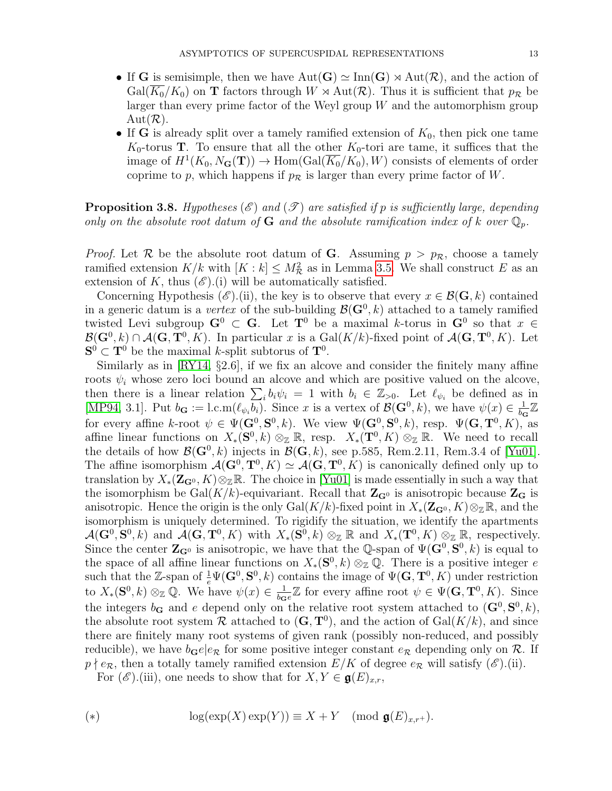- If G is semisimple, then we have  $Aut(G) \simeq \text{Inn}(G) \rtimes Aut(\mathcal{R})$ , and the action of  $Gal(K_0/K_0)$  on **T** factors through  $W \rtimes Aut(\mathcal{R})$ . Thus it is sufficient that  $p_{\mathcal{R}}$  be larger than every prime factor of the Weyl group  $W$  and the automorphism group  $Aut(R)$ .
- If G is already split over a tamely ramified extension of  $K_0$ , then pick one tame  $K_0$ -torus **T**. To ensure that all the other  $K_0$ -tori are tame, it suffices that the image of  $H^1(K_0, N_\mathbf{G}(\mathbf{T})) \to \text{Hom}(\text{Gal}(\overline{K_0}/K_0), W)$  consists of elements of order coprime to p, which happens if  $p_{\mathcal{R}}$  is larger than every prime factor of W.

<span id="page-12-0"></span>**Proposition 3.8.** Hypotheses (E) and (T) are satisfied if p is sufficiently large, depending only on the absolute root datum of G and the absolute ramification index of k over  $\mathbb{Q}_p$ .

*Proof.* Let R be the absolute root datum of G. Assuming  $p > p_R$ , choose a tamely ramified extension  $K/k$  with  $[K : k] \le M_{\mathcal{R}}^2$  as in Lemma [3.5.](#page-11-1) We shall construct E as an extension of K, thus  $(\mathscr{E})$ .(i) will be automatically satisfied.

Concerning Hypothesis (E).(ii), the key is to observe that every  $x \in \mathcal{B}(\mathbf{G}, k)$  contained in a generic datum is a vertex of the sub-building  $\mathcal{B}(\mathbf{G}^0, k)$  attached to a tamely ramified twisted Levi subgroup  $G^0 \subset G$ . Let  $T^0$  be a maximal k-torus in  $G^0$  so that  $x \in$  $\mathcal{B}(\mathbf{G}^0, k) \cap \mathcal{A}(\mathbf{G}, \mathbf{T}^0, K)$ . In particular x is a Gal $(K/k)$ -fixed point of  $\mathcal{A}(\mathbf{G}, \mathbf{T}^0, K)$ . Let  $S^0 \subset T^0$  be the maximal k-split subtorus of  $T^0$ .

Similarly as in  $\left[\text{RY14}, \S2.6\right]$ , if we fix an alcove and consider the finitely many affine roots  $\psi_i$  whose zero loci bound an alcove and which are positive valued on the alcove, then there is a linear relation  $\sum_i b_i \psi_i = 1$  with  $b_i \in \mathbb{Z}_{>0}$ . Let  $\ell_{\psi_i}$  be defined as in [\[MP94,](#page-45-3) 3.1]. Put  $b_{\mathbf{G}} := l.c.m(\ell_{\psi_i}b_i)$ . Since x is a vertex of  $\mathcal{B}(\mathbf{G}^0, k)$ , we have  $\psi(x) \in \frac{1}{bc}$  $\frac{1}{b_{\mathbf{G}}} \mathbb{Z}$ for every affine k-root  $\psi \in \Psi(\mathbf{G}^0, \mathbf{S}^0, k)$ . We view  $\Psi(\mathbf{G}^0, \mathbf{S}^0, k)$ , resp.  $\Psi(\mathbf{G}, \mathbf{T}^0, K)$ , as affine linear functions on  $X_*(\mathbf{S}^0, k) \otimes_{\mathbb{Z}} \mathbb{R}$ , resp.  $X_*(\mathbf{T}^0, K) \otimes_{\mathbb{Z}} \mathbb{R}$ . We need to recall the details of how  $\mathcal{B}(\mathbf{G}^0, k)$  injects in  $\mathcal{B}(\mathbf{G}, k)$ , see p.585, Rem.2.11, Rem.3.4 of [\[Yu01\]](#page-45-16). The affine isomorphism  $\mathcal{A}(\mathbf{G}^0, \mathbf{T}^0, K) \simeq \mathcal{A}(\mathbf{G}, \mathbf{T}^0, K)$  is canonically defined only up to translation by  $X_*(\mathbf{Z}_{\mathbf{G}^0}, K) \otimes_{\mathbb{Z}} \mathbb{R}$ . The choice in [\[Yu01\]](#page-45-16) is made essentially in such a way that the isomorphism be Gal $(K/k)$ -equivariant. Recall that  $\mathbb{Z}_{\mathbb{G}}$  is anisotropic because  $\mathbb{Z}_{\mathbb{G}}$  is anisotropic. Hence the origin is the only  $Gal(K/k)$ -fixed point in  $X_*(\mathbf{Z}_{\mathbf{G}^0}, K)\otimes_{\mathbb{Z}}\mathbb{R}$ , and the isomorphism is uniquely determined. To rigidify the situation, we identify the apartments  $\mathcal{A}(\mathbf{G}^0, \mathbf{S}^0, k)$  and  $\mathcal{A}(\mathbf{G}, \mathbf{T}^0, K)$  with  $X_*(\mathbf{S}^0, k) \otimes_{\mathbb{Z}} \mathbb{R}$  and  $X_*(\mathbf{T}^0, K) \otimes_{\mathbb{Z}} \mathbb{R}$ , respectively. Since the center  $\mathbf{Z}_{\mathbf{G}^0}$  is anisotropic, we have that the Q-span of  $\Psi(\mathbf{G}^0, \mathbf{S}^0, k)$  is equal to the space of all affine linear functions on  $X_*(\mathbf{S}^0, k) \otimes_{\mathbb{Z}} \mathbb{Q}$ . There is a positive integer e such that the Z-span of  $\frac{1}{e}\Psi(\mathbf{G}^0,\mathbf{S}^0,k)$  contains the image of  $\Psi(\mathbf{G},\mathbf{T}^0,K)$  under restriction to  $X_*(\mathbf{S}^0, k) \otimes_{\mathbb{Z}} \mathbb{Q}$ . We have  $\psi(x) \in \frac{1}{b\alpha}$  $\frac{1}{b_{\mathbf{G}}e}\mathbb{Z}$  for every affine root  $\psi \in \Psi(\mathbf{G}, \mathbf{T}^0, K)$ . Since the integers  $b_{\mathbf{G}}$  and e depend only on the relative root system attached to  $(\mathbf{G}^0, \mathbf{S}^0, k)$ , the absolute root system R attached to  $(G, T^0)$ , and the action of  $Gal(K/k)$ , and since there are finitely many root systems of given rank (possibly non-reduced, and possibly reducible), we have  $b_{\mathbf{G}}e|e_{\mathcal{R}}$  for some positive integer constant  $e_{\mathcal{R}}$  depending only on  $\mathcal{R}$ . If  $p \nmid e_R$ , then a totally tamely ramified extension  $E/K$  of degree  $e_R$  will satisfy  $(\mathscr{E})$ .(ii).

For  $(\mathscr{E})$ .(iii), one needs to show that for  $X, Y \in \mathfrak{g}(E)_{x,r}$ ,

(\*) 
$$
\log(\exp(X)\exp(Y)) \equiv X + Y \pmod{\mathfrak{g}(E)_{x,r^+}}.
$$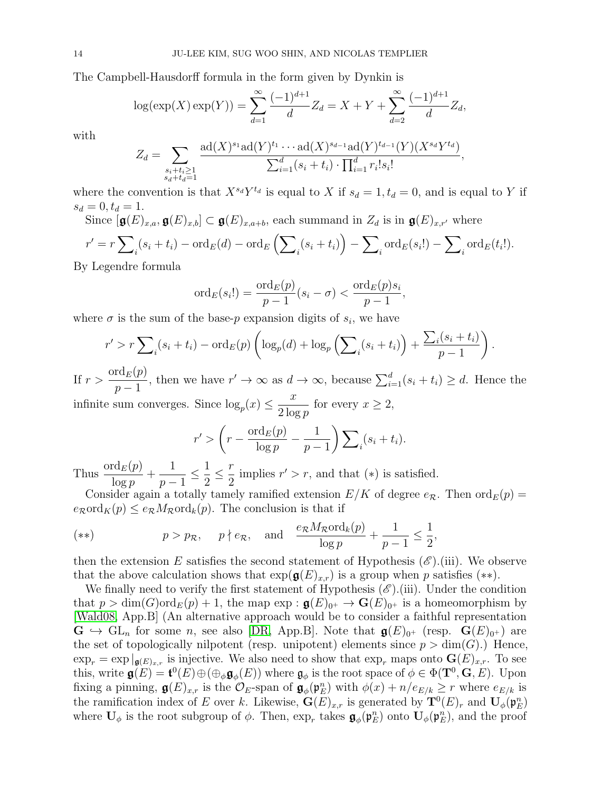The Campbell-Hausdorff formula in the form given by Dynkin is

$$
\log(\exp(X)\exp(Y)) = \sum_{d=1}^{\infty} \frac{(-1)^{d+1}}{d} Z_d = X + Y + \sum_{d=2}^{\infty} \frac{(-1)^{d+1}}{d} Z_d,
$$

with

$$
Z_d = \sum_{\substack{s_i + t_i \geq 1 \\ s_d + t_d = 1}} \frac{\mathrm{ad}(X)^{s_1} \mathrm{ad}(Y)^{t_1} \cdots \mathrm{ad}(X)^{s_{d-1}} \mathrm{ad}(Y)^{t_{d-1}}(Y)(X^{s_d}Y^{t_d})}{\sum_{i=1}^d (s_i + t_i) \cdot \prod_{i=1}^d r_i! s_i!},
$$

where the convention is that  $X^{s_d}Y^{t_d}$  is equal to X if  $s_d = 1, t_d = 0$ , and is equal to Y if  $s_d = 0, t_d = 1.$ 

Since  $[g(E)_{x,a}, g(E)_{x,b}] \subset g(E)_{x,a+b}$ , each summand in  $Z_d$  is in  $g(E)_{x,r'}$  where

$$
r' = r \sum_{i} (s_i + t_i) - \operatorname{ord}_E(d) - \operatorname{ord}_E\left(\sum_{i} (s_i + t_i)\right) - \sum_{i} \operatorname{ord}_E(s_i!) - \sum_{i} \operatorname{ord}_E(t_i!).
$$

By Legendre formula

$$
\mathrm{ord}_E(s_i!)=\frac{\mathrm{ord}_E(p)}{p-1}(s_i-\sigma)<\frac{\mathrm{ord}_E(p)s_i}{p-1},
$$

where  $\sigma$  is the sum of the base-p expansion digits of  $s_i$ , we have

$$
r' > r \sum_{i}(s_i + t_i) - \operatorname{ord}_E(p) \left( \log_p(d) + \log_p\left(\sum_{i}(s_i + t_i)\right) + \frac{\sum_{i}(s_i + t_i)}{p-1} \right)
$$

.

If  $r > \frac{\text{ord}_E(p)}{1}$  $p-1$ , then we have  $r' \to \infty$  as  $d \to \infty$ , because  $\sum_{i=1}^{d} (s_i + t_i) \geq d$ . Hence the infinite sum converges. Since  $\log_p(x) \leq \frac{x}{2 \log x}$  $2 \log p$ for every  $x \geq 2$ ,

$$
r' > \left(r - \frac{\text{ord}_E(p)}{\log p} - \frac{1}{p-1}\right) \sum_i (s_i + t_i).
$$

Thus  $\frac{\text{ord}_E(p)}{1}$  $\log p$  $+$ 1  $p-1$  $\leq \frac{1}{2}$ 2  $\leq \frac{r}{2}$ 2 implies  $r' > r$ , and that  $(*)$  is satisfied.

Consider again a totally tamely ramified extension  $E/K$  of degree  $e_{\mathcal{R}}$ . Then  $\text{ord}_E(p) =$  $e_{\mathcal{R}} \text{ord}_K(p) \leq e_{\mathcal{R}} M_{\mathcal{R}} \text{ord}_k(p)$ . The conclusion is that if

$$
(*) \t p > p_{\mathcal{R}}, \t p \nmid e_{\mathcal{R}}, \text{ and } \frac{e_{\mathcal{R}}M_{\mathcal{R}}\text{ord}_k(p)}{\log p} + \frac{1}{p-1} \le \frac{1}{2},
$$

then the extension E satisfies the second statement of Hypothesis  $(\mathscr{E})$ . (iii). We observe that the above calculation shows that  $\exp(\mathfrak{g}(E)_{x,r})$  is a group when p satisfies (\*\*).

We finally need to verify the first statement of Hypothesis  $(\mathscr{E})$ .(iii). Under the condition that  $p > \dim(G)$  or  $d_E(p) + 1$ , the map  $\exp : \mathfrak{g}(E)_{0^+} \to \mathbf{G}(E)_{0^+}$  is a homeomorphism by [\[Wald08,](#page-45-20) App.B] (An alternative approach would be to consider a faithful representation  $\mathbf{G} \hookrightarrow \mathrm{GL}_n$  for some n, see also [\[DR,](#page-44-13) App.B]. Note that  $\mathfrak{g}(E)_{0^+}$  (resp.  $\mathbf{G}(E)_{0^+}$ ) are the set of topologically nilpotent (resp. unipotent) elements since  $p > dim(G)$ .) Hence,  $\exp_r = \exp \vert_{\mathfrak{g}(E)_{x,r}}$  is injective. We also need to show that  $\exp_r$  maps onto  $\mathbf{G}(E)_{x,r}$ . To see this, write  $\mathbf{g}(E) = \mathbf{t}^0(E) \oplus (\oplus_{\phi} \mathbf{g}_{\phi}(E))$  where  $\mathbf{g}_{\phi}$  is the root space of  $\phi \in \Phi(\mathbf{T}^0, \mathbf{G}, E)$ . Upon fixing a pinning,  $\mathfrak{g}(E)_{x,r}$  is the  $\mathcal{O}_E$ -span of  $\mathfrak{g}_{\phi}(\mathfrak{p}_E^n)$  with  $\phi(x) + n/e_{E/k} \geq r$  where  $e_{E/k}$  is the ramification index of E over k. Likewise,  $\mathbf{G}(E)_{x,r}$  is generated by  $\mathbf{T}^0(E)_r$  and  $\mathbf{U}_{\phi}(\mathfrak{p}_{E}^n)$ where  $\mathbf{U}_{\phi}$  is the root subgroup of  $\phi$ . Then,  $\exp_r$  takes  $\mathbf{g}_{\phi}(\mathfrak{p}_E^n)$  onto  $\mathbf{U}_{\phi}(\mathfrak{p}_E^n)$ , and the proof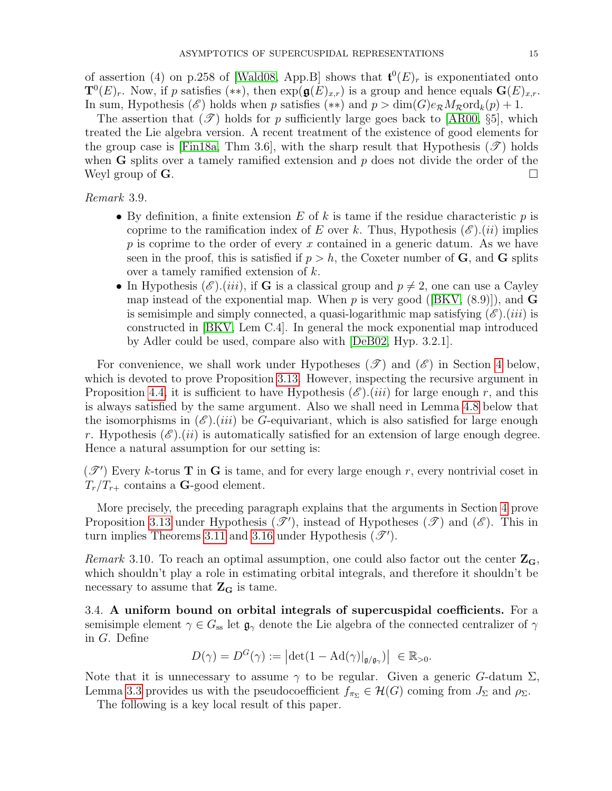of assertion (4) on p.258 of [\[Wald08,](#page-45-20) App.B] shows that  $\mathbf{t}^0(E)_r$  is exponentiated onto  $\mathbf{T}^0(E)_r$ . Now, if p satisfies (\*\*), then  $\exp(\mathbf{g}(E)_{x,r})$  is a group and hence equals  $\mathbf{G}(E)_{x,r}$ . In sum, Hypothesis ( $\mathscr{E}$ ) holds when p satisfies (\*\*) and  $p > \dim(G)e_{\mathcal{R}}M_{\mathcal{R}}\text{ord}_k(p) + 1$ .

The assertion that  $(\mathscr{T})$  holds for p sufficiently large goes back to [\[AR00,](#page-43-16) §5], which treated the Lie algebra version. A recent treatment of the existence of good elements for the group case is [\[Fin18a,](#page-44-14) Thm 3.6], with the sharp result that Hypothesis ( $\mathscr{T}$ ) holds when **G** splits over a tamely ramified extension and  $p$  does not divide the order of the Weyl group of  $\mathbf G$ .

Remark 3.9.

- By definition, a finite extension E of k is tame if the residue characteristic p is coprime to the ramification index of E over k. Thus, Hypothesis  $(\mathscr{E})$ .(ii) implies p is coprime to the order of every x contained in a generic datum. As we have seen in the proof, this is satisfied if  $p > h$ , the Coxeter number of G, and G splits over a tamely ramified extension of k.
- In Hypothesis  $(\mathscr{E}).(iii)$ , if G is a classical group and  $p \neq 2$ , one can use a Cayley mapinstead of the exponential map. When p is very good ([\[BKV,](#page-43-17)  $(8.9)$ ]), and **G** is semisimple and simply connected, a quasi-logarithmic map satisfying  $(\mathscr{E})$ .(*iii*) is constructed in [\[BKV,](#page-43-17) Lem C.4]. In general the mock exponential map introduced by Adler could be used, compare also with [\[DeB02,](#page-44-15) Hyp. 3.2.1].

For convenience, we shall work under Hypotheses  $(\mathscr{T})$  and  $(\mathscr{E})$  in Section [4](#page-17-0) below, which is devoted to prove Proposition [3.13.](#page-15-0) However, inspecting the recursive argument in Proposition [4.4,](#page-19-0) it is sufficient to have Hypothesis  $(\mathscr{E})$ .(*iii*) for large enough r, and this is always satisfied by the same argument. Also we shall need in Lemma [4.8](#page-24-0) below that the isomorphisms in  $(\mathscr{E})$ .(*iii*) be G-equivariant, which is also satisfied for large enough r. Hypothesis  $(\mathscr{E})$ .(*ii*) is automatically satisfied for an extension of large enough degree. Hence a natural assumption for our setting is:

 $(\mathscr{T}')$  Every k-torus **T** in **G** is tame, and for every large enough r, every nontrivial coset in  $T_r/T_{r+}$  contains a **G**-good element.

More precisely, the preceding paragraph explains that the arguments in Section [4](#page-17-0) prove Proposition [3.13](#page-15-0) under Hypothesis  $(\mathscr{T}')$ , instead of Hypotheses  $(\mathscr{T})$  and  $(\mathscr{E})$ . This in turn implies Theorems [3.11](#page-15-1) and [3.16](#page-17-1) under Hypothesis  $(\mathscr{T}')$ .

<span id="page-14-0"></span>Remark 3.10. To reach an optimal assumption, one could also factor out the center  $\mathbb{Z}_{\mathbb{G}}$ , which shouldn't play a role in estimating orbital integrals, and therefore it shouldn't be necessary to assume that  $Z_G$  is tame.

3.4. A uniform bound on orbital integrals of supercuspidal coefficients. For a semisimple element  $\gamma \in G_{ss}$  let  $\mathfrak{g}_{\gamma}$  denote the Lie algebra of the connected centralizer of  $\gamma$ in G. Define

$$
D(\gamma) = D^{G}(\gamma) := \left| \det(1 - \mathrm{Ad}(\gamma)|_{\mathfrak{g}/\mathfrak{g}_{\gamma}}) \right| \in \mathbb{R}_{>0}.
$$

Note that it is unnecessary to assume  $\gamma$  to be regular. Given a generic G-datum  $\Sigma$ , Lemma [3.3](#page-10-0) provides us with the pseudocoefficient  $f_{\pi_{\Sigma}} \in \mathcal{H}(G)$  coming from  $J_{\Sigma}$  and  $\rho_{\Sigma}$ .

The following is a key local result of this paper.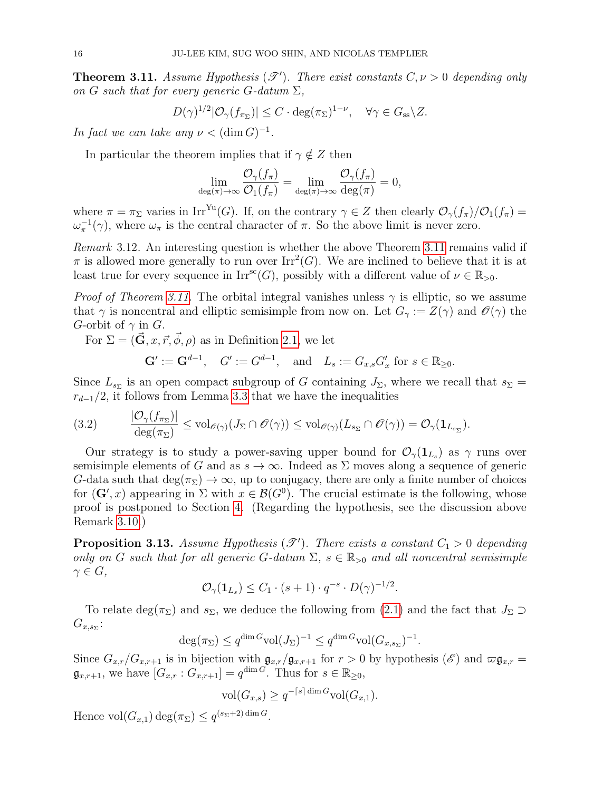<span id="page-15-1"></span>**Theorem 3.11.** Assume Hypothesis  $(\mathscr{T}')$ . There exist constants  $C, \nu > 0$  depending only on G such that for every generic G-datum  $\Sigma$ ,

$$
D(\gamma)^{1/2}|\mathcal{O}_{\gamma}(f_{\pi_{\Sigma}})| \leq C \cdot \deg(\pi_{\Sigma})^{1-\nu}, \quad \forall \gamma \in G_{\mathrm{ss}} \backslash Z.
$$

In fact we can take any  $\nu < (\dim G)^{-1}$ .

In particular the theorem implies that if  $\gamma \notin Z$  then

$$
\lim_{\deg(\pi)\to\infty}\frac{\mathcal{O}_\gamma(f_\pi)}{\mathcal{O}_1(f_\pi)}=\lim_{\deg(\pi)\to\infty}\frac{\mathcal{O}_\gamma(f_\pi)}{\deg(\pi)}=0,
$$

where  $\pi = \pi_{\Sigma}$  varies in Irr<sup>Yu</sup>(G). If, on the contrary  $\gamma \in Z$  then clearly  $\mathcal{O}_{\gamma}(f_{\pi})/\mathcal{O}_{1}(f_{\pi}) =$  $\omega_{\pi}^{-1}(\gamma)$ , where  $\omega_{\pi}$  is the central character of  $\pi$ . So the above limit is never zero.

<span id="page-15-3"></span>Remark 3.12. An interesting question is whether the above Theorem [3.11](#page-15-1) remains valid if  $\pi$  is allowed more generally to run over  $\mathrm{Irr}^2(G)$ . We are inclined to believe that it is at least true for every sequence in  $\text{Irr}^{\text{sc}}(G)$ , possibly with a different value of  $\nu \in \mathbb{R}_{>0}$ .

*Proof of Theorem [3.11.](#page-15-1)* The orbital integral vanishes unless  $\gamma$  is elliptic, so we assume that  $\gamma$  is noncentral and elliptic semisimple from now on. Let  $G_{\gamma} := Z(\gamma)$  and  $\mathscr{O}(\gamma)$  the G-orbit of  $\gamma$  in G.

For  $\Sigma = (\vec{G}, x, \vec{r}, \vec{\phi}, \rho)$  as in Definition [2.1,](#page-7-0) we let

 $\mathbf{G}' := \mathbf{G}^{d-1}, \quad G' := G^{d-1}, \quad \text{and} \quad L_s := G_{x,s} G'_x \text{ for } s \in \mathbb{R}_{\geq 0}.$ 

Since  $L_{s_{\Sigma}}$  is an open compact subgroup of G containing  $J_{\Sigma}$ , where we recall that  $s_{\Sigma} =$  $r_{d-1}/2$ , it follows from Lemma [3.3](#page-10-0) that we have the inequalities

<span id="page-15-2"></span>
$$
(3.2) \qquad \frac{|\mathcal{O}_{\gamma}(f_{\pi_{\Sigma}})|}{\deg(\pi_{\Sigma})} \leq \text{vol}_{\mathscr{O}(\gamma)}(J_{\Sigma} \cap \mathscr{O}(\gamma)) \leq \text{vol}_{\mathscr{O}(\gamma)}(L_{s_{\Sigma}} \cap \mathscr{O}(\gamma)) = \mathcal{O}_{\gamma}(\mathbf{1}_{L_{s_{\Sigma}}}).
$$

Our strategy is to study a power-saving upper bound for  $\mathcal{O}_{\gamma}(1_{L_s})$  as  $\gamma$  runs over semisimple elements of G and as  $s \to \infty$ . Indeed as  $\Sigma$  moves along a sequence of generic G-data such that  $deg(\pi_{\Sigma}) \to \infty$ , up to conjugacy, there are only a finite number of choices for  $(G', x)$  appearing in  $\Sigma$  with  $x \in \mathcal{B}(G^0)$ . The crucial estimate is the following, whose proof is postponed to Section [4.](#page-17-0) (Regarding the hypothesis, see the discussion above Remark [3.10.](#page-14-0))

<span id="page-15-0"></span>**Proposition 3.13.** Assume Hypothesis  $(\mathscr{T}')$ . There exists a constant  $C_1 > 0$  depending only on G such that for all generic G-datum  $\Sigma$ ,  $s \in \mathbb{R}_{>0}$  and all noncentral semisimple  $\gamma \in G$ ,

$$
\mathcal{O}_{\gamma}(\mathbf{1}_{L_s}) \leq C_1 \cdot (s+1) \cdot q^{-s} \cdot D(\gamma)^{-1/2}.
$$

To relate deg( $\pi_{\Sigma}$ ) and  $s_{\Sigma}$ , we deduce the following from [\(2.1\)](#page-8-2) and the fact that  $J_{\Sigma} \supset$  $G_{x,s_{\Sigma}}$ :

$$
\deg(\pi_{\Sigma}) \le q^{\dim G} \text{vol}(J_{\Sigma})^{-1} \le q^{\dim G} \text{vol}(G_{x,s_{\Sigma}})^{-1}.
$$

Since  $G_{x,r}/G_{x,r+1}$  is in bijection with  $\mathfrak{g}_{x,r}/\mathfrak{g}_{x,r+1}$  for  $r > 0$  by hypothesis  $(\mathscr{E})$  and  $\varpi \mathfrak{g}_{x,r} =$  $\mathfrak{g}_{x,r+1}$ , we have  $[G_{x,r}: G_{x,r+1}] = q^{\dim G}$ . Thus for  $s \in \mathbb{R}_{\geq 0}$ ,

$$
\text{vol}(G_{x,s}) \ge q^{-\lceil s \rceil \dim G} \text{vol}(G_{x,1}).
$$

Hence  $\text{vol}(G_{x,1}) \deg(\pi_{\Sigma}) \leq q^{(s_{\Sigma}+2) \dim G}.$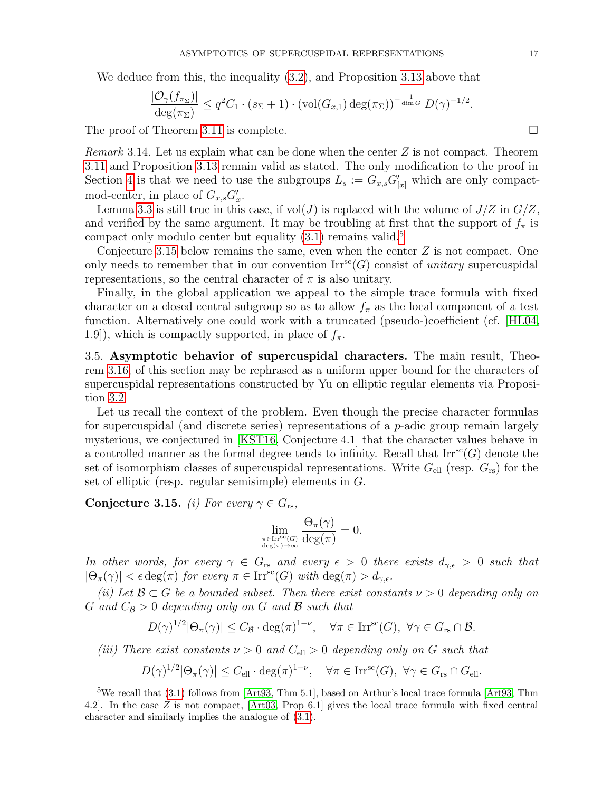We deduce from this, the inequality  $(3.2)$ , and Proposition [3.13](#page-15-0) above that

$$
\frac{|\mathcal{O}_{\gamma}(f_{\pi_{\Sigma}})|}{\deg(\pi_{\Sigma})} \leq q^2 C_1 \cdot (s_{\Sigma} + 1) \cdot (\text{vol}(G_{x,1}) \deg(\pi_{\Sigma}))^{-\frac{1}{\dim G}} D(\gamma)^{-1/2}.
$$

The proof of Theorem [3.11](#page-15-1) is complete.

<span id="page-16-1"></span>*Remark* 3.14. Let us explain what can be done when the center  $Z$  is not compact. Theorem [3.11](#page-15-1) and Proposition [3.13](#page-15-0) remain valid as stated. The only modification to the proof in Section [4](#page-17-0) is that we need to use the subgroups  $L_s := G_{x,s} G'_{[x]}$  which are only compactmod-center, in place of  $G_{x,s}G'_x$ .

Lemma [3.3](#page-10-0) is still true in this case, if  $vol(J)$  is replaced with the volume of  $J/Z$  in  $G/Z$ , and verified by the same argument. It may be troubling at first that the support of  $f_{\pi}$  is compact only modulo center but equality  $(3.1)$  remains valid.<sup>[5](#page-16-3)</sup>

Conjecture [3.15](#page-16-0) below remains the same, even when the center  $Z$  is not compact. One only needs to remember that in our convention  $\mathrm{Irr}^{\mathrm{sc}}(G)$  consist of unitary supercuspidal representations, so the central character of  $\pi$  is also unitary.

Finally, in the global application we appeal to the simple trace formula with fixed character on a closed central subgroup so as to allow  $f_{\pi}$  as the local component of a test function. Alternatively one could work with a truncated (pseudo-)coefficient (cf. [\[HL04,](#page-44-16) 1.9]), which is compactly supported, in place of  $f_{\pi}$ .

<span id="page-16-2"></span>3.5. Asymptotic behavior of supercuspidal characters. The main result, Theorem [3.16,](#page-17-1) of this section may be rephrased as a uniform upper bound for the characters of supercuspidal representations constructed by Yu on elliptic regular elements via Proposition [3.2.](#page-9-3)

Let us recall the context of the problem. Even though the precise character formulas for supercuspidal (and discrete series) representations of a  $p$ -adic group remain largely mysterious, we conjectured in [\[KST16,](#page-44-2) Conjecture 4.1] that the character values behave in a controlled manner as the formal degree tends to infinity. Recall that  $\text{Irr}^{\text{sc}}(G)$  denote the set of isomorphism classes of supercuspidal representations. Write  $G_{\text{ell}}$  (resp.  $G_{\text{rs}}$ ) for the set of elliptic (resp. regular semisimple) elements in G.

<span id="page-16-0"></span>Conjecture 3.15. (i) For every  $\gamma \in G_{rs}$ ,

$$
\lim_{\substack{\pi \in \text{Irr}^{\text{sc}}(G) \\ \deg(\pi) \to \infty}} \frac{\Theta_{\pi}(\gamma)}{\deg(\pi)} = 0.
$$

In other words, for every  $\gamma \in G_{rs}$  and every  $\epsilon > 0$  there exists  $d_{\gamma,\epsilon} > 0$  such that  $|\Theta_{\pi}(\gamma)| < \epsilon \deg(\pi)$  for every  $\pi \in \text{Irr}^{\text{sc}}(G)$  with  $\deg(\pi) > d_{\gamma,\epsilon}$ .

(ii) Let  $\mathcal{B} \subset G$  be a bounded subset. Then there exist constants  $\nu > 0$  depending only on G and  $C_B > 0$  depending only on G and B such that

$$
D(\gamma)^{1/2} |\Theta_{\pi}(\gamma)| \leq C_{\mathcal{B}} \cdot \deg(\pi)^{1-\nu}, \quad \forall \pi \in \text{Irr}^{\text{sc}}(G), \ \forall \gamma \in G_{\text{rs}} \cap \mathcal{B}.
$$

(iii) There exist constants  $\nu > 0$  and  $C_{\text{ell}} > 0$  depending only on G such that

$$
D(\gamma)^{1/2} |\Theta_{\pi}(\gamma)| \leq C_{\text{ell}} \cdot \deg(\pi)^{1-\nu}, \quad \forall \pi \in \text{Irr}^{\text{sc}}(G), \ \forall \gamma \in G_{\text{rs}} \cap G_{\text{ell}}.
$$

<span id="page-16-3"></span><sup>5</sup>We recall that [\(3.1\)](#page-9-2) follows from [\[Art93,](#page-43-14) Thm 5.1], based on Arthur's local trace formula [\[Art93,](#page-43-14) Thm 4.2]. In the case Z is not compact, [\[Art03,](#page-43-18) Prop 6.1] gives the local trace formula with fixed central character and similarly implies the analogue of [\(3.1\)](#page-9-2).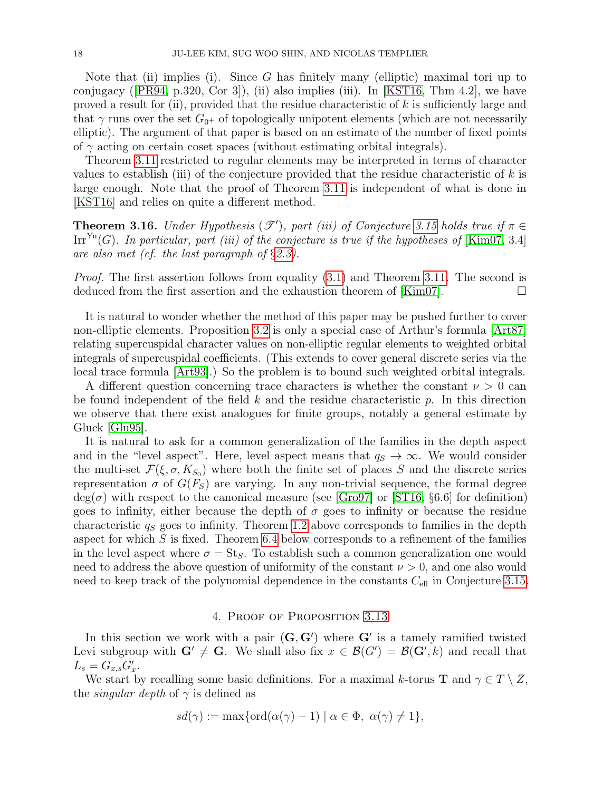Note that (ii) implies (i). Since G has finitely many (elliptic) maximal tori up to conjugacy( $[PR94, p.320, Cor 3]$  $[PR94, p.320, Cor 3]$ ), (ii) also implies (iii). In [\[KST16,](#page-44-2) Thm 4.2], we have proved a result for (ii), provided that the residue characteristic of  $k$  is sufficiently large and that  $\gamma$  runs over the set  $G_{0^+}$  of topologically unipotent elements (which are not necessarily elliptic). The argument of that paper is based on an estimate of the number of fixed points of  $\gamma$  acting on certain coset spaces (without estimating orbital integrals).

Theorem [3.11](#page-15-1) restricted to regular elements may be interpreted in terms of character values to establish (iii) of the conjecture provided that the residue characteristic of  $k$  is large enough. Note that the proof of Theorem [3.11](#page-15-1) is independent of what is done in [\[KST16\]](#page-44-2) and relies on quite a different method.

<span id="page-17-1"></span>**Theorem 3.16.** Under Hypothesis  $(\mathscr{T}')$ , part (iii) of Conjecture [3.15](#page-16-0) holds true if  $\pi \in$ Irr<sup>Yu</sup>(G). In particular, part (iii) of the conjecture is true if the hypotheses of [\[Kim07,](#page-44-4) 3.4] are also met (cf. the last paragraph of §[2.3\)](#page-8-3).

*Proof.* The first assertion follows from equality [\(3.1\)](#page-9-2) and Theorem [3.11.](#page-15-1) The second is deduced from the first assertion and the exhaustion theorem of [\[Kim07\]](#page-44-4).  $\Box$ 

It is natural to wonder whether the method of this paper may be pushed further to cover non-elliptic elements. Proposition [3.2](#page-9-3) is only a special case of Arthur's formula [\[Art87\]](#page-43-19) relating supercuspidal character values on non-elliptic regular elements to weighted orbital integrals of supercuspidal coefficients. (This extends to cover general discrete series via the local trace formula [\[Art93\]](#page-43-14).) So the problem is to bound such weighted orbital integrals.

A different question concerning trace characters is whether the constant  $\nu > 0$  can be found independent of the field  $k$  and the residue characteristic  $p$ . In this direction we observe that there exist analogues for finite groups, notably a general estimate by Gluck [\[Glu95\]](#page-44-17).

It is natural to ask for a common generalization of the families in the depth aspect and in the "level aspect". Here, level aspect means that  $q_S \to \infty$ . We would consider the multi-set  $\mathcal{F}(\xi, \sigma, K_{S_0})$  where both the finite set of places S and the discrete series representation  $\sigma$  of  $G(F_S)$  are varying. In any non-trivial sequence, the formal degree  $deg(\sigma)$  with respect to the canonical measure (see [\[Gro97\]](#page-44-18) or [\[ST16,](#page-45-5) §6.6] for definition) goes to infinity, either because the depth of  $\sigma$  goes to infinity or because the residue characteristic  $q<sub>S</sub>$  goes to infinity. Theorem [1.2](#page-3-3) above corresponds to families in the depth aspect for which  $S$  is fixed. Theorem [6.4](#page-39-0) below corresponds to a refinement of the families in the level aspect where  $\sigma = St_S$ . To establish such a common generalization one would need to address the above question of uniformity of the constant  $\nu > 0$ , and one also would need to keep track of the polynomial dependence in the constants  $C_{\text{ell}}$  in Conjecture [3.15.](#page-16-0)

# 4. Proof of Proposition [3.13](#page-15-0)

<span id="page-17-0"></span>In this section we work with a pair  $(G, G')$  where G' is a tamely ramified twisted Levi subgroup with  $G' \neq G$ . We shall also fix  $x \in \mathcal{B}(G') = \mathcal{B}(G', k)$  and recall that  $L_s = G_{x,s} G'_x.$ 

We start by recalling some basic definitions. For a maximal k-torus **T** and  $\gamma \in T \setminus Z$ , the *singular depth* of  $\gamma$  is defined as

$$
sd(\gamma) := \max\{\text{ord}(\alpha(\gamma) - 1) \mid \alpha \in \Phi, \ \alpha(\gamma) \neq 1\},\
$$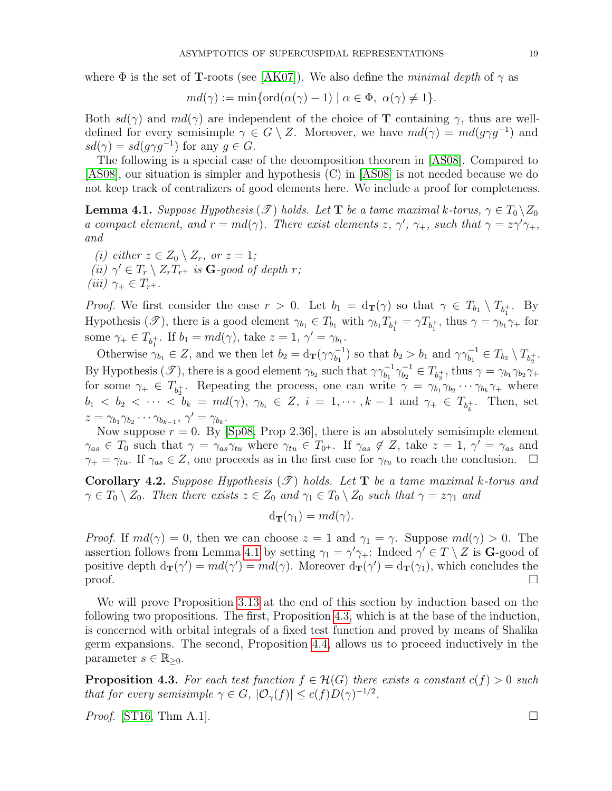where  $\Phi$  is the set of **T**-roots (see [\[AK07\]](#page-43-20)). We also define the *minimal depth* of  $\gamma$  as

$$
md(\gamma) := \min\{\text{ord}(\alpha(\gamma) - 1) \mid \alpha \in \Phi, \ \alpha(\gamma) \neq 1\}.
$$

Both  $sd(\gamma)$  and  $md(\gamma)$  are independent of the choice of **T** containing  $\gamma$ , thus are welldefined for every semisimple  $\gamma \in G \setminus Z$ . Moreover, we have  $md(\gamma) = md(g\gamma g^{-1})$  and  $sd(\gamma) = sd(g\gamma g^{-1})$  for any  $g \in G$ .

The following is a special case of the decomposition theorem in [\[AS08\]](#page-43-15). Compared to [\[AS08\]](#page-43-15), our situation is simpler and hypothesis (C) in [\[AS08\]](#page-43-15) is not needed because we do not keep track of centralizers of good elements here. We include a proof for completeness.

<span id="page-18-0"></span>**Lemma 4.1.** Suppose Hypothesis  $(\mathscr{T})$  holds. Let **T** be a tame maximal k-torus,  $\gamma \in T_0 \setminus Z_0$ a compact element, and  $r = md(\gamma)$ . There exist elements z,  $\gamma'$ ,  $\gamma_+$ , such that  $\gamma = z\gamma'\gamma_+$ , and

(i) either  $z \in Z_0 \setminus Z_r$ , or  $z = 1$ ; (ii)  $\gamma' \in T_r \setminus Z_rT_{r^+}$  is **G**-good of depth r; (iii)  $\gamma_+ \in T_{r^+}.$ 

*Proof.* We first consider the case  $r > 0$ . Let  $b_1 = d_T(\gamma)$  so that  $\gamma \in T_{b_1} \setminus T_{b_1^+}$ . By Hypothesis  $(\mathscr{T})$ , there is a good element  $\gamma_{b_1} \in T_{b_1}$  with  $\gamma_{b_1} T_{b_1^+} = \gamma T_{b_1^+}$ , thus  $\gamma = \gamma_{b_1} \gamma_+$  for some  $\gamma_+ \in T_{b_1^+}$ . If  $b_1 = md(\gamma)$ , take  $z = 1, \gamma' = \gamma_{b_1}$ .

Otherwise  $\gamma_{b_1} \in Z$ , and we then let  $b_2 = d_{\mathbf{T}}(\gamma \gamma_{b_1}^{-1})$  so that  $b_2 > b_1$  and  $\gamma \gamma_{b_1}^{-1} \in T_{b_2} \setminus T_{b_2}$ . By Hypothesis  $(\mathscr{T})$ , there is a good element  $\gamma_{b_2}$  such that  $\gamma \gamma_{b_1}^{-1} \gamma_{b_2}^{-1}$  $\delta_{b_2}^{-1} \in T_{b_2^+}$ , thus  $\gamma = \gamma_{b_1} \gamma_{b_2} \gamma_+$ for some  $\gamma_+ \in T_{b_2^+}$ . Repeating the process, one can write  $\gamma = \gamma_{b_1} \gamma_{b_2} \cdots \gamma_{b_k} \gamma_+$  where  $b_1 < b_2 < \cdots < b_k = md(\gamma)$ ,  $\gamma_{b_i} \in Z$ ,  $i = 1, \cdots, k-1$  and  $\gamma_+ \in T_{b_k^+}$ . Then, set  $z = \gamma_{b_1} \gamma_{b_2} \cdots \gamma_{b_{k-1}}, \gamma' = \gamma_{b_k}.$ 

Now suppose  $r = 0$ . By [\[Sp08,](#page-45-22) Prop 2.36], there is an absolutely semisimple element  $\gamma_{as} \in T_0$  such that  $\gamma = \gamma_{as}\gamma_{tu}$  where  $\gamma_{tu} \in T_0$ . If  $\gamma_{as} \notin Z$ , take  $z = 1, \gamma' = \gamma_{as}$  and  $\gamma_+ = \gamma_{tu}$ . If  $\gamma_{as} \in Z$ , one proceeds as in the first case for  $\gamma_{tu}$  to reach the conclusion.  $\Box$ 

<span id="page-18-2"></span>**Corollary 4.2.** Suppose Hypothesis  $(\mathcal{T})$  holds. Let **T** be a tame maximal k-torus and  $\gamma \in T_0 \setminus Z_0$ . Then there exists  $z \in Z_0$  and  $\gamma_1 \in T_0 \setminus Z_0$  such that  $\gamma = z \gamma_1$  and

$$
\mathrm{d}_{\mathbf{T}}(\gamma_1)=md(\gamma).
$$

*Proof.* If  $md(\gamma) = 0$ , then we can choose  $z = 1$  and  $\gamma_1 = \gamma$ . Suppose  $md(\gamma) > 0$ . The assertion follows from Lemma [4.1](#page-18-0) by setting  $\gamma_1 = \gamma' \gamma_+$ : Indeed  $\gamma' \in T \setminus Z$  is **G**-good of positive depth  $d_{\mathbf{T}}(\gamma') = md(\gamma)$ . Moreover  $d_{\mathbf{T}}(\gamma') = d_{\mathbf{T}}(\gamma_1)$ , which concludes the  $\Box$ 

We will prove Proposition [3.13](#page-15-0) at the end of this section by induction based on the following two propositions. The first, Proposition [4.3,](#page-18-1) which is at the base of the induction, is concerned with orbital integrals of a fixed test function and proved by means of Shalika germ expansions. The second, Proposition [4.4,](#page-19-0) allows us to proceed inductively in the parameter  $s \in \mathbb{R}_{\geq 0}$ .

<span id="page-18-1"></span>**Proposition 4.3.** For each test function  $f \in \mathcal{H}(G)$  there exists a constant  $c(f) > 0$  such that for every semisimple  $\gamma \in G$ ,  $|\mathcal{O}_{\gamma}(f)| \leq c(f)D(\gamma)^{-1/2}$ .

*Proof.* [\[ST16,](#page-45-5) Thm A.1].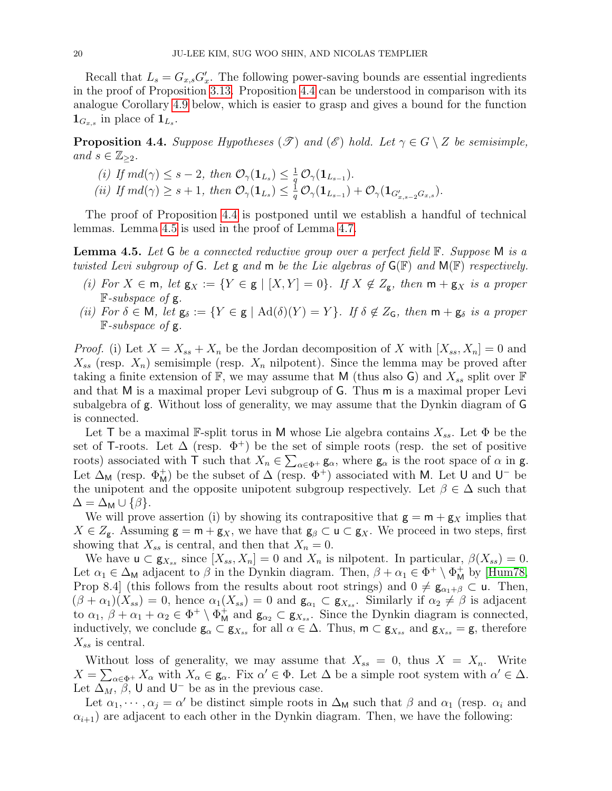Recall that  $L_s = G_{x,s} G'_x$ . The following power-saving bounds are essential ingredients in the proof of Proposition [3.13.](#page-15-0) Proposition [4.4](#page-19-0) can be understood in comparison with its analogue Corollary [4.9](#page-25-0) below, which is easier to grasp and gives a bound for the function  $\mathbf{1}_{G_{x,s}}$  in place of  $\mathbf{1}_{L_s}$ .

<span id="page-19-0"></span>**Proposition 4.4.** Suppose Hypotheses  $(\mathscr{T})$  and  $(\mathscr{E})$  hold. Let  $\gamma \in G \setminus Z$  be semisimple, and  $s \in \mathbb{Z}_{\geq 2}$ .

(i) If  $md(\gamma) \leq s-2$ , then  $\mathcal{O}_{\gamma}(1_{L_s}) \leq \frac{1}{a}$  $\frac{1}{q}\,\mathcal{O}_\gamma({\bf 1}_{L_{s-1}}).$ (ii) If  $md(\gamma) \geq s+1$ , then  $\mathcal{O}_{\gamma}(\mathbf{1}_{L_s}) \leq \frac{1}{a}$  $\frac{1}{q}\, \mathcal{O}_\gamma({\bf 1}_{L_{s-1}}) + \mathcal{O}_\gamma({\bf 1}_{G'_{x,s-2}G_{x,s}}).$ 

The proof of Proposition [4.4](#page-19-0) is postponed until we establish a handful of technical lemmas. Lemma [4.5](#page-19-1) is used in the proof of Lemma [4.7.](#page-20-0)

<span id="page-19-1"></span>**Lemma 4.5.** Let G be a connected reductive group over a perfect field  $\mathbb{F}$ . Suppose M is a twisted Levi subgroup of G. Let g and m be the Lie algebras of  $G(\mathbb{F})$  and  $M(\mathbb{F})$  respectively.

- (i) For  $X \in \mathfrak{m}$ , let  $\mathsf{g}_X := \{ Y \in \mathsf{g} \mid [X,Y] = 0 \}$ . If  $X \notin Z_{\mathsf{g}}$ , then  $\mathfrak{m} + \mathsf{g}_X$  is a proper  $F-subspace$  of g.
- (ii) For  $\delta \in M$ , let  $g_{\delta} := \{ Y \in g \mid \text{Ad}(\delta)(Y) = Y \}$ . If  $\delta \notin Z_G$ , then  $m + g_{\delta}$  is a proper  $F-subspace$  of g.

*Proof.* (i) Let  $X = X_{ss} + X_n$  be the Jordan decomposition of X with  $[X_{ss}, X_n] = 0$  and  $X_{ss}$  (resp.  $X_n$ ) semisimple (resp.  $X_n$  nilpotent). Since the lemma may be proved after taking a finite extension of  $\mathbb{F}$ , we may assume that M (thus also G) and  $X_{ss}$  split over  $\mathbb{F}$ and that M is a maximal proper Levi subgroup of G. Thus m is a maximal proper Levi subalgebra of g. Without loss of generality, we may assume that the Dynkin diagram of G is connected.

Let T be a maximal F-split torus in M whose Lie algebra contains  $X_{ss}$ . Let  $\Phi$  be the set of T-roots. Let  $\Delta$  (resp.  $\Phi^+$ ) be the set of simple roots (resp. the set of positive roots) associated with T such that  $X_n \in \sum_{\alpha \in \Phi^+} g_\alpha$ , where  $g_\alpha$  is the root space of  $\alpha$  in g. Let  $\Delta_M$  (resp.  $\Phi_M^+$ ) be the subset of  $\Delta$  (resp.  $\Phi^+$ ) associated with M. Let U and U<sup>-</sup> be the unipotent and the opposite unipotent subgroup respectively. Let  $\beta \in \Delta$  such that  $\Delta = \Delta_M \cup \{\beta\}.$ 

We will prove assertion (i) by showing its contrapositive that  $g = m + g_X$  implies that  $X \in Z_{\mathsf{g}}$ . Assuming  $\mathsf{g} = \mathsf{m} + \mathsf{g}_X$ , we have that  $\mathsf{g}_\beta \subset \mathsf{u} \subset \mathsf{g}_X$ . We proceed in two steps, first showing that  $X_{ss}$  is central, and then that  $X_n = 0$ .

We have  $\mathsf{u} \subset \mathsf{g}_{X_{ss}}$  since  $[X_{ss}, X_n] = 0$  and  $X_n$  is nilpotent. In particular,  $\beta(X_{ss}) = 0$ . Let  $\alpha_1 \in \Delta_M$  adjacent to  $\beta$  in the Dynkin diagram. Then,  $\beta + \alpha_1 \in \Phi^+ \setminus \Phi_M^+$  by [\[Hum78,](#page-44-19) Prop 8.4] (this follows from the results about root strings) and  $0 \neq g_{\alpha_1+\beta} \subset u$ . Then,  $(\beta + \alpha_1)(X_{ss}) = 0$ , hence  $\alpha_1(X_{ss}) = 0$  and  $\mathbf{g}_{\alpha_1} \subset \mathbf{g}_{X_{ss}}$ . Similarly if  $\alpha_2 \neq \beta$  is adjacent to  $\alpha_1, \beta + \alpha_1 + \alpha_2 \in \Phi^+ \setminus \Phi^+_{\mathsf{M}}$  and  $\mathsf{g}_{\alpha_2} \subset \mathsf{g}_{X_{ss}}$ . Since the Dynkin diagram is connected, inductively, we conclude  $\mathsf{g}_{\alpha} \subset \mathsf{g}_{X_{ss}}$  for all  $\alpha \in \Delta$ . Thus,  $\mathsf{m} \subset \mathsf{g}_{X_{ss}}$  and  $\mathsf{g}_{X_{ss}} = \mathsf{g}$ , therefore  $X_{ss}$  is central.

Without loss of generality, we may assume that  $X_{ss} = 0$ , thus  $X = X_n$ . Write  $X = \sum_{\alpha \in \Phi^+} X_\alpha$  with  $X_\alpha \in \mathsf{g}_\alpha$ . Fix  $\alpha' \in \Phi$ . Let  $\Delta$  be a simple root system with  $\alpha' \in \Delta$ . Let  $\Delta_M$ ,  $\beta$ , U and U<sup>-</sup> be as in the previous case.

Let  $\alpha_1, \dots, \alpha_j = \alpha'$  be distinct simple roots in  $\Delta_M$  such that  $\beta$  and  $\alpha_1$  (resp.  $\alpha_i$  and  $\alpha_{i+1}$ ) are adjacent to each other in the Dynkin diagram. Then, we have the following: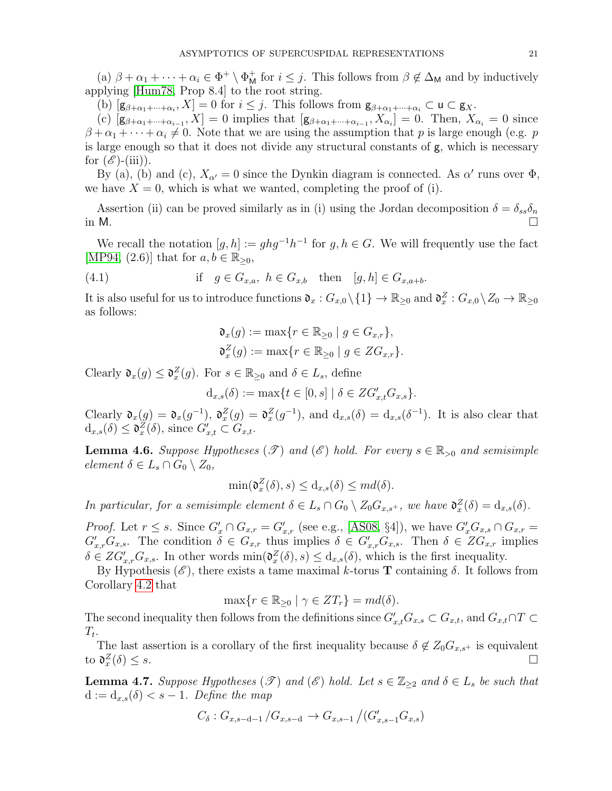(a)  $\beta + \alpha_1 + \cdots + \alpha_i \in \Phi^+ \setminus \Phi^+_{\mathsf{M}}$  for  $i \leq j$ . This follows from  $\beta \notin \Delta_{\mathsf{M}}$  and by inductively applying [\[Hum78,](#page-44-19) Prop 8.4] to the root string.

(b)  $[g_{\beta+\alpha_1+\cdots+\alpha_i}, X] = 0$  for  $i \leq j$ . This follows from  $g_{\beta+\alpha_1+\cdots+\alpha_i} \subset \mathbf{u} \subset g_X$ .

(c)  $[g_{\beta+\alpha_1+\cdots+\alpha_{i-1}}, X] = 0$  implies that  $[g_{\beta+\alpha_1+\cdots+\alpha_{i-1}}, X_{\alpha_i}] = 0$ . Then,  $X_{\alpha_i} = 0$  since  $\beta + \alpha_1 + \cdots + \alpha_i \neq 0$ . Note that we are using the assumption that p is large enough (e.g. p is large enough so that it does not divide any structural constants of g, which is necessary for  $(\mathscr{E})$ -(iii)).

By (a), (b) and (c),  $X_{\alpha'} = 0$  since the Dynkin diagram is connected. As  $\alpha'$  runs over  $\Phi$ , we have  $X = 0$ , which is what we wanted, completing the proof of (i).

Assertion (ii) can be proved similarly as in (i) using the Jordan decomposition  $\delta = \delta_{ss}\delta_n$ in M.  $\Box$ 

We recall the notation  $[g, h] := ghg^{-1}h^{-1}$  for  $g, h \in G$ . We will frequently use the fact [\[MP94,](#page-45-3) (2.6)] that for  $a, b \in \mathbb{R}_{\geq 0}$ ,

(4.1) if 
$$
g \in G_{x,a}
$$
,  $h \in G_{x,b}$  then  $[g,h] \in G_{x,a+b}$ .

It is also useful for us to introduce functions  $\mathfrak{d}_x : G_{x,0} \setminus \{1\} \to \mathbb{R}_{\geq 0}$  and  $\mathfrak{d}_x^Z : G_{x,0} \setminus Z_0 \to \mathbb{R}_{\geq 0}$ as follows:

<span id="page-20-2"></span>
$$
\mathfrak{d}_x(g) := \max\{r \in \mathbb{R}_{\geq 0} \mid g \in G_{x,r}\},
$$
  

$$
\mathfrak{d}_x^Z(g) := \max\{r \in \mathbb{R}_{\geq 0} \mid g \in ZG_{x,r}\}.
$$

Clearly  $\mathfrak{d}_x(g) \leq \mathfrak{d}_x^Z(g)$ . For  $s \in \mathbb{R}_{\geq 0}$  and  $\delta \in L_s$ , define

 $d_{x,s}(\delta) := \max\{t \in [0,s] \mid \delta \in ZG'_{x,t}G_{x,s}\}.$ 

Clearly  $\mathfrak{d}_x(g) = \mathfrak{d}_x(g^{-1}), \mathfrak{d}_x^Z(g) = \mathfrak{d}_x^Z(g^{-1}),$  and  $d_{x,s}(\delta) = d_{x,s}(\delta^{-1}).$  It is also clear that  $d_{x,s}(\delta) \leq \mathfrak{d}_x^Z(\delta)$ , since  $G'_{x,t} \subset G_{x,t}$ .

<span id="page-20-1"></span>**Lemma 4.6.** Suppose Hypotheses  $(\mathcal{T})$  and  $(\mathcal{E})$  hold. For every  $s \in \mathbb{R}_{>0}$  and semisimple element  $\delta \in L_s \cap G_0 \setminus Z_0$ ,

$$
\min(\mathfrak{d}_x^Z(\delta), s) \le d_{x,s}(\delta) \le md(\delta).
$$

In particular, for a semisimple element  $\delta \in L_s \cap G_0 \setminus Z_0 G_{x,s^+}$ , we have  $\mathfrak{d}_x^Z(\delta) = d_{x,s}(\delta)$ .

*Proof.* Let  $r \leq s$ . Since  $G'_x \cap G_{x,r} = G'_{x,r}$  (see e.g., [\[AS08,](#page-43-15) §4]), we have  $G'_x G_{x,s} \cap G_{x,r} = G'_{x,r}$  $G'_{x,r}G_{x,s}$ . The condition  $\delta \in G_{x,r}$  thus implies  $\delta \in G'_{x,r}G_{x,s}$ . Then  $\delta \in ZG_{x,r}$  implies  $\delta \in ZG'_{x,r}G_{x,s}$ . In other words  $\min(\mathfrak{d}_x^Z(\delta), s) \leq d_{x,s}(\delta)$ , which is the first inequality.

By Hypothesis  $(\mathscr{E})$ , there exists a tame maximal k-torus **T** containing  $\delta$ . It follows from Corollary [4.2](#page-18-2) that

$$
\max\{r \in \mathbb{R}_{\geq 0} \mid \gamma \in ZT_r\} = md(\delta).
$$

The second inequality then follows from the definitions since  $G'_{x,t}G_{x,s}\subset G_{x,t}$ , and  $G_{x,t}\cap T\subset G$  $T_t$ .

The last assertion is a corollary of the first inequality because  $\delta \notin Z_0G_{x,s^+}$  is equivalent to  $\mathfrak{d}^Z_x$  $(\delta) \leq s$ .

<span id="page-20-0"></span>**Lemma 4.7.** Suppose Hypotheses  $(\mathscr{T})$  and  $(\mathscr{E})$  hold. Let  $s \in \mathbb{Z}_{\geq 2}$  and  $\delta \in L_s$  be such that  $d := d_{x,s}(\delta) < s - 1$ . Define the map

$$
C_{\delta}: G_{x,s-d-1}/G_{x,s-d} \to G_{x,s-1}/(G'_{x,s-1}G_{x,s})
$$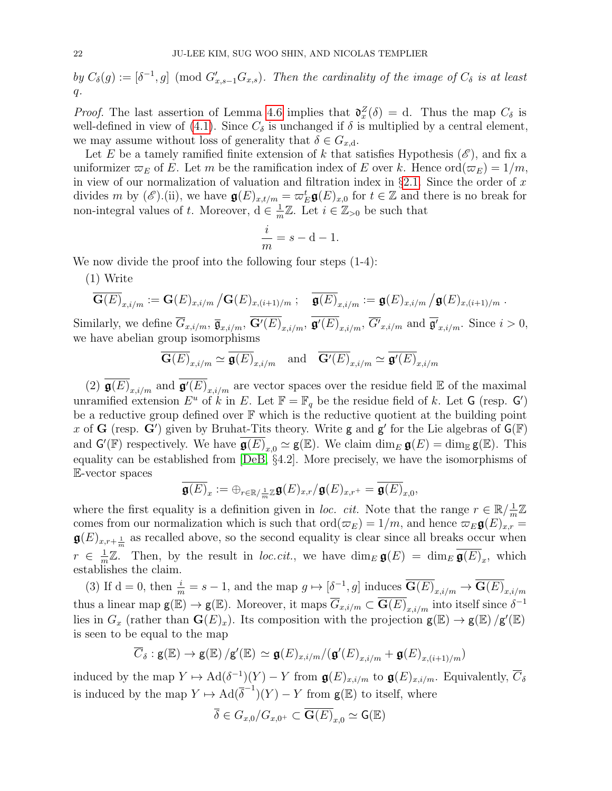by  $C_{\delta}(g) := [\delta^{-1}, g] \pmod{G'_{x,s-1}G_{x,s}}$ . Then the cardinality of the image of  $C_{\delta}$  is at least  $q<sub>r</sub>$ 

*Proof.* The last assertion of Lemma [4.6](#page-20-1) implies that  $\mathfrak{d}^Z_x(\delta) = d$ . Thus the map  $C_{\delta}$  is well-defined in view of [\(4.1\)](#page-20-2). Since  $C_{\delta}$  is unchanged if  $\delta$  is multiplied by a central element, we may assume without loss of generality that  $\delta \in G_{x,d}$ .

Let E be a tamely ramified finite extension of k that satisfies Hypothesis  $(\mathscr{E})$ , and fix a uniformizer  $\varpi_E$  of E. Let m be the ramification index of E over k. Hence  $\text{ord}(\varpi_E) = 1/m$ , in view of our normalization of valuation and filtration index in  $\S 2.1$ . Since the order of x divides m by  $(\mathscr{E})$ .(ii), we have  $\mathfrak{g}(E)_{x,t/m} = \varpi_E^t \mathfrak{g}(E)_{x,0}$  for  $t \in \mathbb{Z}$  and there is no break for non-integral values of t. Moreover,  $d \in \frac{1}{m}$  $\frac{1}{m}\mathbb{Z}$ . Let  $i \in \mathbb{Z}_{>0}$  be such that

$$
\frac{i}{m} = s - d - 1.
$$

We now divide the proof into the following four steps  $(1-4)$ :

(1) Write

$$
\overline{\mathbf{G}(E)}_{x,i/m} := \mathbf{G}(E)_{x,i/m} / \mathbf{G}(E)_{x,(i+1)/m} ; \quad \overline{\mathbf{\mathfrak{g}}(E)}_{x,i/m} := \mathbf{\mathfrak{g}}(E)_{x,i/m} / \mathbf{\mathfrak{g}}(E)_{x,(i+1)/m} .
$$

Similarly, we define  $\overline{G}_{x,i/m}$ ,  $\overline{\mathfrak{g}}_{x,i/m}$ ,  $\mathbf{G}'(E)_{x,i/m}$ ,  $\mathfrak{g}'(E)_{x,i/m}$ ,  $\overline{G'}_{x,i/m}$  and  $\overline{\mathfrak{g}'}_{x,i/m}$ . Since  $i > 0$ , we have abelian group isomorphisms

$$
\overline{\mathbf{G}(E)}_{x,i/m} \simeq \overline{\mathbf{g}(E)}_{x,i/m}
$$
 and  $\overline{\mathbf{G}'(E)}_{x,i/m} \simeq \overline{\mathbf{g}'(E)}_{x,i/m}$ 

(2)  $\overline{\mathfrak{g}(E)}_{x,i/m}$  and  $\overline{\mathfrak{g}'(E)}_{x,i/m}$  are vector spaces over the residue field E of the maximal unramified extension  $E^u$  of k in E. Let  $\mathbb{F} = \mathbb{F}_q$  be the residue field of k. Let G (resp. G') be a reductive group defined over  $\mathbb F$  which is the reductive quotient at the building point x of G (resp.  $\tilde{G}'$ ) given by Bruhat-Tits theory. Write g and g' for the Lie algebras of  $G(\mathbb{F})$ and  $\mathsf{G}'(\mathbb{F})$  respectively. We have  $\overline{\mathfrak{g}(E)}_{x,0} \simeq \mathfrak{g}(\mathbb{E})$ . We claim  $\dim_E \mathfrak{g}(E) = \dim_{\mathbb{E}} \mathfrak{g}(\mathbb{E})$ . This equality can be established from [\[DeB,](#page-43-21) §4.2]. More precisely, we have the isomorphisms of E-vector spaces

$$
\overline{\mathfrak{g}(E)}_x:=\oplus_{r\in \mathbb{R}/\frac{1}{m}\mathbb{Z}}\mathfrak{g}(E)_{x,r}/\mathfrak{g}(E)_{x,r^+}=\overline{\mathfrak{g}(E)}_{x,0},
$$

where the first equality is a definition given in loc. cit. Note that the range  $r \in \mathbb{R}/\frac{1}{r}$  $\frac{1}{m}\mathbb{Z}$ comes from our normalization which is such that  $\text{ord}(\varpi_E) = 1/m$ , and hence  $\varpi_E \mathfrak{g}(E)_{x,r} =$  $\mathfrak{g}(E)_{x,r+\frac{1}{m}}$  as recalled above, so the second equality is clear since all breaks occur when  $r \in \frac{1}{n}$  $\frac{1}{m}\mathbb{Z}$ . Then, by the result in *loc.cit.*, we have  $\dim_E \mathfrak{g}(E) = \dim_E \overline{\mathfrak{g}(E)}_x$ , which establishes the claim.

(3) If  $d = 0$ , then  $\frac{i}{m} = s - 1$ , and the map  $g \mapsto [\delta^{-1}, g]$  induces  $\overline{G(E)}_{x,i/m} \to \overline{G(E)}_{x,i/m}$ thus a linear map  $\mathsf{g}(\mathbb{E}) \to \mathsf{g}(\mathbb{E})$ . Moreover, it maps  $\overline{G}_{x,i/m} \subset \overline{\mathbf{G}(E)}_{x,i/m}$  into itself since  $\delta^{-1}$ lies in  $G_x$  (rather than  $\mathbf{G}(E)_x$ ). Its composition with the projection  $\mathbf{g}(E) \to \mathbf{g}(E)/\mathbf{g}'(E)$ is seen to be equal to the map

$$
\overline{C}_{\delta}: \mathsf{g}(\mathbb{E}) \to \mathsf{g}(\mathbb{E})/ \mathsf{g}'(\mathbb{E}) \simeq \mathfrak{g}(E)_{x,i/m}/ (\mathfrak{g}'(E)_{x,i/m} + \mathfrak{g}(E)_{x,(i+1)/m})
$$

induced by the map  $Y \mapsto \text{Ad}(\delta^{-1})(Y) - Y$  from  $\mathfrak{g}(E)_{x,i/m}$  to  $\mathfrak{g}(E)_{x,i/m}$ . Equivalently,  $\overline{C}_{\delta}$ is induced by the map  $Y \mapsto \text{Ad}(\overline{\delta}^{-1})(Y) - Y$  from  $g(\mathbb{E})$  to itself, where

$$
\overline{\delta} \in G_{x,0}/G_{x,0^+} \subset \overline{\mathbf{G}(E)}_{x,0} \simeq \mathsf{G}(\mathbb{E})
$$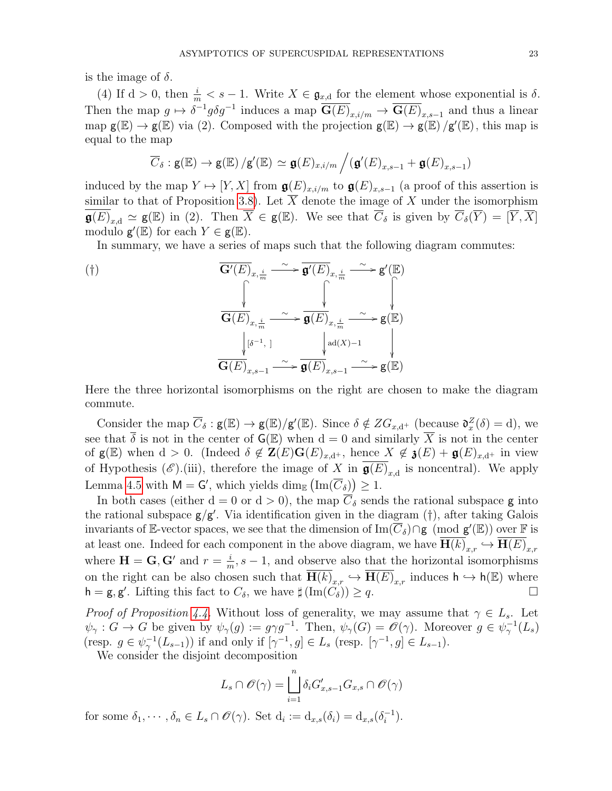is the image of  $\delta$ .

(4) If  $d > 0$ , then  $\frac{i}{m} < s - 1$ . Write  $X \in \mathfrak{g}_{x,d}$  for the element whose exponential is  $\delta$ . Then the map  $g \mapsto \delta^{-1} g \delta g^{-1}$  induces a map  $\overline{G(E)}_{x,i/m} \to \overline{G(E)}_{x,s-1}$  and thus a linear map  $g(E) \to g(E)$  via (2). Composed with the projection  $g(E) \to g(E)/g'(E)$ , this map is equal to the map

$$
\overline{C}_{\delta}: \mathsf{g}(\mathbb{E}) \to \mathsf{g}(\mathbb{E}) / \mathsf{g}'(\mathbb{E}) \simeq \mathfrak{g}(E)_{x,i/m} / (\mathfrak{g}'(E)_{x,s-1} + \mathfrak{g}(E)_{x,s-1})
$$

induced by the map  $Y \mapsto [Y, X]$  from  $\mathfrak{g}(E)_{x,i/m}$  to  $\mathfrak{g}(E)_{x,s-1}$  (a proof of this assertion is similar to that of Proposition [3.8\)](#page-12-0). Let  $\overline{X}$  denote the image of X under the isomorphism  $\overline{\mathfrak{g}(E)}_{x,d} \simeq \mathfrak{g}(\mathbb{E})$  in (2). Then  $\overline{X} \in \mathfrak{g}(\mathbb{E})$ . We see that  $\overline{C}_{\delta}$  is given by  $\overline{C}_{\delta}(\overline{Y}) = [\overline{Y}, \overline{X}]$ modulo  $g'(\mathbb{E})$  for each  $Y \in g(\mathbb{E})$ .

In summary, we have a series of maps such that the following diagram commutes:

$$
\overline{\mathbf{G}'(E)}_{x, \frac{i}{m}} \xrightarrow{\sim} \overline{\mathbf{g}'(E)}_{x, \frac{i}{m}} \xrightarrow{\sim} \mathbf{g}'(\mathbb{E})
$$
\n
$$
\overbrace{\mathbf{G}(E)}_{x, \frac{i}{m}} \xrightarrow{\sim} \overbrace{\mathbf{g}(E)}_{x, \frac{i}{m}} \xrightarrow{\sim} \mathbf{g}(\mathbb{E})
$$
\n
$$
\downarrow [\delta^{-1}, 1] \qquad \qquad \downarrow d(X) - 1 \qquad \qquad \downarrow d(X) - 1 \qquad \qquad \downarrow d(X) - 1 \qquad \qquad \downarrow d(X) - 1 \qquad \qquad \downarrow d(X) - 1 \qquad \qquad \downarrow d(X) - 1 \qquad \qquad \downarrow d(X) - 1 \qquad \qquad \downarrow d(X) - 1 \qquad \qquad \downarrow d(X) - 1 \qquad \qquad \downarrow d(X) - 1 \qquad \qquad \downarrow d(X) - 1 \qquad \qquad \downarrow d(X) - 1 \qquad \qquad \downarrow d(X) - 1 \qquad \qquad \downarrow d(X) - 1 \qquad \qquad \downarrow d(X) - 1 \qquad \qquad \downarrow d(X) - 1 \qquad \qquad \downarrow d(X) - 1 \qquad \qquad \downarrow d(X) - 1 \qquad \qquad \downarrow d(X) - 1 \qquad \qquad \downarrow d(X) - 1 \qquad \qquad \downarrow d(X) - 1 \qquad \qquad \downarrow d(X) - 1 \qquad \qquad \downarrow d(X) - 1 \qquad \qquad \downarrow d(X) - 1 \qquad \qquad \downarrow d(X) - 1 \qquad \qquad \downarrow d(X) - 1 \qquad \qquad \downarrow d(X) - 1 \qquad \qquad \downarrow d(X) - 1 \qquad \qquad \downarrow d(X) - 1 \qquad \qquad \downarrow d(X) - 1 \qquad \qquad \downarrow d(X) - 1 \qquad \qquad \downarrow d(X) - 1 \qquad \qquad \downarrow d(X) - 1 \qquad \qquad \downarrow d(X) - 1 \qquad \qquad \downarrow d(X) - 1 \qquad \qquad \downarrow d(X) - 1 \qquad \qquad \downarrow d(X) - 1 \qquad \qquad \downarrow d(X) - 1 \qquad \qquad \downarrow d(X) - 1 \qquad \qquad \downarrow d(X) - 1 \
$$

Here the three horizontal isomorphisms on the right are chosen to make the diagram commute.

Consider the map  $\overline{C}_\delta : \mathsf{g}(\mathbb{E}) \to \mathsf{g}(\mathbb{E})/\mathsf{g}'(\mathbb{E})$ . Since  $\delta \notin ZG_{x,d^+}$  (because  $\mathfrak{d}_x^Z(\delta) = d$ ), we see that  $\overline{\delta}$  is not in the center of  $\mathsf{G}(\mathbb{E})$  when  $d = 0$  and similarly  $\overline{X}$  is not in the center of  $g(E)$  when  $d > 0$ . (Indeed  $\delta \notin \mathbf{Z}(E)G(E)_{x,d^+}$ , hence  $X \notin \mathfrak{z}(E) + \mathfrak{g}(E)_{x,d^+}$  in view of Hypothesis  $(\mathscr{E})$ .(iii), therefore the image of X in  $\mathfrak{g}(E)_{x,d}$  is noncentral). We apply Lemma [4.5](#page-19-1) with  $M = G'$ , which yields  $\dim_{\mathbb{E}} (\text{Im}(\overline{C}_{\delta})) \geq 1$ .

In both cases (either d = 0 or d > 0), the map  $\overline{C}_{\delta}$  sends the rational subspace g into the rational subspace  $g/g'$ . Via identification given in the diagram  $(\dagger)$ , after taking Galois invariants of E-vector spaces, we see that the dimension of  $\text{Im}(\overline{C}_{\delta})\cap \mathbf{g}^{\cdot}(\text{mod } \mathbf{g}'(\mathbb{E}))$  over F is at least one. Indeed for each component in the above diagram, we have  $\overline{H(k)}_{x,r} \hookrightarrow \overline{H(E)}_{x,r}$ where  $\mathbf{H} = \mathbf{G}, \mathbf{G}'$  and  $r = \frac{i}{n}$  $\frac{i}{m}$ , s – 1, and observe also that the horizontal isomorphisms on the right can be also chosen such that  $\overline{H(k)}_{x,r} \hookrightarrow \overline{H(E)}_{x,r}$  induces  $h \hookrightarrow h(E)$  where  $h = g, g'$ . Lifting this fact to  $C_{\delta}$ , we have  $\sharp (\text{Im}(C_{\delta})) \geq q$ .

*Proof of Proposition [4.4.](#page-19-0)* Without loss of generality, we may assume that  $\gamma \in L_s$ . Let  $\psi_{\gamma}: G \to G$  be given by  $\psi_{\gamma}(g) := g \gamma g^{-1}$ . Then,  $\psi_{\gamma}(G) = \mathscr{O}(\gamma)$ . Moreover  $g \in \psi_{\gamma}^{-1}(L_s)$ (resp.  $g \in \psi_{\gamma}^{-1}(L_{s-1})$ ) if and only if  $[\gamma^{-1}, g] \in L_s$  (resp.  $[\gamma^{-1}, g] \in L_{s-1}$ ).

We consider the disjoint decomposition

$$
L_s \cap \mathscr{O}(\gamma) = \bigsqcup_{i=1}^n \delta_i G'_{x,s-1} G_{x,s} \cap \mathscr{O}(\gamma)
$$

for some  $\delta_1, \cdots, \delta_n \in L_s \cap \mathscr{O}(\gamma)$ . Set  $d_i := d_{x,s}(\delta_i) = d_{x,s}(\delta_i^{-1})$  $\binom{-1}{i}$ .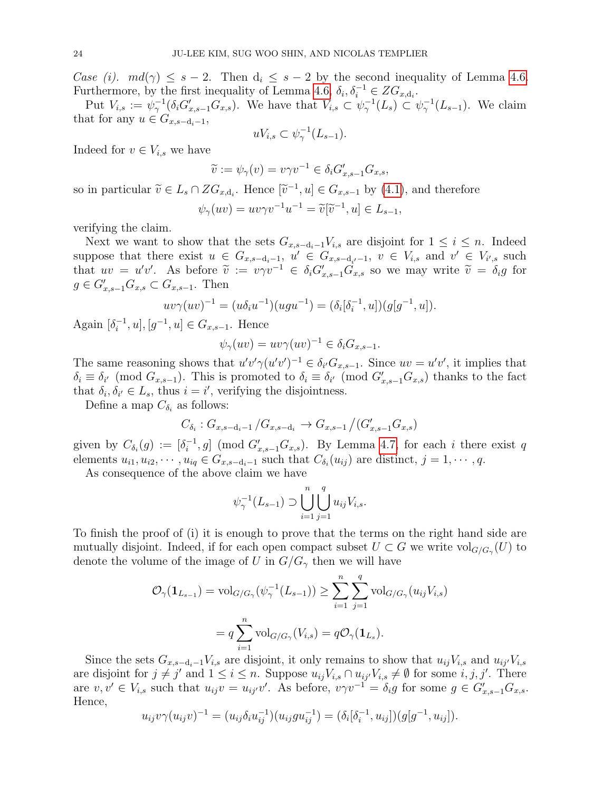Case (i).  $md(\gamma) \leq s-2$ . Then  $d_i \leq s-2$  by the second inequality of Lemma [4.6.](#page-20-1) Furthermore, by the first inequality of Lemma [4.6,](#page-20-1)  $\delta_i, \delta_i^{-1} \in ZG_{x,d_i}$ .

Put  $V_{i,s} := \psi_{\gamma}^{-1}(\delta_i G'_{x,s-1} G_{x,s}).$  We have that  $V_{i,s} \subset \psi_{\gamma}^{-1}(L_s) \subset \psi_{\gamma}^{-1}(L_{s-1}).$  We claim that for any  $u \in G_{x,s-d_i-1}$ ,

$$
uV_{i,s} \subset \psi_{\gamma}^{-1}(L_{s-1}).
$$

Indeed for  $v \in V_{i,s}$  we have

$$
\widetilde{v} := \psi_{\gamma}(v) = v\gamma v^{-1} \in \delta_i G'_{x,s-1} G_{x,s},
$$

so in particular  $\widetilde{v} \in L_s \cap ZG_{x,d_i}$ . Hence  $[\widetilde{v}^{-1}, u] \in G_{x,s-1}$  by [\(4.1\)](#page-20-2), and therefore  $\psi_{\gamma}(uv) = uv\gamma v^{-1}u^{-1} = \tilde{v}[\tilde{v}^{-1}, u] \in L_{s-1},$ 

verifying the claim.

Next we want to show that the sets  $G_{x,s-d_i-1}V_{i,s}$  are disjoint for  $1 \leq i \leq n$ . Indeed suppose that there exist  $u \in G_{x,s-d_i-1}$ ,  $u' \in G_{x,s-d_{i'}-1}$ ,  $v \in V_{i,s}$  and  $v' \in V_{i',s}$  such that  $uv = u'v'$ . As before  $\tilde{v} := v\gamma v^{-1} \in \delta_i G'_{x,s-1} \tilde{G}_{x,s}$  so we may write  $\tilde{v} = \delta_i g$  for  $g \in G'_{x,s-1}G_{x,s} \subset G_{x,s-1}$ . Then

$$
uv\gamma(uv)^{-1} = (u\delta_i u^{-1})(ugu^{-1}) = (\delta_i[\delta_i^{-1}, u])(g[g^{-1}, u]).
$$

Again  $[\delta_i^{-1}]$  $[i, u], [g^{-1}, u] \in G_{x,s-1}$ . Hence

$$
\psi_{\gamma}(uv) = uv\gamma(uv)^{-1} \in \delta_i G_{x,s-1}.
$$

The same reasoning shows that  $u'v'\gamma(u'v')^{-1} \in \delta_{i'}G_{x,s-1}$ . Since  $uv = u'v'$ , it implies that  $\delta_i \equiv \delta_{i'} \pmod{G_{x,s-1}}$ . This is promoted to  $\delta_i \equiv \delta_{i'} \pmod{G_{x,s-1}'G_{x,s}}$  thanks to the fact that  $\delta_i, \delta_{i'} \in L_s$ , thus  $i = i'$ , verifying the disjointness.

Define a map  $C_{\delta_i}$  as follows:

$$
C_{\delta_i}: G_{x,s-d_i-1}/G_{x,s-d_i} \to G_{x,s-1}/(G'_{x,s-1}G_{x,s})
$$

given by  $C_{\delta_i}(g) := [\delta_i^{-1}]$  $[i, 0]$  (mod  $G'_{x,s-1}G_{x,s}$ ). By Lemma [4.7,](#page-20-0) for each i there exist q elements  $u_{i1}, u_{i2}, \dots, u_{iq} \in G_{x,s-d_i-1}$  such that  $C_{\delta_i}(u_{ij})$  are distinct,  $j = 1, \dots, q$ .

As consequence of the above claim we have

$$
\psi_{\gamma}^{-1}(L_{s-1}) \supset \bigcup_{i=1}^{n} \bigcup_{j=1}^{q} u_{ij} V_{i,s}.
$$

To finish the proof of (i) it is enough to prove that the terms on the right hand side are mutually disjoint. Indeed, if for each open compact subset  $U \subset G$  we write  $\text{vol}_{G/G_\gamma}(U)$  to denote the volume of the image of U in  $G/G_{\gamma}$  then we will have

$$
\mathcal{O}_{\gamma}(\mathbf{1}_{L_{s-1}}) = \text{vol}_{G/G_{\gamma}}(\psi_{\gamma}^{-1}(L_{s-1})) \ge \sum_{i=1}^{n} \sum_{j=1}^{q} \text{vol}_{G/G_{\gamma}}(u_{ij}V_{i,s})
$$

$$
= q \sum_{i=1}^{n} \text{vol}_{G/G_{\gamma}}(V_{i,s}) = q \mathcal{O}_{\gamma}(\mathbf{1}_{L_{s}}).
$$

Since the sets  $G_{x,s-d_i-1}V_{i,s}$  are disjoint, it only remains to show that  $u_{ij}V_{i,s}$  and  $u_{ij}V_{i,s}$ are disjoint for  $j \neq j'$  and  $1 \leq i \leq n$ . Suppose  $u_{ij}V_{i,s} \cap u_{ij'}V_{i,s} \neq \emptyset$  for some  $i, j, j'$ . There are  $v, v' \in V_{i,s}$  such that  $u_{ij}v = u_{ij'}v'$ . As before,  $v\gamma v^{-1} = \delta_i g$  for some  $g \in G'_{x,s-1}G_{x,s}$ . Hence,

$$
u_{ij}v\gamma(u_{ij}v)^{-1} = (u_{ij}\delta_i u_{ij}^{-1})(u_{ij}gu_{ij}^{-1}) = (\delta_i[\delta_i^{-1}, u_{ij}])(g[g^{-1}, u_{ij}]).
$$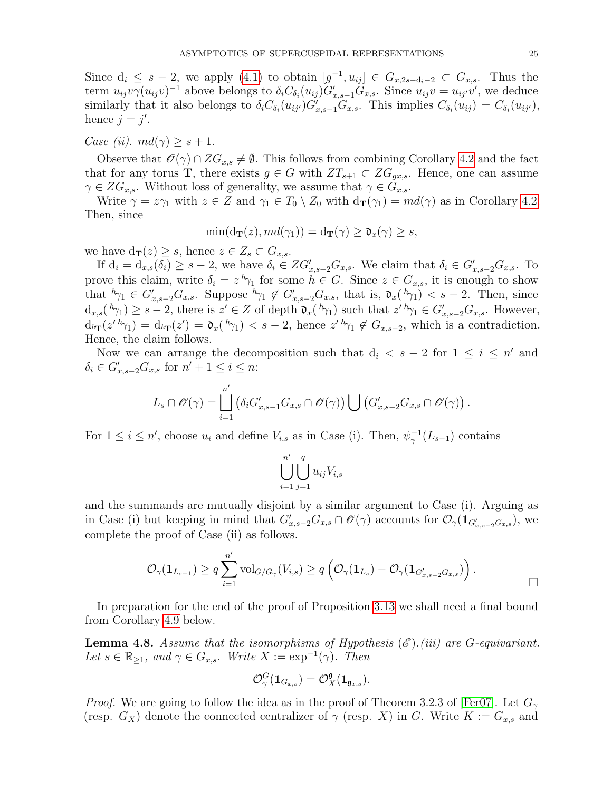Since  $d_i \leq s-2$ , we apply [\(4.1\)](#page-20-2) to obtain  $[g^{-1}, u_{ij}] \in G_{x,2s-d_i-2} \subset G_{x,s}$ . Thus the term  $u_{ij}v\gamma(u_{ij}v)^{-1}$  above belongs to  $\delta_iC_{\delta_i}(u_{ij})G'_{x,s-1}G_{x,s}$ . Since  $u_{ij}v = u_{ij'}v'$ , we deduce similarly that it also belongs to  $\delta_i C_{\delta_i}(u_{ij'}) G'_{x,s-1}G_{x,s}$ . This implies  $C_{\delta_i}(u_{ij}) = C_{\delta_i}(u_{ij'})$ , hence  $j = j'$ .

Case (ii).  $md(\gamma) \geq s+1$ .

Observe that  $\mathcal{O}(\gamma) \cap ZG_{x,s} \neq \emptyset$ . This follows from combining Corollary [4.2](#page-18-2) and the fact that for any torus **T**, there exists  $g \in G$  with  $ZT_{s+1} \subset ZG_{gx,s}$ . Hence, one can assume  $\gamma \in ZG_{x,s}$ . Without loss of generality, we assume that  $\gamma \in G_{x,s}$ .

Write  $\gamma = z\gamma_1$  with  $z \in Z$  and  $\gamma_1 \in T_0 \setminus Z_0$  with  $d_{\bf T}(\gamma_1) = md(\gamma)$  as in Corollary [4.2.](#page-18-2) Then, since

$$
\min(\mathrm{d}_{\mathbf{T}}(z), md(\gamma_1)) = \mathrm{d}_{\mathbf{T}}(\gamma) \ge \mathfrak{d}_x(\gamma) \ge s,
$$

we have  $d_{\mathbf{T}}(z) \geq s$ , hence  $z \in Z_s \subset G_{x,s}$ .

If  $d_i = d_{x,s}(\delta_i) \geq s-2$ , we have  $\delta_i \in ZG'_{x,s-2}G_{x,s}$ . We claim that  $\delta_i \in G'_{x,s-2}G_{x,s}$ . To prove this claim, write  $\delta_i = z^h \gamma_1$  for some  $h \in G$ . Since  $z \in G_{x,s}$ , it is enough to show that  ${}^h\gamma_1 \in G'_{x,s-2}G_{x,s}$ . Suppose  ${}^h\gamma_1 \notin G'_{x,s-2}G_{x,s}$ , that is,  $\mathfrak{d}_x({}^h\gamma_1) < s-2$ . Then, since  $d_{x,s}(h_{\gamma_1}) \geq s-2$ , there is  $z' \in Z$  of depth  $\mathfrak{d}_{x}(h_{\gamma_1})$  such that  $z' \, h_{\gamma_1} \in G'_{x,s-2}G_{x,s}$ . However,  $d_{h_{\mathbf{T}}}(z' \, h_{\gamma_1}) = d_{h_{\mathbf{T}}}(z') = \mathfrak{d}_x(h_{\gamma_1}) < s-2$ , hence  $z' \, h_{\gamma_1} \notin G_{x,s-2}$ , which is a contradiction. Hence, the claim follows.

Now we can arrange the decomposition such that  $d_i < s - 2$  for  $1 \leq i \leq n'$  and  $\delta_i \in G'_{x,s-2}G_{x,s}$  for  $n'+1 \leq i \leq n$ :

$$
L_s \cap \mathscr{O}(\gamma) = \bigsqcup_{i=1}^{n'} \left( \delta_i G'_{x,s-1} G_{x,s} \cap \mathscr{O}(\gamma) \right) \bigcup \left( G'_{x,s-2} G_{x,s} \cap \mathscr{O}(\gamma) \right).
$$

For  $1 \leq i \leq n'$ , choose  $u_i$  and define  $V_{i,s}$  as in Case (i). Then,  $\psi_{\gamma}^{-1}(L_{s-1})$  contains

$$
\bigcup_{i=1}^{n'} \bigcup_{j=1}^{q} u_{ij} V_{i,s}
$$

and the summands are mutually disjoint by a similar argument to Case (i). Arguing as in Case (i) but keeping in mind that  $G'_{x,s-2}G_{x,s}\cap\mathscr{O}(\gamma)$  accounts for  $\mathcal{O}_{\gamma}(\mathbf{1}_{G'_{x,s-2}G_{x,s}})$ , we complete the proof of Case (ii) as follows.

$$
\mathcal{O}_{\gamma}(\mathbf{1}_{L_{s-1}}) \geq q \sum_{i=1}^{n'} \mathrm{vol}_{G/G_{\gamma}}(V_{i,s}) \geq q \left( \mathcal{O}_{\gamma}(\mathbf{1}_{L_{s}}) - \mathcal{O}_{\gamma}(\mathbf{1}_{G'_{x,s-2}G_{x,s}}) \right).
$$

In preparation for the end of the proof of Proposition [3.13](#page-15-0) we shall need a final bound from Corollary [4.9](#page-25-0) below.

<span id="page-24-0"></span>**Lemma 4.8.** Assume that the isomorphisms of Hypothesis  $(\mathscr{E})$ .(iii) are G-equivariant. Let  $s \in \mathbb{R}_{\geq 1}$ , and  $\gamma \in G_{x,s}$ . Write  $X := \exp^{-1}(\gamma)$ . Then

$$
\mathcal{O}_\gamma^G(\mathbf{1}_{G_{x,s}})=\mathcal{O}_X^{\mathfrak{g}}(\mathbf{1}_{\mathfrak{g}_{x,s}}).
$$

*Proof.* We are going to follow the idea as in the proof of Theorem 3.2.3 of [\[Fer07\]](#page-44-20). Let  $G_{\gamma}$ (resp.  $G_X$ ) denote the connected centralizer of  $\gamma$  (resp. X) in G. Write  $K := G_{x,s}$  and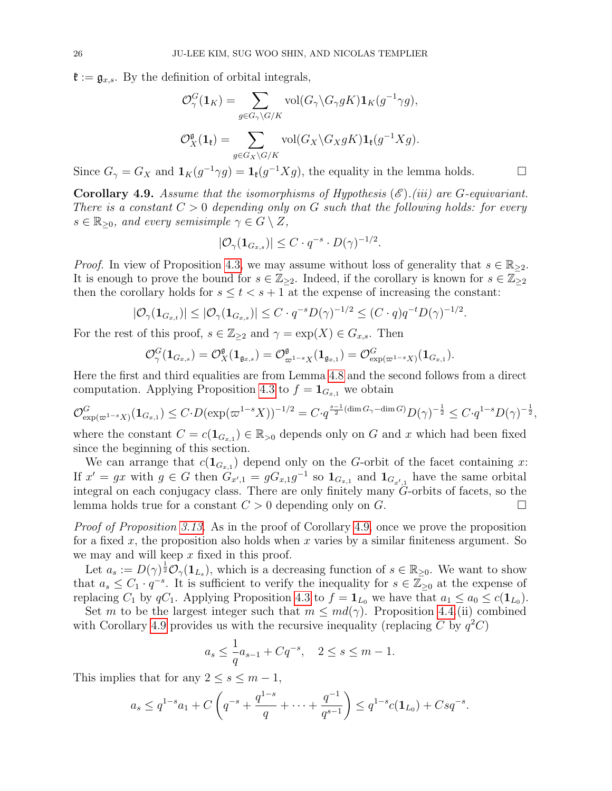$\mathfrak{k} := \mathfrak{g}_{x,s}$ . By the definition of orbital integrals,

$$
\mathcal{O}_{\gamma}^G(\mathbf{1}_K) = \sum_{g \in G_{\gamma} \backslash G/K} \text{vol}(G_{\gamma} \backslash G_{\gamma} gK) \mathbf{1}_K(g^{-1}\gamma g),
$$
  

$$
\mathcal{O}_X^{\mathfrak{g}}(\mathbf{1}_{\mathfrak{k}}) = \sum_{g \in G_X \backslash G/K} \text{vol}(G_X \backslash G_X gK) \mathbf{1}_{\mathfrak{k}}(g^{-1}Xg).
$$

Since  $G_{\gamma} = G_X$  and  $\mathbf{1}_K(g^{-1}\gamma g) = \mathbf{1}_\mathfrak{k}(g^{-1}Xg)$ , the equality in the lemma holds.

<span id="page-25-0"></span>**Corollary 4.9.** Assume that the isomorphisms of Hypothesis  $(\mathscr{E})$ .(iii) are G-equivariant. There is a constant  $C > 0$  depending only on G such that the following holds: for every  $s \in \mathbb{R}_{\geq 0}$ , and every semisimple  $\gamma \in G \setminus Z$ ,

$$
|\mathcal{O}_{\gamma}(\mathbf{1}_{G_{x,s}})| \leq C \cdot q^{-s} \cdot D(\gamma)^{-1/2}.
$$

*Proof.* In view of Proposition [4.3,](#page-18-1) we may assume without loss of generality that  $s \in \mathbb{R}_{\geq 2}$ . It is enough to prove the bound for  $s \in \mathbb{Z}_{\geq 2}$ . Indeed, if the corollary is known for  $s \in \mathbb{Z}_{\geq 2}$ then the corollary holds for  $s \leq t < s + 1$  at the expense of increasing the constant:

$$
|\mathcal{O}_{\gamma}(\mathbf{1}_{G_{x,t}})| \leq |\mathcal{O}_{\gamma}(\mathbf{1}_{G_{x,s}})| \leq C \cdot q^{-s} D(\gamma)^{-1/2} \leq (C \cdot q) q^{-t} D(\gamma)^{-1/2}.
$$

For the rest of this proof,  $s \in \mathbb{Z}_{\geq 2}$  and  $\gamma = \exp(X) \in G_{x,s}$ . Then

$$
\mathcal{O}_\gamma^G(\mathbf{1}_{G_{x,s}})=\mathcal{O}_X^{\mathfrak{g}}(\mathbf{1}_{\mathfrak{g}_{x,s}})=\mathcal{O}_{\varpi^{1-s}X}^{\mathfrak{g}}(\mathbf{1}_{\mathfrak{g}_{x,1}})=\mathcal{O}_{\exp(\varpi^{1-s}X)}^G(\mathbf{1}_{G_{x,1}}).
$$

Here the first and third equalities are from Lemma [4.8](#page-24-0) and the second follows from a direct computation. Applying Proposition [4.3](#page-18-1) to  $f = \mathbf{1}_{G_{x,1}}$  we obtain

$$
\mathcal{O}_{\exp(\varpi^{1-s}X)}^G(\mathbf{1}_{G_{x,1}}) \leq C \cdot D(\exp(\varpi^{1-s}X))^{-1/2} = C \cdot q^{\frac{s-1}{2}(\dim G_{\gamma}-\dim G)} D(\gamma)^{-\frac{1}{2}} \leq C \cdot q^{1-s} D(\gamma)^{-\frac{1}{2}},
$$

where the constant  $C = c(\mathbf{1}_{G_{x,1}}) \in \mathbb{R}_{>0}$  depends only on G and x which had been fixed since the beginning of this section.

We can arrange that  $c(\mathbf{1}_{G_{x,1}})$  depend only on the G-orbit of the facet containing x: If  $x' = gx$  with  $g \in G$  then  $G_{x',1} = gG_{x,1}g^{-1}$  so  $1_{G_{x,1}}$  and  $1_{G_{x',1}}$  have the same orbital integral on each conjugacy class. There are only finitely many G-orbits of facets, so the lemma holds true for a constant  $C > 0$  depending only on  $G$ .

Proof of Proposition [3.13.](#page-15-0) As in the proof of Corollary [4.9,](#page-25-0) once we prove the proposition for a fixed x, the proposition also holds when x varies by a similar finiteness argument. So we may and will keep  $x$  fixed in this proof.

Let  $a_s := D(\gamma)^{\frac{1}{2}} \mathcal{O}_{\gamma}(1_{L_s}),$  which is a decreasing function of  $s \in \mathbb{R}_{\geq 0}$ . We want to show that  $a_s \leq C_1 \cdot q^{-s}$ . It is sufficient to verify the inequality for  $s \in \mathbb{Z}_{\geq 0}$  at the expense of replacing  $C_1$  by  $qC_1$ . Applying Proposition [4.3](#page-18-1) to  $f = \mathbf{1}_{L_0}$  we have that  $a_1 \le a_0 \le c(\mathbf{1}_{L_0})$ .

Set m to be the largest integer such that  $m \leq md(\gamma)$ . Proposition [4.4.](#page-19-0)(ii) combined with Corollary [4.9](#page-25-0) provides us with the recursive inequality (replacing C by  $q^2C$ )

$$
a_s \leq \frac{1}{q}a_{s-1} + Cq^{-s}, \quad 2 \leq s \leq m-1.
$$

This implies that for any  $2 \leq s \leq m-1$ ,

$$
a_s \leq q^{1-s}a_1 + C\left(q^{-s} + \frac{q^{1-s}}{q} + \dots + \frac{q^{-1}}{q^{s-1}}\right) \leq q^{1-s}c(\mathbf{1}_{L_0}) + Csq^{-s}.
$$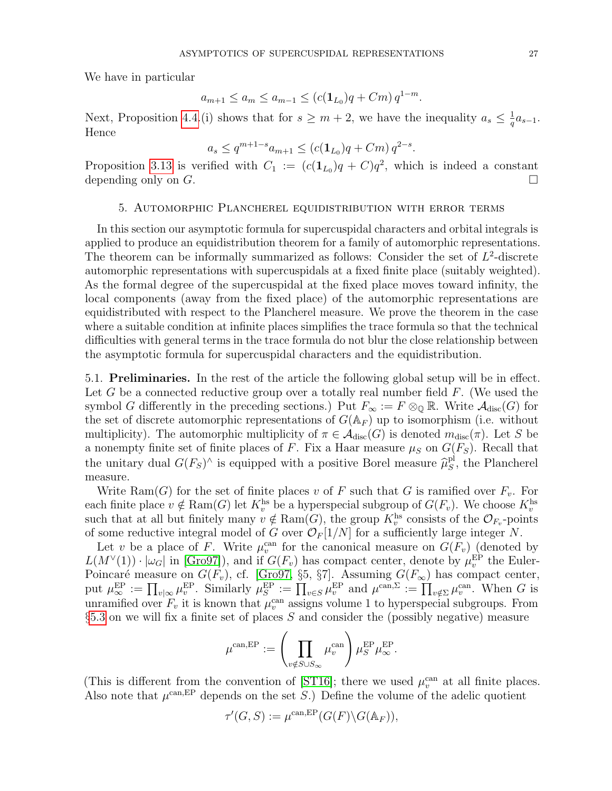We have in particular

$$
a_{m+1} \le a_m \le a_{m-1} \le (c(\mathbf{1}_{L_0})q + Cm) q^{1-m}.
$$

Next, Proposition [4.4.](#page-19-0)(i) shows that for  $s \geq m+2$ , we have the inequality  $a_s \leq \frac{1}{a}$  $\frac{1}{q}a_{s-1}.$ Hence

$$
a_s \le q^{m+1-s} a_{m+1} \le (c(\mathbf{1}_{L_0})q + Cm) q^{2-s}.
$$

Proposition [3.13](#page-15-0) is verified with  $C_1 := (c(1_{L_0})q + C)q^2$ , which is indeed a constant depending only on  $G$ .

### 5. Automorphic Plancherel equidistribution with error terms

<span id="page-26-0"></span>In this section our asymptotic formula for supercuspidal characters and orbital integrals is applied to produce an equidistribution theorem for a family of automorphic representations. The theorem can be informally summarized as follows: Consider the set of  $L^2$ -discrete automorphic representations with supercuspidals at a fixed finite place (suitably weighted). As the formal degree of the supercuspidal at the fixed place moves toward infinity, the local components (away from the fixed place) of the automorphic representations are equidistributed with respect to the Plancherel measure. We prove the theorem in the case where a suitable condition at infinite places simplifies the trace formula so that the technical difficulties with general terms in the trace formula do not blur the close relationship between the asymptotic formula for supercuspidal characters and the equidistribution.

5.1. Preliminaries. In the rest of the article the following global setup will be in effect. Let G be a connected reductive group over a totally real number field  $F$ . (We used the symbol G differently in the preceding sections.) Put  $F_{\infty} := F \otimes_{\mathbb{Q}} \mathbb{R}$ . Write  $\mathcal{A}_{\text{disc}}(G)$  for the set of discrete automorphic representations of  $G(\mathbb{A}_F)$  up to isomorphism (i.e. without multiplicity). The automorphic multiplicity of  $\pi \in \mathcal{A}_{disc}(G)$  is denoted  $m_{disc}(\pi)$ . Let S be a nonempty finite set of finite places of F. Fix a Haar measure  $\mu_S$  on  $G(F_S)$ . Recall that the unitary dual  $G(F_S)^\wedge$  is equipped with a positive Borel measure  $\hat{\mu}_S^{\text{pl}}$  $S<sub>S</sub>$ , the Plancherel measure.

Write Ram(G) for the set of finite places v of F such that G is ramified over  $F_v$ . For each finite place  $v \notin \text{Ram}(G)$  let  $K_v^{\text{hs}}$  be a hyperspecial subgroup of  $G(F_v)$ . We choose  $K_v^{\text{hs}}$ such that at all but finitely many  $v \notin \text{Ram}(G)$ , the group  $K_v^{\text{hs}}$  consists of the  $\mathcal{O}_{F_v}$ -points of some reductive integral model of G over  $\mathcal{O}_F[1/N]$  for a sufficiently large integer N.

Let v be a place of F. Write  $\mu_v^{\text{can}}$  for the canonical measure on  $G(F_v)$  (denoted by  $L(M^{\vee}(1)) \cdot |\omega_G|$  in [\[Gro97\]](#page-44-18)), and if  $G(F_v)$  has compact center, denote by  $\mu_v^{\text{EP}}$  the Euler- $E(W_1, V_1) \cdot |\omega_G|$  in [Gro97]), and if  $G(Y_v)$  has compact center, denote by  $\mu_v$  the Edier-<br>Poincaré measure on  $G(F_v)$ , cf. [\[Gro97,](#page-44-18) §5, §7]. Assuming  $G(F_\infty)$  has compact center, put  $\mu_{\infty}^{\text{EP}} := \prod_{v | \infty} \mu_v^{\text{EP}}$ . Similarly  $\mu_S^{\text{EP}} := \prod_{v \in S} \mu_v^{\text{EP}}$  and  $\mu^{\text{can},\Sigma} := \prod_{v \notin \Sigma} \mu_v^{\text{can}}$ . When G is unramified over  $F_v$  it is known that  $\mu_v^{\text{can}}$  assigns volume 1 to hyperspecial subgroups. From  $§5.3$  $§5.3$  on we will fix a finite set of places S and consider the (possibly negative) measure

$$
\mu^{\text{can,EP}} := \left(\prod_{v \notin S \cup S_{\infty}} \mu_v^{\text{can}}\right) \mu_S^{\text{EP}} \mu_{\infty}^{\text{EP}}.
$$

(This is different from the convention of [\[ST16\]](#page-45-5); there we used  $\mu_v^{\text{can}}$  at all finite places. Also note that  $\mu^{\text{can,EP}}$  depends on the set S.) Define the volume of the adelic quotient

$$
\tau'(G,S):=\mu^{\mathrm{can},\mathrm{EP}}(G(F)\backslash G(\mathbb{A}_F)),
$$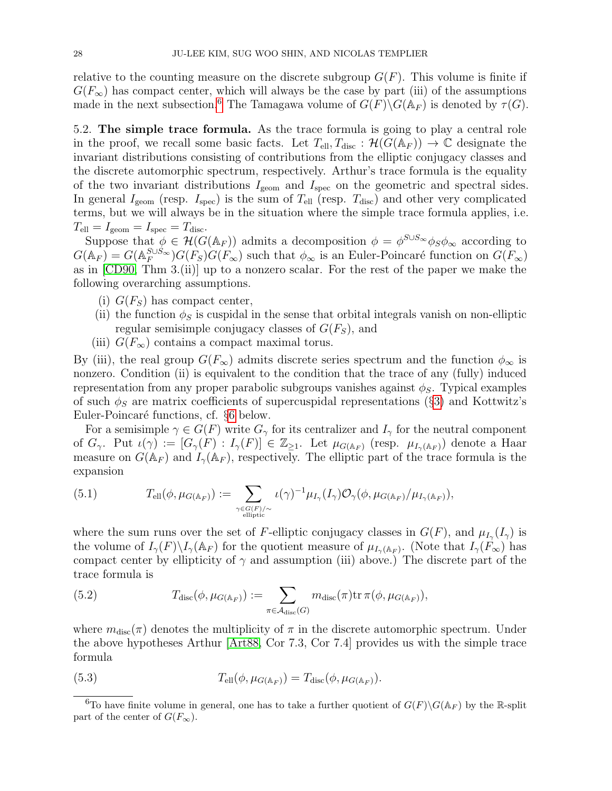relative to the counting measure on the discrete subgroup  $G(F)$ . This volume is finite if  $G(F_{\infty})$  has compact center, which will always be the case by part (iii) of the assumptions made in the next subsection.<sup>[6](#page-27-1)</sup> The Tamagawa volume of  $G(F) \backslash G(\mathbb{A}_F)$  is denoted by  $\tau(G)$ .

<span id="page-27-0"></span>5.2. The simple trace formula. As the trace formula is going to play a central role in the proof, we recall some basic facts. Let  $T_{ell}, T_{disc} : \mathcal{H}(G(\mathbb{A}_F)) \to \mathbb{C}$  designate the invariant distributions consisting of contributions from the elliptic conjugacy classes and the discrete automorphic spectrum, respectively. Arthur's trace formula is the equality of the two invariant distributions  $I_{\text{geom}}$  and  $I_{\text{spec}}$  on the geometric and spectral sides. In general  $I_{\text{geom}}$  (resp.  $I_{\text{spec}}$ ) is the sum of  $T_{\text{ell}}$  (resp.  $T_{\text{disc}}$ ) and other very complicated terms, but we will always be in the situation where the simple trace formula applies, i.e.  $T_{\text{ell}} = I_{\text{geom}} = I_{\text{spec}} = T_{\text{disc}}.$ 

Suppose that  $\phi \in \mathcal{H}(G(\mathbb{A}_F))$  admits a decomposition  $\phi = \phi^{S \cup S_{\infty}} \phi_S \phi_{\infty}$  according to  $G(\mathbb{A}_F) = G(\mathbb{A}_F^{S \cup S_{\infty}})G(F_S)G(F_{\infty})$  such that  $\phi_{\infty}$  is an Euler-Poincaré function on  $G(F_{\infty})$ as in [\[CD90,](#page-43-13) Thm 3.(ii)] up to a nonzero scalar. For the rest of the paper we make the following overarching assumptions.

- (i)  $G(F_S)$  has compact center,
- (ii) the function  $\phi_S$  is cuspidal in the sense that orbital integrals vanish on non-elliptic regular semisimple conjugacy classes of  $G(F<sub>S</sub>)$ , and
- (iii)  $G(F_{\infty})$  contains a compact maximal torus.

By (iii), the real group  $G(F_{\infty})$  admits discrete series spectrum and the function  $\phi_{\infty}$  is nonzero. Condition (ii) is equivalent to the condition that the trace of any (fully) induced representation from any proper parabolic subgroups vanishes against  $\phi_S$ . Typical examples of such  $\phi_S$  are matrix coefficients of supercuspidal representations (§[3\)](#page-9-0) and Kottwitz's Euler-Poincaré functions, cf. §[6](#page-38-0) below.

For a semisimple  $\gamma \in G(F)$  write  $G_{\gamma}$  for its centralizer and  $I_{\gamma}$  for the neutral component of  $G_\gamma$ . Put  $\iota(\gamma) := [G_\gamma(F) : I_\gamma(F)] \in \mathbb{Z}_{\geq 1}$ . Let  $\mu_{G(\mathbb{A}_F)}$  (resp.  $\mu_{I_\gamma(\mathbb{A}_F)}$ ) denote a Haar measure on  $G(\mathbb{A}_F)$  and  $I_{\gamma}(\mathbb{A}_F)$ , respectively. The elliptic part of the trace formula is the expansion

(5.1) 
$$
T_{\text{ell}}(\phi, \mu_{G(\mathbb{A}_F)}) := \sum_{\gamma \in G(F)/\sim \atop \text{elliptic}} \iota(\gamma)^{-1} \mu_{I_{\gamma}}(I_{\gamma}) \mathcal{O}_{\gamma}(\phi, \mu_{G(\mathbb{A}_F)}/\mu_{I_{\gamma}(\mathbb{A}_F)}),
$$

where the sum runs over the set of F-elliptic conjugacy classes in  $G(F)$ , and  $\mu_{I_{\gamma}}(I_{\gamma})$  is the volume of  $I_{\gamma}(F)\backslash I_{\gamma}({\mathbb A}_F)$  for the quotient measure of  $\mu_{I_{\gamma}({\mathbb A}_F)}$ . (Note that  $I_{\gamma}(F_{\infty})$  has compact center by ellipticity of  $\gamma$  and assumption (iii) above.) The discrete part of the trace formula is

(5.2) 
$$
T_{\text{disc}}(\phi, \mu_{G(\mathbb{A}_F)}) := \sum_{\pi \in \mathcal{A}_{\text{disc}}(G)} m_{\text{disc}}(\pi) \text{tr } \pi(\phi, \mu_{G(\mathbb{A}_F)}),
$$

where  $m_{disc}(\pi)$  denotes the multiplicity of  $\pi$  in the discrete automorphic spectrum. Under the above hypotheses Arthur [\[Art88,](#page-43-22) Cor 7.3, Cor 7.4] provides us with the simple trace formula

<span id="page-27-2"></span>(5.3) 
$$
T_{\text{ell}}(\phi, \mu_{G(\mathbb{A}_F)}) = T_{\text{disc}}(\phi, \mu_{G(\mathbb{A}_F)}).
$$

<span id="page-27-1"></span><sup>&</sup>lt;sup>6</sup>To have finite volume in general, one has to take a further quotient of  $G(F)\backslash G(\mathbb{A}_F)$  by the R-split part of the center of  $G(F_{\infty})$ .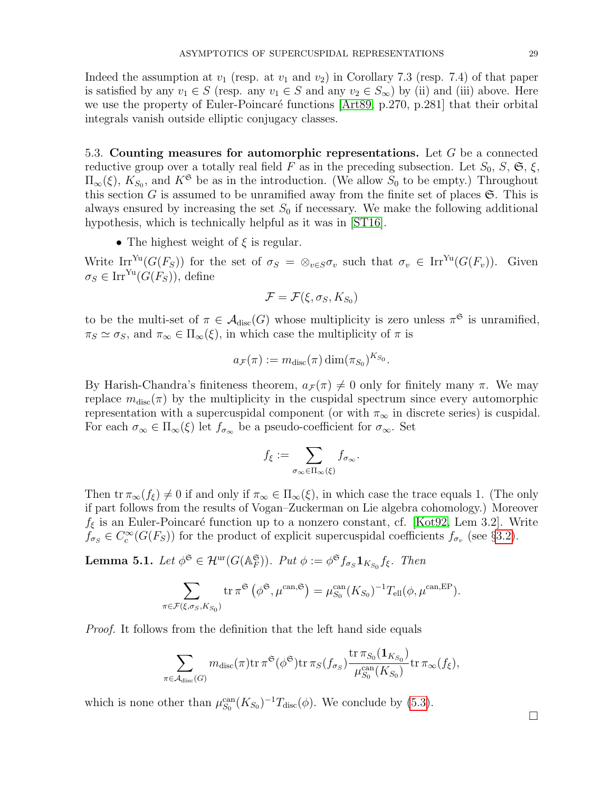Indeed the assumption at  $v_1$  (resp. at  $v_1$  and  $v_2$ ) in Corollary 7.3 (resp. 7.4) of that paper is satisfied by any  $v_1 \in S$  (resp. any  $v_1 \in S$  and any  $v_2 \in S_{\infty}$ ) by (ii) and (iii) above. Here we use the property of Euler-Poincaré functions [\[Art89,](#page-43-23) p.270, p.281] that their orbital integrals vanish outside elliptic conjugacy classes.

<span id="page-28-0"></span>5.3. Counting measures for automorphic representations. Let G be a connected reductive group over a totally real field F as in the preceding subsection. Let  $S_0$ ,  $S$ ,  $\mathfrak{S}$ ,  $\xi$ ,  $\Pi_{\infty}(\xi)$ ,  $K_{S_0}$ , and  $K^{\mathfrak{S}}$  be as in the introduction. (We allow  $S_0$  to be empty.) Throughout this section G is assumed to be unramified away from the finite set of places  $\mathfrak{S}$ . This is always ensured by increasing the set  $S_0$  if necessary. We make the following additional hypothesis, which is technically helpful as it was in [\[ST16\]](#page-45-5).

• The highest weight of  $\xi$  is regular.

Write Irr<sup>Yu</sup>( $G(F_S)$ ) for the set of  $\sigma_S = \otimes_{v \in S} \sigma_v$  such that  $\sigma_v \in \text{Irr}^{\text{Yu}}(G(F_v))$ . Given  $\sigma_S \in \text{Irr}^{\text{Yu}}(G(F_S))$ , define

$$
\mathcal{F} = \mathcal{F}(\xi, \sigma_S, K_{S_0})
$$

to be the multi-set of  $\pi \in \mathcal{A}_{disc}(G)$  whose multiplicity is zero unless  $\pi^{\mathfrak{S}}$  is unramified,  $\pi_S \simeq \sigma_S$ , and  $\pi_\infty \in \Pi_\infty(\xi)$ , in which case the multiplicity of  $\pi$  is

$$
a_{\mathcal{F}}(\pi) := m_{\text{disc}}(\pi) \dim(\pi_{S_0})^{K_{S_0}}.
$$

By Harish-Chandra's finiteness theorem,  $a_{\mathcal{F}}(\pi) \neq 0$  only for finitely many  $\pi$ . We may replace  $m_{\text{disc}}(\pi)$  by the multiplicity in the cuspidal spectrum since every automorphic representation with a supercuspidal component (or with  $\pi_{\infty}$  in discrete series) is cuspidal. For each  $\sigma_{\infty} \in \Pi_{\infty}(\xi)$  let  $f_{\sigma_{\infty}}$  be a pseudo-coefficient for  $\sigma_{\infty}$ . Set

$$
f_{\xi} := \sum_{\sigma_{\infty} \in \Pi_{\infty}(\xi)} f_{\sigma_{\infty}}.
$$

Then tr  $\pi_{\infty}(f_{\xi}) \neq 0$  if and only if  $\pi_{\infty} \in \Pi_{\infty}(\xi)$ , in which case the trace equals 1. (The only if part follows from the results of Vogan–Zuckerman on Lie algebra cohomology.) Moreover  $f_{\xi}$  is an Euler-Poincaré function up to a nonzero constant, cf. [\[Kot92,](#page-44-3) Lem 3.2]. Write  $f_{\sigma_S} \in C_c^{\infty}(G(F_S))$  for the product of explicit supercuspidal coefficients  $f_{\sigma_v}$  (see §[3.2\)](#page-9-4).

<span id="page-28-1"></span>**Lemma 5.1.** Let  $\phi^{\mathfrak{S}} \in \mathcal{H}^{ur}(G(\mathbb{A}_F^{\mathfrak{S}}))$ . Put  $\phi := \phi^{\mathfrak{S}} f_{\sigma_S} \mathbf{1}_{K_{S_0}} f_{\xi}$ . Then

$$
\sum_{\pi \in \mathcal{F}(\xi, \sigma_S, K_{S_0})} \text{tr} \,\pi^{\mathfrak{S}}\left(\phi^{\mathfrak{S}}, \mu^{\text{can}, \mathfrak{S}}\right) = \mu_{S_0}^{\text{can}}(K_{S_0})^{-1} T_{\text{ell}}(\phi, \mu^{\text{can}, \text{EP}}).
$$

Proof. It follows from the definition that the left hand side equals

$$
\sum_{\pi \in \mathcal{A}_{\text{disc}}(G)} m_{\text{disc}}(\pi) \text{tr} \, \pi^{\mathfrak{S}}(\phi^{\mathfrak{S}}) \text{tr} \, \pi_{S}(f_{\sigma_{S}}) \frac{\text{tr} \, \pi_{S_{0}}(\mathbf{1}_{K_{S_{0}}})}{\mu_{S_{0}}^{\text{can}}(K_{S_{0}})} \text{tr} \, \pi_{\infty}(f_{\xi}),
$$

which is none other than  $\mu_{S_0}^{\text{can}}(K_{S_0})^{-1}T_{\text{disc}}(\phi)$ . We conclude by [\(5.3\)](#page-27-2).

 $\Box$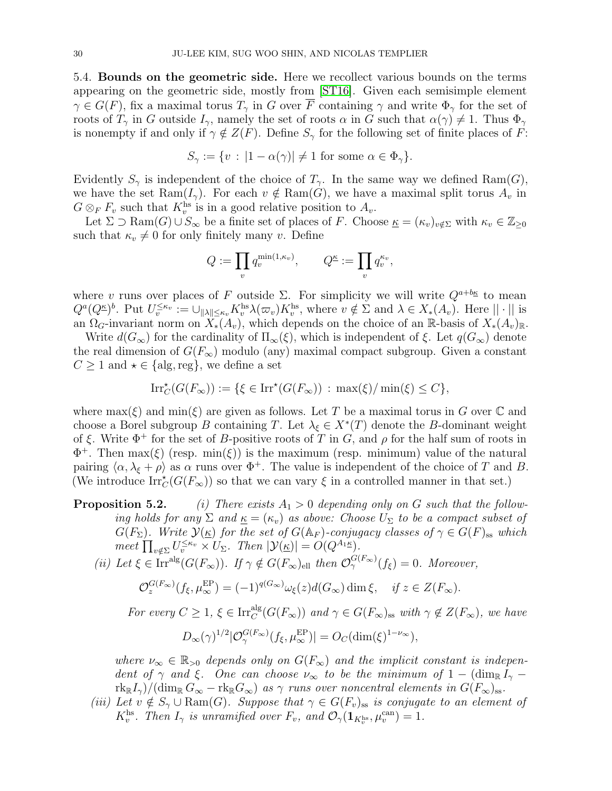<span id="page-29-0"></span>5.4. Bounds on the geometric side. Here we recollect various bounds on the terms appearing on the geometric side, mostly from [\[ST16\]](#page-45-5). Given each semisimple element  $\gamma \in G(F)$ , fix a maximal torus  $T_{\gamma}$  in G over  $\overline{F}$  containing  $\gamma$  and write  $\Phi_{\gamma}$  for the set of roots of  $T_\gamma$  in G outside  $I_\gamma$ , namely the set of roots  $\alpha$  in G such that  $\alpha(\gamma) \neq 1$ . Thus  $\Phi_\gamma$ is nonempty if and only if  $\gamma \notin Z(F)$ . Define  $S_{\gamma}$  for the following set of finite places of F:

$$
S_{\gamma} := \{ v : |1 - \alpha(\gamma)| \neq 1 \text{ for some } \alpha \in \Phi_{\gamma} \}.
$$

Evidently  $S_{\gamma}$  is independent of the choice of  $T_{\gamma}$ . In the same way we defined Ram(G), we have the set Ram $(I_{\gamma})$ . For each  $v \notin \text{Ram}(G)$ , we have a maximal split torus  $A_v$  in  $G \otimes_F F_v$  such that  $K_v^{\text{hs}}$  is in a good relative position to  $A_v$ .

Let  $\Sigma \supset \mathrm{Ram}(G) \cup S_{\infty}$  be a finite set of places of F. Choose  $\underline{\kappa} = (\kappa_v)_{v \notin \Sigma}$  with  $\kappa_v \in \mathbb{Z}_{\geq 0}$ such that  $\kappa_v \neq 0$  for only finitely many v. Define

$$
Q:=\prod_v q_v^{\min(1,\kappa_v)},\qquad Q^{\underline{\kappa}}:=\prod_v q_v^{\kappa_v},
$$

where v runs over places of F outside  $\Sigma$ . For simplicity we will write  $Q^{a+bk}$  to mean  $Q^a(Q^{\underline{\kappa}})^b$ . Put  $U_v^{\leq \kappa_v} := \bigcup_{\|\lambda\| \leq \kappa_v} K_v^{\text{hs}} \lambda(\varpi_v) K_v^{\text{hs}},$  where  $v \notin \Sigma$  and  $\lambda \in X_*(A_v)$ . Here  $||\cdot||$  is an  $\Omega_G$ -invariant norm on  $X_*(A_v)$ , which depends on the choice of an R-basis of  $X_*(A_v)_{\mathbb{R}}$ .

Write  $d(G_{\infty})$  for the cardinality of  $\Pi_{\infty}(\xi)$ , which is independent of  $\xi$ . Let  $q(G_{\infty})$  denote the real dimension of  $G(F_{\infty})$  modulo (any) maximal compact subgroup. Given a constant  $C \geq 1$  and  $\star \in \{alg, \text{reg}\}\$ , we define a set

$$
\operatorname{Irr}_{C}^{\star}(G(F_{\infty})) := \{ \xi \in \operatorname{Irr}^{\star}(G(F_{\infty})) : \max(\xi)/\min(\xi) \le C \},
$$

where  $\max(\xi)$  and  $\min(\xi)$  are given as follows. Let T be a maximal torus in G over C and choose a Borel subgroup B containing T. Let  $\lambda_{\xi} \in X^*(T)$  denote the B-dominant weight of  $\xi$ . Write  $\Phi^+$  for the set of B-positive roots of T in G, and  $\rho$  for the half sum of roots in  $\Phi^+$ . Then max( $\xi$ ) (resp. min( $\xi$ )) is the maximum (resp. minimum) value of the natural pairing  $\langle \alpha, \lambda_{\xi} + \rho \rangle$  as  $\alpha$  runs over  $\Phi^+$ . The value is independent of the choice of T and B. (We introduce  $\text{Irr}_{C}^{\star}(G(F_{\infty}))$  so that we can vary  $\xi$  in a controlled manner in that set.)

- **Proposition 5.2.** (i) There exists  $A_1 > 0$  depending only on G such that the following holds for any  $\Sigma$  and  $\underline{\kappa} = (\kappa_v)$  as above: Choose  $U_{\Sigma}$  to be a compact subset of  $G(F_{\Sigma})$ . Write  $\mathcal{Y}(\underline{\kappa})$  for the set of  $G(\mathbb{A}_F)$ -conjugacy classes of  $\gamma \in G(F)_{\text{ss}}$  which meet  $\prod_{v \notin \Sigma} U_v^{\leq \kappa_v} \times U_{\Sigma}$ . Then  $|\mathcal{Y}(\underline{\kappa})| = O(Q^{A_1 \underline{\kappa}})$ .
	- (ii) Let  $\xi \in \text{Irr}^{\text{alg}}(G(F_{\infty}))$ . If  $\gamma \notin G(F_{\infty})_{\text{ell}}$  then  $\mathcal{O}^{G(F_{\infty})}_{\gamma}(f_{\xi}) = 0$ . Moreover,

$$
\mathcal{O}_z^{G(F_\infty)}(f_\xi,\mu_\infty^{\rm EP})=(-1)^{q(G_\infty)}\omega_\xi(z)d(G_\infty)\dim\xi,\quad\text{if }z\in Z(F_\infty).
$$

For every  $C \geq 1$ ,  $\xi \in \text{Irr}_C^{\text{alg}}(G(F_{\infty}))$  and  $\gamma \in G(F_{\infty})_{\text{ss}}$  with  $\gamma \notin Z(F_{\infty})$ , we have

$$
D_{\infty}(\gamma)^{1/2} |\mathcal{O}_{\gamma}^{G(F_{\infty})}(f_{\xi}, \mu_{\infty}^{\rm EP})| = O_C(\dim(\xi)^{1-\nu_{\infty}}),
$$

where  $\nu_{\infty} \in \mathbb{R}_{>0}$  depends only on  $G(F_{\infty})$  and the implicit constant is independent of  $\gamma$  and  $\xi$ . One can choose  $\nu_{\infty}$  to be the minimum of 1 – (dim<sub>R</sub>  $I_{\gamma}$  –  $r k_{\mathbb{R}}I_{\gamma}/(\dim_{\mathbb{R}} G_{\infty} - r k_{\mathbb{R}} G_{\infty})$  as  $\gamma$  runs over noncentral elements in  $G(F_{\infty})_{ss}$ .

(iii) Let  $v \notin S_\gamma \cup \mathrm{Ram}(G)$ . Suppose that  $\gamma \in G(F_v)_{ss}$  is conjugate to an element of  $K_v^{\text{hs}}$ . Then  $I_\gamma$  is unramified over  $F_v$ , and  $\mathcal{O}_\gamma(\mathbf{1}_{K_v^{\text{hs}}}, \mu_v^{\text{can}}) = 1$ .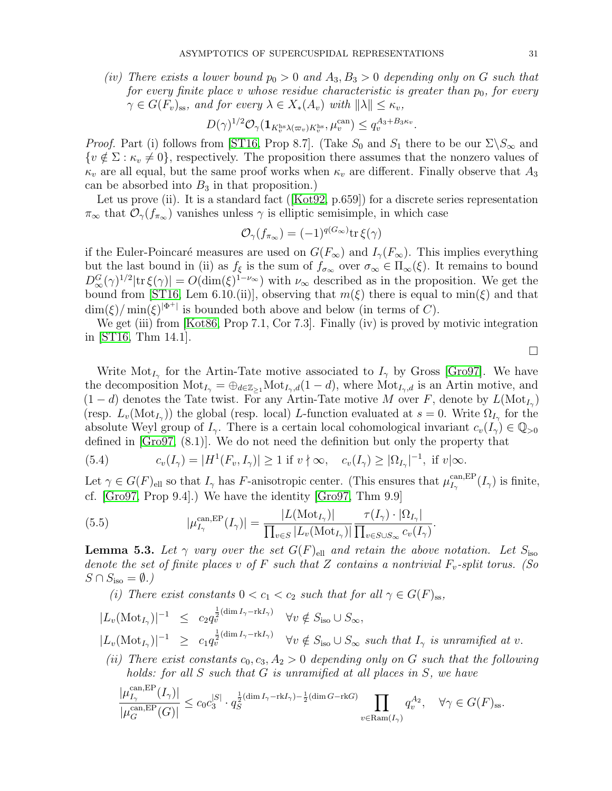(iv) There exists a lower bound  $p_0 > 0$  and  $A_3, B_3 > 0$  depending only on G such that for every finite place v whose residue characteristic is greater than  $p_0$ , for every  $\gamma \in G(F_v)_{ss}$ , and for every  $\lambda \in X_*(A_v)$  with  $\|\lambda\| \leq \kappa_v$ ,

$$
D(\gamma)^{1/2} \mathcal{O}_{\gamma}(\mathbf{1}_{K_v^{\text{hs}} \lambda(\varpi_v) K_v^{\text{hs}}}, \mu_v^{\text{can}}) \le q_v^{A_3 + B_3 \kappa_v}.
$$

*Proof.* Part (i) follows from [\[ST16,](#page-45-5) Prop 8.7]. (Take  $S_0$  and  $S_1$  there to be our  $\Sigma\setminus S_\infty$  and  $\{v \notin \Sigma : \kappa_v \neq 0\}$ , respectively. The proposition there assumes that the nonzero values of  $\kappa_v$  are all equal, but the same proof works when  $\kappa_v$  are different. Finally observe that  $A_3$ can be absorbed into  $B_3$  in that proposition.)

Letus prove (ii). It is a standard fact ([\[Kot92,](#page-44-3) p.659]) for a discrete series representation  $\pi_{\infty}$  that  $\mathcal{O}_{\gamma}(f_{\pi_{\infty}})$  vanishes unless  $\gamma$  is elliptic semisimple, in which case

$$
\mathcal{O}_{\gamma}(f_{\pi_{\infty}}) = (-1)^{q(G_{\infty})} \text{tr}\,\xi(\gamma)
$$

if the Euler-Poincaré measures are used on  $G(F_{\infty})$  and  $I_{\gamma}(F_{\infty})$ . This implies everything but the last bound in (ii) as  $f_{\xi}$  is the sum of  $f_{\sigma_{\infty}}$  over  $\sigma_{\infty} \in \Pi_{\infty}(\xi)$ . It remains to bound  $D_{\infty}^G(\gamma)^{1/2}|\text{tr }\xi(\gamma)| = O(\dim(\xi)^{1-\nu_{\infty}})$  with  $\nu_{\infty}$  described as in the proposition. We get the bound from [\[ST16,](#page-45-5) Lem 6.10.(ii)], observing that  $m(\xi)$  there is equal to min( $\xi$ ) and that  $\dim(\xi)/\min(\xi)^{|\Phi^+|}$  is bounded both above and below (in terms of C).

We get (iii) from [\[Kot86,](#page-44-21) Prop 7.1, Cor 7.3]. Finally (iv) is proved by motivic integration in [\[ST16,](#page-45-5) Thm 14.1].

Write  $\text{Mot}_{I_{\gamma}}$  for the Artin-Tate motive associated to  $I_{\gamma}$  by Gross [\[Gro97\]](#page-44-18). We have the decomposition  $\text{Mot}_{I_{\gamma}} = \bigoplus_{d \in \mathbb{Z}_{\geq 1}} \text{Mot}_{I_{\gamma},d}(1-d)$ , where  $\text{Mot}_{I_{\gamma},d}$  is an Artin motive, and  $(1-d)$  denotes the Tate twist. For any Artin-Tate motive M over F, denote by  $L(\text{Mot}_{I_{\gamma}})$ (resp.  $L_v(\text{Mot}_{I_\gamma})$ ) the global (resp. local) L-function evaluated at  $s=0$ . Write  $\Omega_{I_\gamma}$  for the absolute Weyl group of  $I_{\gamma}$ . There is a certain local cohomological invariant  $c_v(I_{\gamma}) \in \mathbb{Q}_{>0}$ defined in [\[Gro97,](#page-44-18) (8.1)]. We do not need the definition but only the property that

<span id="page-30-1"></span>(5.4) 
$$
c_v(I_\gamma) = |H^1(F_v, I_\gamma)| \ge 1 \text{ if } v \nmid \infty, \quad c_v(I_\gamma) \ge |\Omega_{I_\gamma}|^{-1}, \text{ if } v \mid \infty.
$$

Let  $\gamma \in G(F)_{\text{ell}}$  so that  $I_{\gamma}$  has F-anisotropic center. (This ensures that  $\mu_{I_{\gamma}}^{\text{can,EP}}$  $\frac{\text{can,EP}}{I_\gamma}(I_\gamma)$  is finite, cf. [\[Gro97,](#page-44-18) Prop 9.4].) We have the identity [\[Gro97,](#page-44-18) Thm 9.9]

<span id="page-30-0"></span>(5.5) 
$$
|\mu_{I_{\gamma}}^{\text{can,EP}}(I_{\gamma})| = \frac{|L(\text{Mot}_{I_{\gamma}})|}{\prod_{v \in S} |L_v(\text{Mot}_{I_{\gamma}})|} \frac{\tau(I_{\gamma}) \cdot |\Omega_{I_{\gamma}}|}{\prod_{v \in S \cup S_{\infty}} c_v(I_{\gamma})}.
$$

<span id="page-30-3"></span>**Lemma 5.3.** Let  $\gamma$  vary over the set  $G(F)_{\text{ell}}$  and retain the above notation. Let  $S_{\text{iso}}$ denote the set of finite places v of F such that Z contains a nontrivial  $F_v$ -split torus. (So  $S \cap S_{\text{iso}} = \emptyset.$ 

(i) There exist constants  $0 < c_1 < c_2$  such that for all  $\gamma \in G(F)_{ss}$ ,

- <span id="page-30-2"></span> $|L_v(\text{Mot}_{I_{\gamma}})|^{-1} \leq c_2 q_v^{\frac{1}{2}(\dim I_{\gamma}-\text{rk}I_{\gamma})} \quad \forall v \notin S_{\text{iso}} \cup S_{\infty},$  $|L_v(\text{Mot}_{I_\gamma})|^{-1} \geq c_1 q_v^{\frac{1}{2}(\dim I_\gamma - \text{rk}I_\gamma)} \quad \forall v \notin S_{\text{iso}} \cup S_\infty \text{ such that } I_\gamma \text{ is unramified at } v.$
- (ii) There exist constants  $c_0, c_3, A_2 > 0$  depending only on G such that the following holds: for all S such that G is unramified at all places in S, we have

$$
\frac{|\mu_{I_{\gamma}}^{\operatorname{can},\operatorname{EP}}(I_{\gamma})|}{|\mu_G^{\operatorname{can},\operatorname{EP}}(G)|} \leq c_0 c_3^{|S|} \cdot q_S^{\frac{1}{2}(\dim I_{\gamma}-\operatorname{rk} I_{\gamma})-\frac{1}{2}(\dim G - \operatorname{rk} G)} \prod_{v \in \operatorname{Ram}(I_{\gamma})} q_v^{A_2}, \quad \forall \gamma \in G(F)_{\mathrm{ss}}.
$$

 $\Box$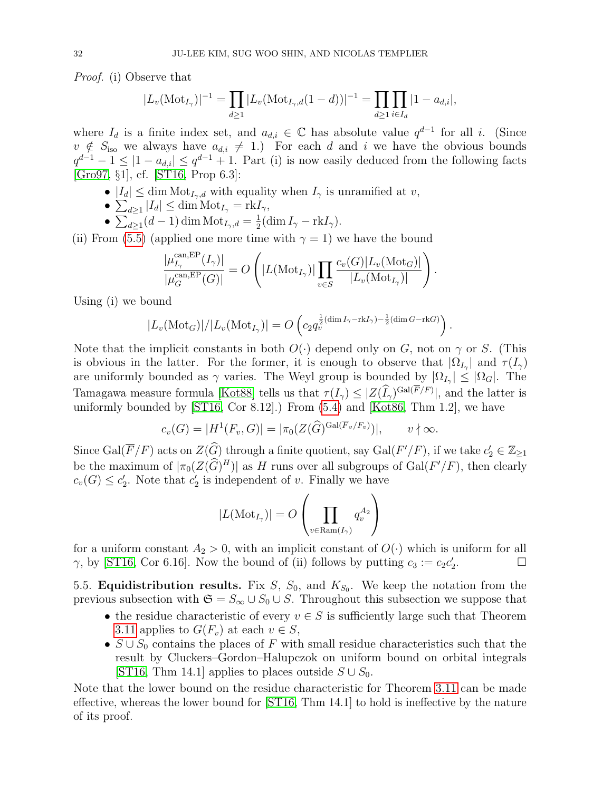Proof. (i) Observe that

$$
|L_v(\text{Mot}_{I_\gamma})|^{-1} = \prod_{d \ge 1} |L_v(\text{Mot}_{I_\gamma,d}(1-d))|^{-1} = \prod_{d \ge 1} \prod_{i \in I_d} |1 - a_{d,i}|,
$$

where  $I_d$  is a finite index set, and  $a_{d,i} \in \mathbb{C}$  has absolute value  $q^{d-1}$  for all i. (Since  $v \notin S_{\text{iso}}$  we always have  $a_{d,i} \neq 1$ .) For each d and i we have the obvious bounds  $q^{d-1} - 1 \leq |1 - a_{d,i}| \leq q^{d-1} + 1$ . Part (i) is now easily deduced from the following facts [\[Gro97,](#page-44-18) §1], cf. [\[ST16,](#page-45-5) Prop 6.3]:

- $|I_d| \leq \dim \text{Mot}_{I_{\gamma},d}$  with equality when  $I_{\gamma}$  is unramified at v,
- $\sum_{d\geq 1} |I_d| \leq \dim \mathrm{Mot}_{I_{\gamma}} = \mathrm{rk} I_{\gamma},$
- $\sum_{d\geq 1} (d-1) \dim \text{Mot}_{I_{\gamma},d} = \frac{1}{2}$  $\frac{1}{2}(\dim I_{\gamma}-\mathrm{rk}I_{\gamma}).$

(ii) From [\(5.5\)](#page-30-0) (applied one more time with  $\gamma = 1$ ) we have the bound

$$
\frac{|\mu_{I_{\gamma}}^{\text{can,EP}}(I_{\gamma})|}{|\mu_G^{\text{can,EP}}(G)|} = O\left(|L(\text{Mot}_{I_{\gamma}})| \prod_{v \in S} \frac{c_v(G)|L_v(\text{Mot}_G)|}{|L_v(\text{Mot}_{I_{\gamma}})|}\right).
$$

Using (i) we bound

$$
|L_v(\text{Mot}_G)|/|L_v(\text{Mot}_{I_\gamma})| = O\left(c_2 q_v^{\frac{1}{2}(\dim I_\gamma - \text{rk}I_\gamma) - \frac{1}{2}(\dim G - \text{rk}G)}\right).
$$

Note that the implicit constants in both  $O(\cdot)$  depend only on G, not on  $\gamma$  or S. (This is obvious in the latter. For the former, it is enough to observe that  $|\Omega_{I_{\gamma}}|$  and  $\tau(I_{\gamma})$ are uniformly bounded as  $\gamma$  varies. The Weyl group is bounded by  $|\Omega_{I_{\gamma}}| \leq |\Omega_{G}|$ . The Tamagawa measure formula [\[Kot88\]](#page-44-8) tells us that  $\tau(I_{\gamma}) \leq |Z(\widehat{I}_{\gamma})^{\text{Gal}(F/F)}|$ , and the latter is uniformly bounded by  $ST16$ , Cor 8.12.) From  $(5.4)$  and  $[Kot86, Thm 1.2]$ , we have

$$
c_v(G) = |H^1(F_v, G)| = |\pi_0(Z(\widehat{G})^{\text{Gal}(\overline{F}_v/F_v)})|, \qquad v \nmid \infty.
$$

Since  $Gal(\overline{F}/F)$  acts on  $Z(\widehat{G})$  through a finite quotient, say  $Gal(F'/F)$ , if we take  $c'_2 \in \mathbb{Z}_{\geq 1}$ be the maximum of  $|\pi_0(Z(\widehat{G})^H)|$  as H runs over all subgroups of Gal(F'/F), then clearly  $c_v(G) \leq c'_2$ . Note that  $c'_2$  is independent of v. Finally we have

$$
|L(\mathrm{Mot}_{I_{\gamma}})| = O\left(\prod_{v \in \mathrm{Ram}(I_{\gamma})} q_v^{A_2}\right)
$$

for a uniform constant  $A_2 > 0$ , with an implicit constant of  $O(\cdot)$  which is uniform for all  $\gamma$ , by [\[ST16,](#page-45-5) Cor 6.16]. Now the bound of (ii) follows by putting  $c_3 := c_2 c_2'$ . — П

<span id="page-31-0"></span>5.5. **Equidistribution results.** Fix  $S$ ,  $S_0$ , and  $K_{S_0}$ . We keep the notation from the previous subsection with  $\mathfrak{S} = S_{\infty} \cup S_0 \cup S$ . Throughout this subsection we suppose that

- the residue characteristic of every  $v \in S$  is sufficiently large such that Theorem [3.11](#page-15-1) applies to  $G(F_v)$  at each  $v \in S$ ,
- $S \cup S_0$  contains the places of F with small residue characteristics such that the result by Cluckers–Gordon–Halupczok on uniform bound on orbital integrals [\[ST16,](#page-45-5) Thm 14.1] applies to places outside  $S \cup S_0$ .

Note that the lower bound on the residue characteristic for Theorem [3.11](#page-15-1) can be made effective, whereas the lower bound for [\[ST16,](#page-45-5) Thm 14.1] to hold is ineffective by the nature of its proof.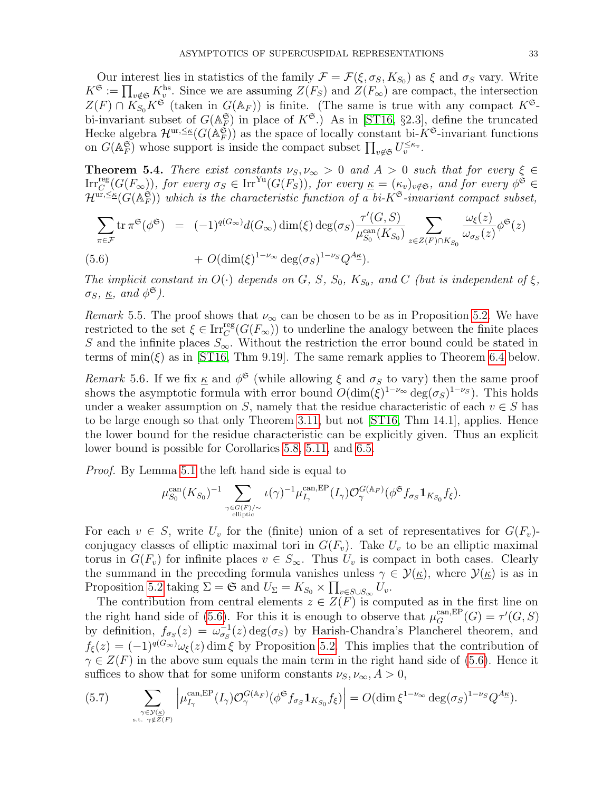Our interest lies in statistics of the family  $\mathcal{F} = \mathcal{F}(\xi, \sigma_S, K_{S_0})$  as  $\xi$  and  $\sigma_S$  vary. Write  $K^{\mathfrak{S}} := \prod_{v \notin \mathfrak{S}} K_v^{\text{hs}}$ . Since we are assuming  $Z(F_S)$  and  $Z(F_{\infty})$  are compact, the intersection  $Z(F) \cap K_{S_0} K^{\mathfrak{S}}$  (taken in  $G(\mathbb{A}_F)$ ) is finite. (The same is true with any compact  $K^{\mathfrak{S}}$ bi-invariant subset of  $G(\mathbb{A}_F^{\mathfrak{S}})$  in place of  $K^{\mathfrak{S}}$ .) As in [\[ST16,](#page-45-5) §2.3], define the truncated Hecke algebra  $\mathcal{H}^{ur, \leq \kappa}(G(\mathbb{A}_F^{\mathfrak{S}}))$  as the space of locally constant bi- $K^{\mathfrak{S}}$ -invariant functions on  $G(\mathbb{A}_F^{\mathfrak{S}})$  whose support is inside the compact subset  $\prod_{v \notin \mathfrak{S}} U_v^{\leq \kappa_v}$ .

<span id="page-32-0"></span>**Theorem 5.4.** There exist constants  $\nu_S, \nu_\infty > 0$  and  $A > 0$  such that for every  $\xi \in \mathcal{E}$  $\text{Irr}_{C}^{\text{reg}}(G(F_{\infty}))$ , for every  $\sigma_{S} \in \text{Irr}^{\text{Yu}}(G(F_{S}))$ , for every  $\underline{\kappa} = (\kappa_{v})_{v \notin \mathfrak{S}}$ , and for every  $\phi^{\tilde{\mathfrak{S}}} \in$  $\mathcal{H}^{\textup{ur},\leq\kappa}(G(\mathbb{A}_F^{\mathfrak{S}}))$  which is the characteristic function of a bi- $K^{\mathfrak{S}}$ -invariant compact subset,

$$
\sum_{\pi \in \mathcal{F}} \operatorname{tr} \pi^{\mathfrak{S}}(\phi^{\mathfrak{S}}) = (-1)^{q(G_{\infty})} d(G_{\infty}) \dim(\xi) \deg(\sigma_{S}) \frac{\tau'(G, S)}{\mu_{S_{0}}^{\operatorname{can}}(K_{S_{0}})} \sum_{z \in Z(F) \cap K_{S_{0}}} \frac{\omega_{\xi}(z)}{\omega_{\sigma_{S}}(z)} \phi^{\mathfrak{S}}(z)
$$

(5.6) 
$$
+ O(\dim(\xi)^{1-\nu_{\infty}} \deg(\sigma_S)^{1-\nu_S} Q^{A_{\underline{\kappa}}}).
$$

The implicit constant in  $O(\cdot)$  depends on G, S,  $S_0$ ,  $K_{S_0}$ , and C (but is independent of  $\xi$ ,  $\sigma_S, \underline{\kappa}, \text{ and } \phi^{\mathfrak{S}}$ ).

<span id="page-32-2"></span>Remark 5.5. The proof shows that  $\nu_{\infty}$  can be chosen to be as in Proposition [5.2.](#page-0-3) We have restricted to the set  $\xi \in \text{Irr}_{C}^{\text{reg}}(G(F_{\infty}))$  to underline the analogy between the finite places S and the infinite places  $S_{\infty}$ . Without the restriction the error bound could be stated in terms of  $\min(\xi)$  as in [\[ST16,](#page-45-5) Thm 9.19]. The same remark applies to Theorem [6.4](#page-39-0) below.

Remark 5.6. If we fix  $\underline{\kappa}$  and  $\phi^{\mathfrak{S}}$  (while allowing  $\xi$  and  $\sigma_S$  to vary) then the same proof shows the asymptotic formula with error bound  $O(\dim(\xi)^{1-\nu_{\infty}} \deg(\sigma_S)^{1-\nu_S})$ . This holds under a weaker assumption on S, namely that the residue characteristic of each  $v \in S$  has to be large enough so that only Theorem [3.11,](#page-15-1) but not [\[ST16,](#page-45-5) Thm 14.1], applies. Hence the lower bound for the residue characteristic can be explicitly given. Thus an explicit lower bound is possible for Corollaries [5.8,](#page-34-0) [5.11,](#page-36-0) and [6.5.](#page-41-1)

Proof. By Lemma [5.1](#page-28-1) the left hand side is equal to

$$
\mu_{S_0}^{\mathrm{can}}(K_{S_0})^{-1} \sum_{\gamma \in G(F)/\sim \atop \text{elliptic}} \iota(\gamma)^{-1} \mu_{I_{\gamma}}^{\mathrm{can}, \mathrm{EP}}(I_{\gamma}) \mathcal{O}_{\gamma}^{G(\mathbb{A}_F)}(\phi^{\mathfrak{S}} f_{\sigma_S} \mathbf{1}_{K_{S_0}} f_{\xi}).
$$

For each  $v \in S$ , write  $U_v$  for the (finite) union of a set of representatives for  $G(F_v)$ conjugacy classes of elliptic maximal tori in  $G(F_v)$ . Take  $U_v$  to be an elliptic maximal torus in  $G(F_v)$  for infinite places  $v \in S_{\infty}$ . Thus  $U_v$  is compact in both cases. Clearly the summand in the preceding formula vanishes unless  $\gamma \in \mathcal{Y}(\underline{\kappa})$ , where  $\mathcal{Y}(\underline{\kappa})$  is as in Proposition [5.2](#page-0-3) taking  $\Sigma = \mathfrak{S}$  and  $U_{\Sigma} = K_{S_0} \times \prod_{v \in S \cup S_{\infty}} U_v$ .

The contribution from central elements  $z \in Z(F)$  is computed as in the first line on the right hand side of [\(5.6\)](#page-30-2). For this it is enough to observe that  $\mu_G^{\text{can,EP}}(G) = \tau'(G, S)$ by definition,  $f_{\sigma_S}(z) = \omega_{\sigma_S}^{-1}(z) \deg(\sigma_S)$  by Harish-Chandra's Plancherel theorem, and  $f_{\xi}(z) = (-1)^{q(G_{\infty})}\omega_{\xi}(z)$  dim  $\xi$  by Proposition [5.2.](#page-0-3) This implies that the contribution of  $\gamma \in Z(F)$  in the above sum equals the main term in the right hand side of [\(5.6\)](#page-30-2). Hence it suffices to show that for some uniform constants  $\nu_S, \nu_\infty, A > 0$ ,

<span id="page-32-1"></span>(5.7) 
$$
\sum_{\substack{\gamma \in \mathcal{Y}(\kappa) \\ \text{s.t. } \gamma \notin Z(F)}} \left| \mu_{I_{\gamma}}^{\text{can,EP}}(I_{\gamma}) \mathcal{O}_{\gamma}^{G(\mathbb{A}_F)}(\phi^{\mathfrak{S}} f_{\sigma_S} \mathbf{1}_{K_{S_0}} f_{\xi}) \right| = O(\dim \xi^{1-\nu_{\infty}} \deg(\sigma_S)^{1-\nu_S} Q^{A_{\mathbb{K}}}).
$$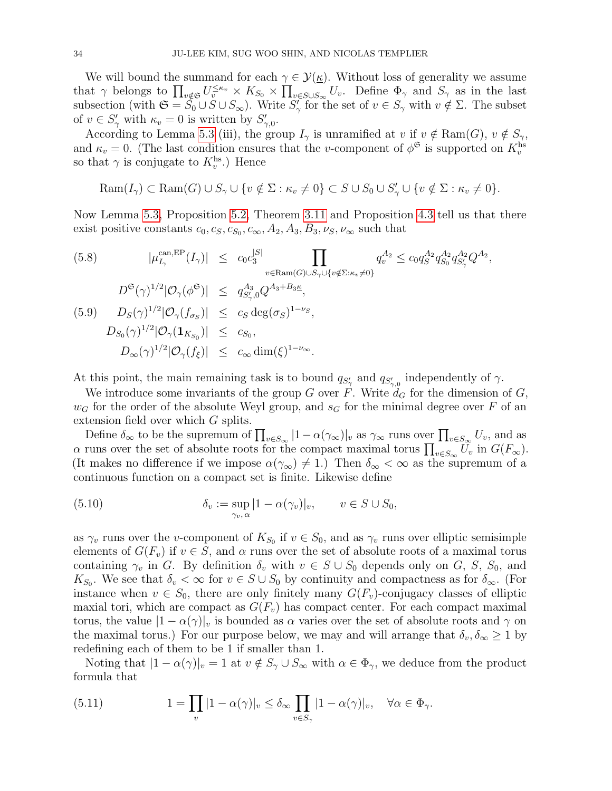We will bound the summand for each  $\gamma \in \mathcal{Y}(\underline{\kappa})$ . Without loss of generality we assume that  $\gamma$  belongs to  $\prod_{v \notin S} U_v^{\leq \kappa_v} \times K_{S_0} \times \prod_{v \in S \cup S_{\infty}} U_v$ . Define  $\Phi_{\gamma}$  and  $S_{\gamma}$  as in the last subsection (with  $\mathfrak{S} = \overline{S_0} \cup S \cup S_{\infty}$ ). Write  $S'_{\gamma}$  for the set of  $v \in S_{\gamma}$  with  $v \notin \Sigma$ . The subset of  $v \in S'_{\gamma}$  with  $\kappa_v = 0$  is written by  $S'_{\gamma,0}$ .

According to Lemma [5.3](#page-30-3) (iii), the group  $I_{\gamma}$  is unramified at v if  $v \notin \text{Ram}(G), v \notin S_{\gamma}$ , and  $\kappa_v = 0$ . (The last condition ensures that the v-component of  $\phi^{\mathfrak{S}}$  is supported on  $K_v^{\text{hs}}$ so that  $\gamma$  is conjugate to  $K_v^{\text{hs}}$ .) Hence

$$
\text{Ram}(I_{\gamma}) \subset \text{Ram}(G) \cup S_{\gamma} \cup \{v \notin \Sigma : \kappa_v \neq 0\} \subset S \cup S_0 \cup S'_{\gamma} \cup \{v \notin \Sigma : \kappa_v \neq 0\}.
$$

Now Lemma [5.3,](#page-30-3) Proposition [5.2,](#page-0-3) Theorem [3.11](#page-15-1) and Proposition [4.3](#page-18-1) tell us that there exist positive constants  $c_0, c_S, c_{S_0}, c_{\infty}, A_2, A_3, B_3, \nu_S, \nu_{\infty}$  such that

<span id="page-33-2"></span>(5.8) 
$$
|\mu_{I_{\gamma}}^{\text{can,EP}}(I_{\gamma})| \leq c_0 c_3^{|S|} \prod_{v \in \text{Ram}(G) \cup S_{\gamma} \cup \{v \notin \Sigma : \kappa_v \neq 0\}} q_v^{A_2} \leq c_0 q_S^{A_2} q_{S_0}^{A_2} q_{S_{\gamma}}^{A_2} Q^{A_2},
$$
  
\n
$$
D^{\mathfrak{S}}(\gamma)^{1/2} |\mathcal{O}_{\gamma}(\phi^{\mathfrak{S}})| \leq q_{S_{\gamma}'}^{A_3} Q^{A_3 + B_3 \underline{\kappa}},
$$
  
\n(5.9)  $D_S(\gamma)^{1/2} |\mathcal{O}_{\gamma}(f_{\sigma_S})| \leq c_S \deg(\sigma_S)^{1-\nu_S},$   
\n $D_{S_0}(\gamma)^{1/2} |\mathcal{O}_{\gamma}(1_{K_{S_0}})| \leq c_{S_0},$   
\n $D_{\infty}(\gamma)^{1/2} |\mathcal{O}_{\gamma}(f_{\xi})| \leq c_{\infty} \dim(\xi)^{1-\nu_{\infty}}.$ 

At this point, the main remaining task is to bound  $q_{S'_{\gamma}}$  and  $q_{S'_{\gamma,0}}$  independently of  $\gamma$ .

We introduce some invariants of the group G over F. Write  $d_G$  for the dimension of G,  $w_G$  for the order of the absolute Weyl group, and  $s_G$  for the minimal degree over F of an extension field over which G splits.

Define  $\delta_{\infty}$  to be the supremum of  $\prod_{v \in S_{\infty}} |1 - \alpha(\gamma_{\infty})|_v$  as  $\gamma_{\infty}$  runs over  $\prod_{v \in S_{\infty}} U_v$ , and as  $\alpha$  runs over the set of absolute roots for the compact maximal torus  $\prod_{v \in S_{\infty}} U_v$  in  $G(F_{\infty})$ . (It makes no difference if we impose  $\alpha(\gamma_{\infty}) \neq 1$ .) Then  $\delta_{\infty} < \infty$  as the supremum of a continuous function on a compact set is finite. Likewise define

<span id="page-33-1"></span>(5.10) 
$$
\delta_v := \sup_{\gamma_v, \alpha} |1 - \alpha(\gamma_v)|_v, \qquad v \in S \cup S_0,
$$

as  $\gamma_v$  runs over the *v*-component of  $K_{S_0}$  if  $v \in S_0$ , and as  $\gamma_v$  runs over elliptic semisimple elements of  $G(F_v)$  if  $v \in S$ , and  $\alpha$  runs over the set of absolute roots of a maximal torus containing  $\gamma_v$  in G. By definition  $\delta_v$  with  $v \in S \cup S_0$  depends only on G, S,  $S_0$ , and  $K_{S_0}$ . We see that  $\delta_v < \infty$  for  $v \in S \cup S_0$  by continuity and compactness as for  $\delta_{\infty}$ . (For instance when  $v \in S_0$ , there are only finitely many  $G(F_v)$ -conjugacy classes of elliptic maxial tori, which are compact as  $G(F_v)$  has compact center. For each compact maximal torus, the value  $|1 - \alpha(\gamma)|_v$  is bounded as  $\alpha$  varies over the set of absolute roots and  $\gamma$  on the maximal torus.) For our purpose below, we may and will arrange that  $\delta_v, \delta_{\infty} \geq 1$  by redefining each of them to be 1 if smaller than 1.

Noting that  $|1 - \alpha(\gamma)|_v = 1$  at  $v \notin S_\gamma \cup S_\infty$  with  $\alpha \in \Phi_\gamma$ , we deduce from the product formula that

<span id="page-33-0"></span>(5.11) 
$$
1 = \prod_{v} |1 - \alpha(\gamma)|_v \le \delta_\infty \prod_{v \in S_\gamma} |1 - \alpha(\gamma)|_v, \quad \forall \alpha \in \Phi_\gamma.
$$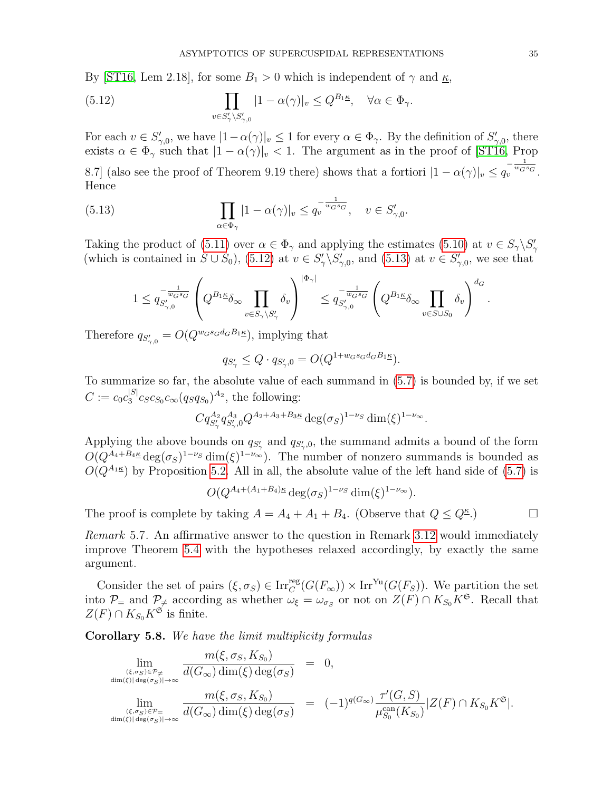By [\[ST16,](#page-45-5) Lem 2.18], for some  $B_1 > 0$  which is independent of  $\gamma$  and  $\underline{\kappa}$ ,

<span id="page-34-1"></span>(5.12) 
$$
\prod_{v \in S'_{\gamma} \backslash S'_{\gamma,0}} |1 - \alpha(\gamma)|_v \le Q^{B_1 \underline{\kappa}}, \quad \forall \alpha \in \Phi_{\gamma}.
$$

For each  $v \in S'_{\gamma,0}$ , we have  $|1-\alpha(\gamma)|_v \leq 1$  for every  $\alpha \in \Phi_{\gamma}$ . By the definition of  $S'_{\gamma,0}$ , there exists  $\alpha \in \Phi_{\gamma}$  such that  $|1 - \alpha(\gamma)|_{v} < 1$ . The argument as in the proof of [\[ST16,](#page-45-5) Prop

8.7] (also see the proof of Theorem 9.19 there) shows that a fortiori  $|1 - \alpha(\gamma)|_v \leq q_v^{-\frac{1}{w_G s_G}}$ . Hence

(5.13) 
$$
\prod_{\alpha \in \Phi_{\gamma}} |1 - \alpha(\gamma)|_{v} \leq q_{v}^{-\frac{1}{w_{G} s_{G}}}, \quad v \in S'_{\gamma,0}.
$$

Taking the product of [\(5.11\)](#page-33-0) over  $\alpha \in \Phi_{\gamma}$  and applying the estimates [\(5.10\)](#page-33-1) at  $v \in S_{\gamma} \backslash S_{\gamma}'$ (which is contained in  $S \cup S_0$ ), [\(5.12\)](#page-34-1) at  $v \in S'_\gamma \backslash S'_{\gamma,0}$ , and [\(5.13\)](#page-34-2) at  $v \in S'_{\gamma,0}$ , we see that

<span id="page-34-2"></span>
$$
1 \leq q_{S'_{\gamma,0}}^{-\frac{1}{w_G s_G}} \left(Q^{B_1 \underline{\kappa}} \delta_\infty \prod_{v \in S_\gamma \backslash S'_\gamma} \delta_v\right)^{|\Phi_\gamma|} \leq q_{S'_{\gamma,0}}^{-\frac{1}{w_G s_G}} \left(Q^{B_1 \underline{\kappa}} \delta_\infty \prod_{v \in S \cup S_0} \delta_v\right)^{d_G}.
$$

Therefore  $q_{S'_{\gamma,0}} = O(Q^{w_G s_G d_G B_1 \underline{\kappa}})$ , implying that

$$
q_{S'_{\gamma}} \le Q \cdot q_{S'_{\gamma},0} = O(Q^{1+w_G s_G d_G B_1 \kappa}).
$$

To summarize so far, the absolute value of each summand in [\(5.7\)](#page-32-1) is bounded by, if we set  $C := c_0 c_3^{|S|}$  $S_3^{|S|} c_S c_{S_0} c_{\infty} (q_S q_{S_0})^{A_2}$ , the following:

$$
Cq_{S'_{\gamma}}^{A_2}q_{S'_{\gamma},0}^{A_3}Q^{A_2+A_3+B_3\underline{\kappa}}\deg(\sigma_S)^{1-\nu_S}\dim(\xi)^{1-\nu_{\infty}}.
$$

Applying the above bounds on  $q_{S'_{\gamma}}$  and  $q_{S'_{\gamma},0}$ , the summand admits a bound of the form  $O(Q^{A_4+B_4\underline{\kappa}}\deg(\sigma_S)^{1-\nu_S}\dim(\xi)^{1-\nu_\infty})$ . The number of nonzero summands is bounded as  $O(Q^{A_1}\xi)$  by Proposition [5.2.](#page-0-3) All in all, the absolute value of the left hand side of [\(5.7\)](#page-32-1) is

$$
O(Q^{A_4 + (A_1 + B_4)\kappa} \deg(\sigma_S)^{1-\nu_S} \dim(\xi)^{1-\nu_\infty}).
$$

The proof is complete by taking  $A = A_4 + A_1 + B_4$ . (Observe that  $Q \le Q^{\kappa}$ .)

Remark 5.7. An affirmative answer to the question in Remark [3.12](#page-15-3) would immediately improve Theorem [5.4](#page-32-0) with the hypotheses relaxed accordingly, by exactly the same argument.

Consider the set of pairs  $(\xi, \sigma_S) \in \text{Irr}_C^{\text{reg}}(G(F_\infty)) \times \text{Irr}^{\text{Yu}}(G(F_S))$ . We partition the set into  $\mathcal{P}_=$  and  $\mathcal{P}_{\neq}$  according as whether  $\omega_{\xi} = \omega_{\sigma_S}$  or not on  $Z(F) \cap K_{S_0}K^{\mathfrak{S}}$ . Recall that  $Z(F) \cap K_{S_0}K^{\mathfrak{S}}$  is finite.

<span id="page-34-0"></span>Corollary 5.8. We have the limit multiplicity formulas

$$
\lim_{\substack{(\xi,\sigma_S)\in\mathcal{P}_{\neq}\atop\dim(\xi)|\deg(\sigma_S)|\to\infty}}\frac{m(\xi,\sigma_S,K_{S_0})}{d(G_{\infty})\dim(\xi)\deg(\sigma_S)} = 0,
$$
\n
$$
\lim_{\substack{(\xi,\sigma_S)\in\mathcal{P}_{=}\atop\dim(\xi)|\deg(\sigma_S)|\to\infty}}\frac{m(\xi,\sigma_S,K_{S_0})}{d(G_{\infty})\dim(\xi)\deg(\sigma_S)} = (-1)^{q(G_{\infty})}\frac{\tau'(G,S)}{\mu_{S_0}^{\text{can}}(K_{S_0})}|Z(F)\cap K_{S_0}K^{\mathfrak{S}}|.
$$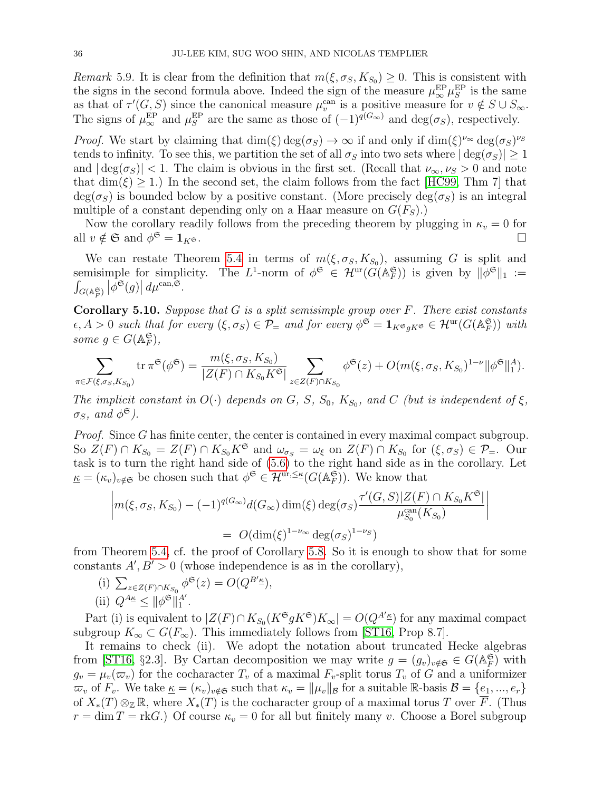Remark 5.9. It is clear from the definition that  $m(\xi, \sigma_S, K_{S_0}) \geq 0$ . This is consistent with the signs in the second formula above. Indeed the sign of the measure  $\mu_{\infty}^{\text{EP}}\mu_{S}^{\text{EP}}$  is the same as that of  $\tau'(G, S)$  since the canonical measure  $\mu_v^{\text{can}}$  is a positive measure for  $v \notin S \cup S_{\infty}$ . The signs of  $\mu_{\infty}^{\text{EP}}$  and  $\mu_{S}^{\text{EP}}$  are the same as those of  $(-1)^{q(G_{\infty})}$  and  $\deg(\sigma_{S})$ , respectively.

*Proof.* We start by claiming that  $\dim(\xi) \deg(\sigma_S) \to \infty$  if and only if  $\dim(\xi)^{\nu_\infty} \deg(\sigma_S)^{\nu_S}$ tends to infinity. To see this, we partition the set of all  $\sigma_S$  into two sets where  $|\deg(\sigma_S)| \geq 1$ and  $|\deg(\sigma_S)| < 1$ . The claim is obvious in the first set. (Recall that  $\nu_{\infty}, \nu_S > 0$  and note that  $\dim(\xi) > 1$ .) In the second set, the claim follows from the fact [\[HC99,](#page-44-22) Thm 7] that  $deg(\sigma_S)$  is bounded below by a positive constant. (More precisely  $deg(\sigma_S)$  is an integral multiple of a constant depending only on a Haar measure on  $G(F_S)$ .

Now the corollary readily follows from the preceding theorem by plugging in  $\kappa_v = 0$  for all  $v \notin \mathfrak{S}$  and  $\phi^{\mathfrak{S}} = \mathbf{1}_{K^{\mathfrak{S}}}$ .  $\mathfrak{S} = \mathbf{1}_K$  $\mathfrak{S}$ .

We can restate Theorem [5.4](#page-32-0) in terms of  $m(\xi, \sigma_S, K_{S_0})$ , assuming G is split and semisimple for simplicity. The L<sup>1</sup>-norm of  $\phi^{\mathfrak{S}} \in \mathcal{H}^{\text{ur}}(\widetilde{G}(\mathbb{A}_F^{\mathfrak{S}}))$  is given by  $\|\phi^{\mathfrak{S}}\|_1 :=$  $\int_{G(\mathbb{A}_F^{\mathfrak{S}})} \left|\phi^{\mathfrak{S}}(g)\right| d\mu^{\operatorname{can},\mathfrak{S}}.$ 

<span id="page-35-0"></span>Corollary 5.10. Suppose that  $G$  is a split semisimple group over  $F$ . There exist constants  $\epsilon, A > 0$  such that for every  $(\xi, \sigma_S) \in \mathcal{P}_=$  and for every  $\phi^{\mathfrak{S}} = \mathbf{1}_{K^{\mathfrak{S}} g K^{\mathfrak{S}}} \in \mathcal{H}^{\mathrm{ur}}(G(\mathbb{A}_F^{\mathfrak{S}}))$  with some  $g \in G(\mathbb{A}_F^{\mathfrak{S}})$ ,

$$
\sum_{\pi \in \mathcal{F}(\xi,\sigma_S,K_{S_0})} \text{tr}\,\pi^{\mathfrak{S}}(\phi^{\mathfrak{S}}) = \frac{m(\xi,\sigma_S,K_{S_0})}{|Z(F) \cap K_{S_0}K^{\mathfrak{S}}|} \sum_{z \in Z(F) \cap K_{S_0}} \phi^{\mathfrak{S}}(z) + O(m(\xi,\sigma_S,K_{S_0})^{1-\nu} ||\phi^{\mathfrak{S}}||_1^A).
$$

The implicit constant in  $O(\cdot)$  depends on G, S,  $S_0$ ,  $K_{S_0}$ , and C (but is independent of  $\xi$ ,  $\sigma_S$ , and  $\phi^{\mathfrak{S}}$ ).

Proof. Since G has finite center, the center is contained in every maximal compact subgroup. So  $Z(F) \cap K_{S_0} = Z(F) \cap K_{S_0} K^{\mathfrak{S}}$  and  $\omega_{\sigma_S} = \omega_{\xi}$  on  $Z(F) \cap K_{S_0}$  for  $(\xi, \sigma_S) \in \mathcal{P}_=$ . Our task is to turn the right hand side of [\(5.6\)](#page-30-2) to the right hand side as in the corollary. Let  $\underline{\kappa} = (\kappa_v)_{v \notin \mathfrak{S}}$  be chosen such that  $\phi^{\mathfrak{S}} \in \mathcal{H}^{\text{ur}, \leq \underline{\kappa}}(G(\mathbb{A}_F^{\mathfrak{S}})).$  We know that

$$
\left| m(\xi, \sigma_S, K_{S_0}) - (-1)^{q(G_{\infty})} d(G_{\infty}) \dim(\xi) \deg(\sigma_S) \frac{\tau'(G, S)|Z(F) \cap K_{S_0} K^{\mathfrak{S}}|}{\mu_{S_0}^{\text{can}}(K_{S_0})}\right|
$$
  
=  $O(\dim(\xi)^{1-\nu_{\infty}} \deg(\sigma_S)^{1-\nu_S})$ 

from Theorem [5.4,](#page-32-0) cf. the proof of Corollary [5.8.](#page-34-0) So it is enough to show that for some constants  $A, B' > 0$  (whose independence is as in the corollary),

(i) 
$$
\sum_{z \in Z(F) \cap K_{S_0}} \phi^{\mathfrak{S}}(z) = O(Q^{B'_{\underline{\kappa}}}),
$$
  
(ii)  $Q^{A_{\underline{\kappa}}} \leq ||\phi^{\mathfrak{S}}||_1^{A'}$ .

Part (i) is equivalent to  $|Z(F) \cap K_{S_0}(K^{\mathfrak{S}} g K^{\mathfrak{S}}) K_{\infty}| = O(Q^{A'_{\mathfrak{S}}})$  for any maximal compact subgroup  $K_{\infty} \subset G(F_{\infty})$ . This immediately follows from [\[ST16,](#page-45-5) Prop 8.7].

It remains to check (ii). We adopt the notation about truncated Hecke algebras from [\[ST16,](#page-45-5) §2.3]. By Cartan decomposition we may write  $g = (g_v)_{v \notin \mathfrak{S}} \in G(\mathbb{A}_F^{\mathfrak{S}})$  with  $g_v = \mu_v(\varpi_v)$  for the cocharacter  $T_v$  of a maximal  $F_v$ -split torus  $T_v$  of G and a uniformizer  $\overline{\omega}_v$  of  $F_v$ . We take  $\underline{\kappa} = (\kappa_v)_{v \notin \mathfrak{S}}$  such that  $\kappa_v = ||\mu_v||_{\mathcal{B}}$  for a suitable R-basis  $\mathcal{B} = \{e_1, ..., e_r\}$ of  $X_*(T) \otimes_{\mathbb{Z}} \mathbb{R}$ , where  $X_*(T)$  is the cocharacter group of a maximal torus T over F. (Thus  $r = \dim T = \text{rk}G$ .) Of course  $\kappa_v = 0$  for all but finitely many v. Choose a Borel subgroup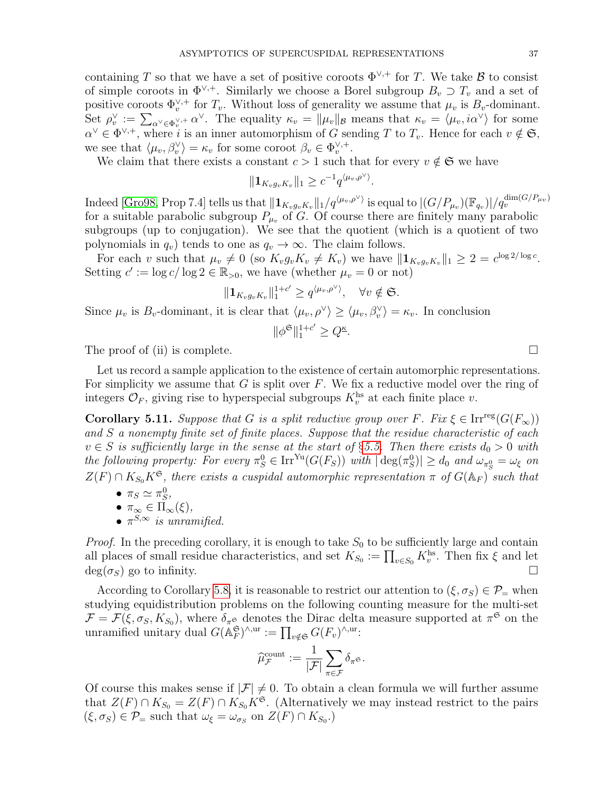containing T so that we have a set of positive coroots  $\Phi^{\vee,+}$  for T. We take B to consist of simple coroots in  $\Phi^{\vee,+}$ . Similarly we choose a Borel subgroup  $B_v \supset T_v$  and a set of positive coroots  $\Phi_v^{\vee,+}$  for  $T_v$ . Without loss of generality we assume that  $\mu_v$  is  $B_v$ -dominant. Set  $\rho_v^{\vee} := \sum_{\alpha^{\vee} \in \Phi_v^{\vee}, +} \alpha^{\vee}$ . The equality  $\kappa_v = ||\mu_v||_{\mathcal{B}}$  means that  $\kappa_v = \langle \mu_v, i\alpha^{\vee} \rangle$  for some  $\alpha^{\vee} \in \Phi^{\vee,+}$ , where i is an inner automorphism of G sending T to  $T_v$ . Hence for each  $v \notin \mathfrak{S}$ , we see that  $\langle \mu_v, \beta_v^{\vee} \rangle = \kappa_v$  for some coroot  $\beta_v \in \Phi_v^{\vee,+}$ .

We claim that there exists a constant  $c > 1$  such that for every  $v \notin \mathfrak{S}$  we have

$$
\|\mathbf{1}_{K_v g_v K_v}\|_1 \geq c^{-1} q^{\langle \mu_v, \rho^\vee \rangle}
$$

.

Indeed [\[Gro98,](#page-44-23) Prop 7.4] tells us that  $\|\mathbf{1}_{K_vg_vK_v}\|_1/q^{\langle\mu_v,\rho^\vee\rangle}$  is equal to  $|(G/P_{\mu_v})(\mathbb{F}_{q_v})|/q_v^{\dim(G/P_{\mu_v})}$ for a suitable parabolic subgroup  $P_{\mu\nu}$  of G. Of course there are finitely many parabolic subgroups (up to conjugation). We see that the quotient (which is a quotient of two polynomials in  $q_v$ ) tends to one as  $q_v \to \infty$ . The claim follows.

For each v such that  $\mu_v \neq 0$  (so  $K_v g_v K_v \neq K_v$ ) we have  $\|\mathbf{1}_{K_v g_v K_v}\|_1 \geq 2 = c^{\log 2/\log c}$ . Setting  $c' := \log c / \log 2 \in \mathbb{R}_{>0}$ , we have (whether  $\mu_v = 0$  or not)

$$
\|\mathbf{1}_{K_v g_v K_v}\|_1^{1+c'} \geq q^{\langle \mu_v, \rho^\vee \rangle}, \quad \forall v \notin \mathfrak{S}.
$$

Since  $\mu_v$  is  $B_v$ -dominant, it is clear that  $\langle \mu_v, \rho^\vee \rangle \ge \langle \mu_v, \beta_v^\vee \rangle = \kappa_v$ . In conclusion

$$
\|\phi^{\mathfrak{S}}\|_1^{1+c'}\geq Q^{\underline{\kappa}}.
$$

The proof of (ii) is complete.  $\Box$ 

Let us record a sample application to the existence of certain automorphic representations. For simplicity we assume that  $G$  is split over  $F$ . We fix a reductive model over the ring of integers  $\mathcal{O}_F$ , giving rise to hyperspecial subgroups  $K_v^{\text{hs}}$  at each finite place v.

<span id="page-36-0"></span>**Corollary 5.11.** Suppose that G is a split reductive group over F. Fix  $\xi \in \text{Irr}^{\text{reg}}(G(F_{\infty}))$ and S a nonempty finite set of finite places. Suppose that the residue characteristic of each  $v \in S$  is sufficiently large in the sense at the start of §[5.5.](#page-31-0) Then there exists  $d_0 > 0$  with the following property: For every  $\pi_S^0 \in \text{Irr}^{\text{Yu}}(G(F_S))$  with  $|\deg(\pi_S^0)| \geq d_0$  and  $\omega_{\pi_S^0} = \omega_{\xi}$  on  $Z(F) \cap K_{S_0}K^{\mathfrak{S}}$ , there exists a cuspidal automorphic representation  $\pi$  of  $G(\mathbb{A}_F)$  such that

- $\bullet$   $\pi_S \simeq \pi_S^0$ ,
- $\pi_{\infty} \in \Pi_{\infty}(\xi),$
- $\pi^{S,\infty}$  is unramified.

*Proof.* In the preceding corollary, it is enough to take  $S_0$  to be sufficiently large and contain all places of small residue characteristics, and set  $K_{S_0} := \prod_{v \in S_0} K_v^{\text{hs}}$ . Then fix  $\xi$  and let  $deg(\sigma_S)$  go to infinity.

According to Corollary [5.8,](#page-34-0) it is reasonable to restrict our attention to  $(\xi, \sigma_S) \in \mathcal{P}_=$  when studying equidistribution problems on the following counting measure for the multi-set  $\mathcal{F} = \mathcal{F}(\xi, \sigma_S, K_{S_0})$ , where  $\delta_{\pi^S}$  denotes the Dirac delta measure supported at  $\pi^S$  on the unramified unitary dual  $G(\mathbb{A}_F^{\mathfrak{S}})^{\wedge,\text{ur}} := \prod_{v \notin \mathfrak{S}} G(F_v)^{\wedge,\text{ur}}$ :

$$
\widehat{\mu}_{\mathcal{F}}^{\text{count}} := \frac{1}{|\mathcal{F}|} \sum_{\pi \in \mathcal{F}} \delta_{\pi^{\mathfrak{S}}}.
$$

Of course this makes sense if  $|\mathcal{F}| \neq 0$ . To obtain a clean formula we will further assume that  $Z(F) \cap K_{S_0} = Z(F) \cap K_{S_0}K^{\mathfrak{S}}$ . (Alternatively we may instead restrict to the pairs  $(\xi, \sigma_S) \in \mathcal{P}_=$  such that  $\omega_{\xi} = \omega_{\sigma_S}$  on  $Z(F) \cap K_{S_0}$ .)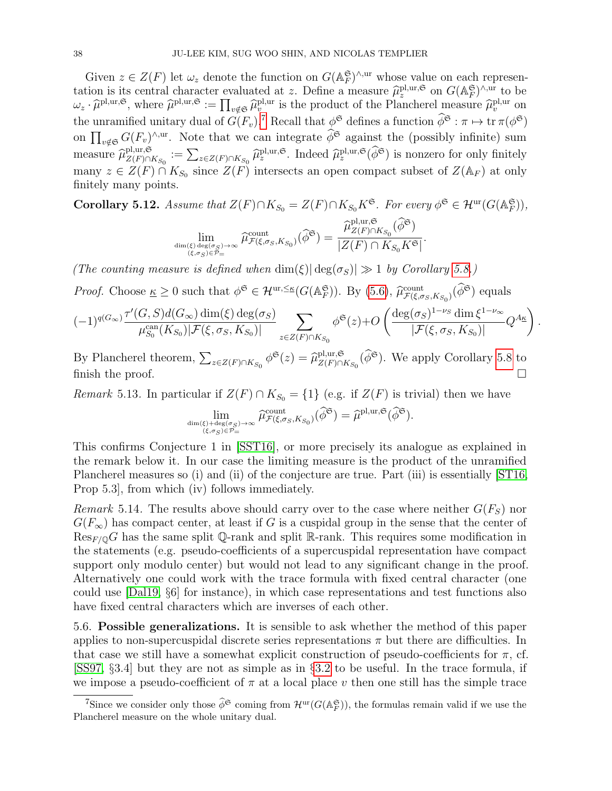Given  $z \in Z(F)$  let  $\omega_z$  denote the function on  $G(\mathbb{A}_F^{\mathfrak{S}})^{\wedge,\text{ur}}$  whose value on each representation is its central character evaluated at z. Define a measure  $\hat{\mu}_z^{\text{pl},\text{ur}},$  on  $G(\mathbb{A}_F^{\mathfrak{S}})^{\wedge,\text{ur}}$  to be  $\omega_z \cdot \hat{\mu}^{\text{pl,ur},\mathfrak{S}},$  where  $\hat{\mu}^{\text{pl,ur},\mathfrak{S}} := \prod_{v \notin \mathfrak{S}} \hat{\mu}^{\text{pl,ur}}_v$  is the product of the Plancherel measure  $\hat{\mu}^{\text{pl,ur}}_v$  on the unramified unitary dual of  $G(F_v)$ .<sup>[7](#page-37-0)</sup> Recall that  $\phi^{\mathfrak{S}}$  defines a function  $\widetilde{\phi}^{\mathfrak{S}} : \pi \mapsto \text{tr } \pi(\phi^{\mathfrak{S}})$ on  $\prod_{v \notin \mathfrak{S}} G(F_v)^{\wedge, \text{ur}}$ . Note that we can integrate  $\phi^{\mathfrak{S}}$  against the (possibly infinite) sum measure  $\widehat{\mu}_{Z(F)\cap}^{\text{pl},\text{ur},\mathfrak{S}}$ pl,ur, $\mathcal{S}_{Z(F)\cap K_{S_0}} := \sum_{z\in Z(F)\cap K_{S_0}} \widehat{\mu}_z^{\text{pl},\text{ur}}, \mathcal{S}$ . Indeed  $\widehat{\mu}_z^{\text{pl},\text{ur}}, \mathcal{S}(\phi^{\mathfrak{S}})$  is nonzero for only finitely many  $z \in Z(F) \cap K_{S_0}$  since  $Z(F)$  intersects an open compact subset of  $Z(\mathbb{A}_F)$  at only finitely many points.

Corollary 5.12. Assume that 
$$
Z(F) \cap K_{S_0} = Z(F) \cap K_{S_0} K^{\mathfrak{S}}
$$
. For every  $\phi^{\mathfrak{S}} \in \mathcal{H}^{\text{ur}}(G(\mathbb{A}_F^{\mathfrak{S}})),$ 

$$
\lim_{\dim(\xi)\deg(\sigma_S)\to\infty \atop (\xi,\sigma_S)\in\mathcal{P}=\mu} \widehat{\mu}^{\mathrm{count}}_{\mathcal{F}(\xi,\sigma_S,K_{S_0})}(\widehat{\phi}^{\mathfrak{S}})=\frac{\widehat{\mu}^{\mathrm{pl},\mathrm{ur},\mathfrak{S}}_{Z(F)\cap K_{S_0}}(\widehat{\phi}^{\mathfrak{S}})}{|Z(F)\cap K_{S_0}K^{\mathfrak{S}}|}
$$

.

(The counting measure is defined when  $\dim(\xi)|\deg(\sigma_S)| \gg 1$  by Corollary [5.8.](#page-34-0))

*Proof.* Choose 
$$
\underline{\kappa} \ge 0
$$
 such that  $\phi^{\mathfrak{S}} \in \mathcal{H}^{ur, \leq \underline{\kappa}}(G(\mathbb{A}_F^{\mathfrak{S}}))$ . By (5.6),  $\widehat{\mu}_{\mathcal{F}(\xi, \sigma_S, K_{S_0})}^{\text{count}}(\widehat{\phi}^{\mathfrak{S}})$  equals

$$
(-1)^{q(G_{\infty})}\frac{\tau'(G, S)d(G_{\infty})\dim(\xi)\deg(\sigma_S)}{\mu_{S_0}^{\text{can}}(K_{S_0})|\mathcal{F}(\xi, \sigma_S, K_{S_0})|}\sum_{z\in Z(F)\cap K_{S_0}}\phi^{\mathfrak{S}}(z)+O\left(\frac{\deg(\sigma_S)^{1-\nu_S}\dim\xi^{1-\nu_{\infty}}}{|\mathcal{F}(\xi, \sigma_S, K_{S_0})|}Q^{A_{\underline{K}}}\right).
$$

By Plancherel theorem,  $\sum_{z \in Z(F) \cap K_{S_0}} \phi^{\mathfrak{S}}(z) = \widehat{\mu}_{Z(F) \cap K}^{pl,ur, \mathfrak{S}}$  $Z(F) \cap K_{S_0}(\phi^{\mathfrak{S}})$ . We apply Corollary [5.8](#page-34-0) to finish the proof.  $\Box$ 

Remark 5.13. In particular if  $Z(F) \cap K_{S_0} = \{1\}$  (e.g. if  $Z(F)$  is trivial) then we have

$$
\lim_{\dim(\xi)+\deg(\sigma_S)\to\infty\atop(\xi,\sigma_S)\in\mathcal{P}=\widetilde{\mu}}\widehat{\mu}^{\mathrm{count}}_{\mathcal{F}(\xi,\sigma_S,K_{S_0})}(\widehat{\phi}^{\mathfrak{S}})=\widehat{\mu}^{\mathrm{pl},\mathrm{ur},\mathfrak{S}}(\widehat{\phi}^{\mathfrak{S}}).
$$

This confirms Conjecture 1 in [\[SST16\]](#page-45-7), or more precisely its analogue as explained in the remark below it. In our case the limiting measure is the product of the unramified Plancherel measures so (i) and (ii) of the conjecture are true. Part (iii) is essentially [\[ST16,](#page-45-5) Prop 5.3], from which (iv) follows immediately.

Remark 5.14. The results above should carry over to the case where neither  $G(F_S)$  nor  $G(F_{\infty})$  has compact center, at least if G is a cuspidal group in the sense that the center of  $\text{Res}_{F/\mathbb{Q}}G$  has the same split Q-rank and split R-rank. This requires some modification in the statements (e.g. pseudo-coefficients of a supercuspidal representation have compact support only modulo center) but would not lead to any significant change in the proof. Alternatively one could work with the trace formula with fixed central character (one could use [\[Dal19,](#page-43-24) §6] for instance), in which case representations and test functions also have fixed central characters which are inverses of each other.

5.6. Possible generalizations. It is sensible to ask whether the method of this paper applies to non-supercuspidal discrete series representations  $\pi$  but there are difficulties. In that case we still have a somewhat explicit construction of pseudo-coefficients for  $\pi$ , cf. [\[SS97,](#page-45-17) §3.4] but they are not as simple as in §[3.2](#page-9-4) to be useful. In the trace formula, if we impose a pseudo-coefficient of  $\pi$  at a local place v then one still has the simple trace

<span id="page-37-0"></span><sup>&</sup>lt;sup>7</sup>Since we consider only those  $\widehat{\phi}^{\mathfrak{S}}$  coming from  $\mathcal{H}^{\text{ur}}(G(\mathbb{A}_F^{\mathfrak{S}}))$ , the formulas remain valid if we use the Plancherel measure on the whole unitary dual.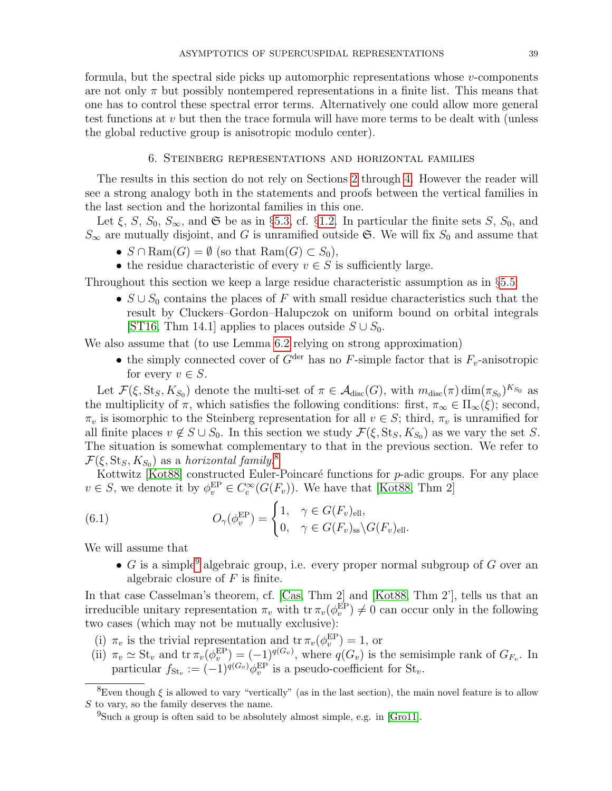formula, but the spectral side picks up automorphic representations whose  $v$ -components are not only  $\pi$  but possibly nontempered representations in a finite list. This means that one has to control these spectral error terms. Alternatively one could allow more general test functions at v but then the trace formula will have more terms to be dealt with (unless the global reductive group is anisotropic modulo center).

### 6. Steinberg representations and horizontal families

<span id="page-38-0"></span>The results in this section do not rely on Sections [2](#page-6-0) through [4.](#page-17-0) However the reader will see a strong analogy both in the statements and proofs between the vertical families in the last section and the horizontal families in this one.

Let  $\xi$ , S,  $S_0$ ,  $S_{\infty}$ , and  $\mathfrak{S}$  be as in §[5.3,](#page-28-0) cf. §[1.2.](#page-2-0) In particular the finite sets S,  $S_0$ , and  $S_{\infty}$  are mutually disjoint, and G is unramified outside G. We will fix  $S_0$  and assume that

- $S \cap \text{Ram}(G) = \emptyset$  (so that  $\text{Ram}(G) \subset S_0$ ),
- the residue characteristic of every  $v \in S$  is sufficiently large.

Throughout this section we keep a large residue characteristic assumption as in §[5.5:](#page-31-0)

•  $S \cup S_0$  contains the places of F with small residue characteristics such that the result by Cluckers–Gordon–Halupczok on uniform bound on orbital integrals [\[ST16,](#page-45-5) Thm 14.1] applies to places outside  $S \cup S_0$ .

We also assume that (to use Lemma [6.2](#page-39-1) relying on strong approximation)

• the simply connected cover of  $G^{\text{der}}$  has no F-simple factor that is  $F_v$ -anisotropic for every  $v \in S$ .

Let  $\mathcal{F}(\xi, \text{St}_S, K_{S_0})$  denote the multi-set of  $\pi \in \mathcal{A}_{\text{disc}}(G)$ , with  $m_{\text{disc}}(\pi) \dim(\pi_{S_0})^{K_{S_0}}$  as the multiplicity of  $\pi$ , which satisfies the following conditions: first,  $\pi_{\infty} \in \Pi_{\infty}(\xi)$ ; second,  $\pi_v$  is isomorphic to the Steinberg representation for all  $v \in S$ ; third,  $\pi_v$  is unramified for all finite places  $v \notin S \cup S_0$ . In this section we study  $\mathcal{F}(\xi, \text{St}_S, K_{S_0})$  as we vary the set S. The situation is somewhat complementary to that in the previous section. We refer to  $\mathcal{F}(\xi, \operatorname{St}_S, K_{S_0})$  as a horizontal family.<sup>[8](#page-38-1)</sup>

Kottwitz [\[Kot88\]](#page-44-8) constructed Euler-Poincaré functions for  $p$ -adic groups. For any place  $v \in S$ , we denote it by  $\phi_v^{\text{EP}} \in C_c^{\infty}(G(F_v))$ . We have that [\[Kot88,](#page-44-8) Thm 2]

(6.1) 
$$
O_{\gamma}(\phi_v^{\text{EP}}) = \begin{cases} 1, & \gamma \in G(F_v)_{\text{ell}}, \\ 0, & \gamma \in G(F_v)_{\text{ss}} \backslash G(F_v)_{\text{ell}}. \end{cases}
$$

We will assume that

<span id="page-38-3"></span>• G is a simple<sup>[9](#page-38-2)</sup> algebraic group, i.e. every proper normal subgroup of G over an algebraic closure of  $F$  is finite.

In that case Casselman's theorem, cf. [\[Cas,](#page-43-25) Thm 2] and [\[Kot88,](#page-44-8) Thm 2'], tells us that an irreducible unitary representation  $\pi_v$  with  $\text{tr } \pi_v(\phi_v^{\text{EP}}) \neq 0$  can occur only in the following two cases (which may not be mutually exclusive):

- (i)  $\pi_v$  is the trivial representation and  $\operatorname{tr} \pi_v(\phi_v^{\text{EP}}) = 1$ , or
- (ii)  $\pi_v \simeq \text{St}_v$  and  $\text{tr } \pi_v(\phi_v^{\text{EP}}) = (-1)^{q(G_v)}$ , where  $q(G_v)$  is the semisimple rank of  $G_{F_v}$ . In particular  $f_{\text{St}_v} := (-1)^{q(G_v)} \phi_v^{\text{EP}}$  is a pseudo-coefficient for  $\text{St}_v$ .

<span id="page-38-1"></span><sup>&</sup>lt;sup>8</sup>Even though  $\xi$  is allowed to vary "vertically" (as in the last section), the main novel feature is to allow S to vary, so the family deserves the name.

<span id="page-38-2"></span><sup>&</sup>lt;sup>9</sup>Such a group is often said to be absolutely almost simple, e.g. in [\[Gro11\]](#page-44-0).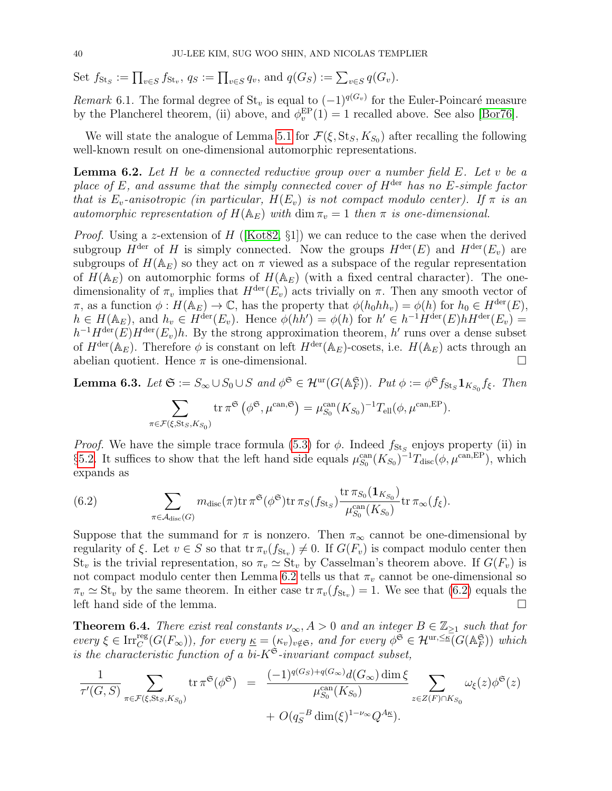Set  $f_{\text{St}_S} := \prod_{v \in S} f_{\text{St}_v}, q_S := \prod_{v \in S} q_v$ , and  $q(G_S) := \sum_{v \in S} q(G_v)$ .

Remark 6.1. The formal degree of  $St_v$  is equal to  $(-1)^{q(G_v)}$  for the Euler-Poincaré measure by the Plancherel theorem, (ii) above, and  $\phi_v^{EP}(1) = 1$  recalled above. See also [\[Bor76\]](#page-43-26).

We will state the analogue of Lemma [5.1](#page-28-1) for  $\mathcal{F}(\xi, \text{St}_S, K_{S_0})$  after recalling the following well-known result on one-dimensional automorphic representations.

<span id="page-39-1"></span>**Lemma 6.2.** Let  $H$  be a connected reductive group over a number field  $E$ . Let  $v$  be a place of E, and assume that the simply connected cover of  $H<sup>der</sup>$  has no E-simple factor that is  $E_v$ -anisotropic (in particular,  $H(E_v)$  is not compact modulo center). If  $\pi$  is an automorphic representation of  $H(\mathbb{A}_E)$  with  $\dim \pi_v = 1$  then  $\pi$  is one-dimensional.

*Proof.* Using a z-extension of H ([\[Kot82,](#page-44-24)  $\S1$ ]) we can reduce to the case when the derived subgroup  $H^{\text{der}}$  of H is simply connected. Now the groups  $H^{\text{der}}(E)$  and  $H^{\text{der}}(E_v)$  are subgroups of  $H(\mathbb{A}_E)$  so they act on  $\pi$  viewed as a subspace of the regular representation of  $H(\mathbb{A}_E)$  on automorphic forms of  $H(\mathbb{A}_E)$  (with a fixed central character). The onedimensionality of  $\pi_v$  implies that  $H^{\text{der}}(E_v)$  acts trivially on  $\pi$ . Then any smooth vector of  $\pi$ , as a function  $\phi: H(\mathbb{A}_E) \to \mathbb{C}$ , has the property that  $\phi(h_0hh_v) = \phi(h)$  for  $h_0 \in H^{\text{der}}(E)$ ,  $h \in H(\mathbb{A}_E)$ , and  $h_v \in H^{\text{der}}(E_v)$ . Hence  $\phi(hh') = \phi(h)$  for  $h' \in h^{-1}H^{\text{der}}(E)hH^{\text{der}}(E_v) =$  $h^{-1}H^{\text{der}}(E)H^{\text{der}}(E_v)h$ . By the strong approximation theorem, h' runs over a dense subset of  $H^{\text{der}}(\mathbb{A}_E)$ . Therefore  $\phi$  is constant on left  $H^{\text{der}}(\mathbb{A}_E)$ -cosets, i.e.  $H(\mathbb{A}_E)$  acts through an abelian quotient. Hence  $\pi$  is one-dimensional.

**Lemma 6.3.** Let  $\mathfrak{S} := S_{\infty} \cup S_0 \cup S$  and  $\phi^{\mathfrak{S}} \in \mathcal{H}^{\text{ur}}(G(\mathbb{A}_F^{\mathfrak{S}}))$ . Put  $\phi := \phi^{\mathfrak{S}} f_{\text{St}_S} \mathbf{1}_{K_{S_0}} f_{\xi}$ . Then  $\sum$  $\pi \in \mathcal{F}(\xi, \mathrm{St}_S, K_{S_0})$ tr  $\pi^{\mathfrak{S}}(\phi^{\mathfrak{S}},\mu^{\text{can},\mathfrak{S}})=\mu^{\text{can}}_{S_0}(K_{S_0})^{-1}T_{\text{ell}}(\phi,\mu^{\text{can},\text{EP}}).$ 

*Proof.* We have the simple trace formula [\(5.3\)](#page-27-2) for  $\phi$ . Indeed  $f_{\text{St}_S}$  enjoys property (ii) in §[5.2.](#page-27-0) It suffices to show that the left hand side equals  $\mu_{S_0}^{\text{can}}(K_{S_0})^{-1}T_{\text{disc}}(\phi, \mu^{\text{can,EP}})$ , which expands as

<span id="page-39-2"></span>(6.2) 
$$
\sum_{\pi \in \mathcal{A}_{\text{disc}}(G)} m_{\text{disc}}(\pi) \text{tr} \pi^{\mathfrak{S}}(\phi^{\mathfrak{S}}) \text{tr} \pi_{S}(f_{\text{St}_{S}}) \frac{\text{tr} \pi_{S_{0}}(\mathbf{1}_{K_{S_{0}}})}{\mu_{S_{0}}^{\text{can}}(K_{S_{0}})} \text{tr} \pi_{\infty}(f_{\xi}).
$$

Suppose that the summand for  $\pi$  is nonzero. Then  $\pi_{\infty}$  cannot be one-dimensional by regularity of  $\xi$ . Let  $v \in S$  so that  $tr \pi_v(f_{St_v}) \neq 0$ . If  $G(F_v)$  is compact modulo center then  $St_v$  is the trivial representation, so  $\pi_v \simeq St_v$  by Casselman's theorem above. If  $G(F_v)$  is not compact modulo center then Lemma [6.2](#page-39-1) tells us that  $\pi_v$  cannot be one-dimensional so  $\pi_v \simeq \text{St}_v$  by the same theorem. In either case tr  $\pi_v(f_{\text{St}_v}) = 1$ . We see that [\(6.2\)](#page-39-2) equals the left hand side of the lemma.

<span id="page-39-0"></span>**Theorem 6.4.** There exist real constants  $\nu_{\infty}$ ,  $A > 0$  and an integer  $B \in \mathbb{Z}_{\geq 1}$  such that for every  $\xi \in \text{Irr}_{C}^{\text{reg}}(G(F_{\infty}))$ , for every  $\underline{\kappa} = (\kappa_{v})_{v \notin \mathfrak{S}}$ , and for every  $\phi^{\mathfrak{S}} \in \mathcal{H}^{\text{ur}, \leq \underline{\kappa}}(G(\mathbb{A}_{F}^{\mathfrak{S}}))$  which is the characteristic function of a bi- $K^{\mathfrak{S}}$ -invariant compact subset,

$$
\frac{1}{\tau'(G, S)} \sum_{\pi \in \mathcal{F}(\xi, \text{St}_S, K_{S_0})} \text{tr}\,\pi^{\mathfrak{S}}(\phi^{\mathfrak{S}}) = \frac{(-1)^{q(G_S)+q(G_{\infty})} d(G_{\infty}) \dim \xi}{\mu_{S_0}^{\text{can}}(K_{S_0})} \sum_{z \in Z(F) \cap K_{S_0}} \omega_{\xi}(z) \phi^{\mathfrak{S}}(z) + O(q_S^{-B} \dim(\xi)^{1-\nu_{\infty}} Q^{A_{\underline{\kappa}}}).
$$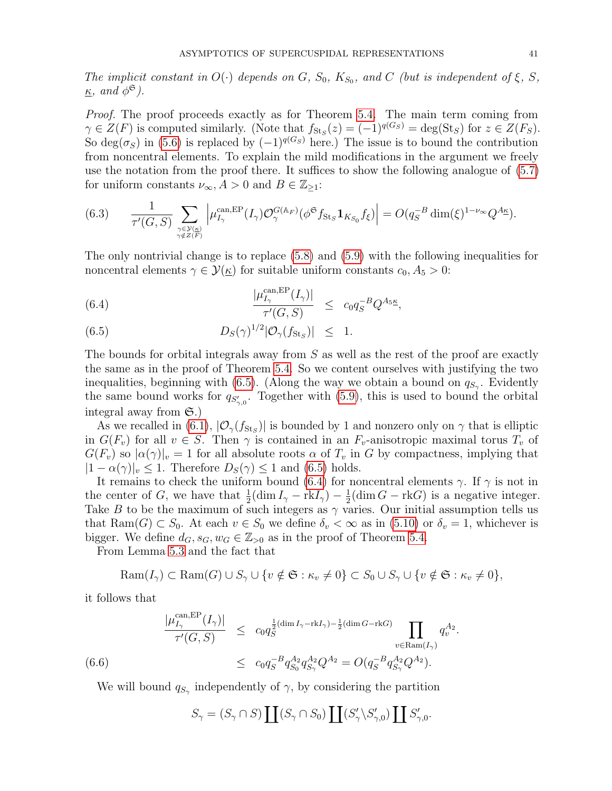The implicit constant in  $O(\cdot)$  depends on G,  $S_0$ ,  $K_{S_0}$ , and C (but is independent of  $\xi$ , S,  $\underline{\kappa}$ , and  $\phi^{\mathfrak{S}}$ ).

Proof. The proof proceeds exactly as for Theorem [5.4.](#page-32-0) The main term coming from  $\gamma \in Z(F)$  is computed similarly. (Note that  $f_{\text{St}_S}(z) = (-1)^{q(G_S)} = \text{deg}(\text{St}_S)$  for  $z \in Z(F_S)$ . So deg( $\sigma_S$ ) in [\(5.6\)](#page-30-2) is replaced by  $(-1)^{q(G_S)}$  here.) The issue is to bound the contribution from noncentral elements. To explain the mild modifications in the argument we freely use the notation from the proof there. It suffices to show the following analogue of [\(5.7\)](#page-32-1) for uniform constants  $\nu_{\infty}, A > 0$  and  $B \in \mathbb{Z}_{\geq 1}$ :

$$
(6.3) \qquad \frac{1}{\tau'(G,S)} \sum_{\substack{\gamma \in \mathcal{Y}(\underline{\kappa}) \\ \gamma \notin Z(F)}} \left| \mu_{I_{\gamma}}^{\mathrm{can}, \mathrm{EP}}(I_{\gamma}) \mathcal{O}_{\gamma}^{G(\mathbb{A}_F)}(\phi^{\mathfrak{S}} f_{\mathrm{St}_S} \mathbf{1}_{K_{S_0}} f_{\xi}) \right| = O(q_S^{-B} \dim(\xi)^{1-\nu_{\infty}} Q^{A_{\underline{\kappa}}}).
$$

The only nontrivial change is to replace [\(5.8\)](#page-33-2) and [\(5.9\)](#page-33-2) with the following inequalities for noncentral elements  $\gamma \in \mathcal{Y}(\underline{\kappa})$  for suitable uniform constants  $c_0, A_5 > 0$ :

<span id="page-40-0"></span>(6.4) 
$$
\frac{|\mu_{I_{\gamma}}^{\text{can,EP}}(I_{\gamma})|}{\tau'(G,S)} \leq c_0 q_S^{-B} Q^{A_5}.
$$

(6.5) 
$$
D_S(\gamma)^{1/2} |\mathcal{O}_{\gamma}(f_{\text{St}_S})| \leq 1.
$$

The bounds for orbital integrals away from S as well as the rest of the proof are exactly the same as in the proof of Theorem [5.4.](#page-32-0) So we content ourselves with justifying the two inequalities, beginning with [\(6.5\)](#page-40-0). (Along the way we obtain a bound on  $q_{S_{\gamma}}$ . Evidently the same bound works for  $q_{S'_{7,0}}$ . Together with [\(5.9\)](#page-33-2), this is used to bound the orbital integral away from  $\mathfrak{S}$ .)

As we recalled in [\(6.1\)](#page-38-3),  $|\mathcal{O}_{\gamma}(f_{\text{St}_{S}})|$  is bounded by 1 and nonzero only on  $\gamma$  that is elliptic in  $G(F_v)$  for all  $v \in S$ . Then  $\gamma$  is contained in an  $F_v$ -anisotropic maximal torus  $T_v$  of  $G(F_v)$  so  $|\alpha(\gamma)|_v = 1$  for all absolute roots  $\alpha$  of  $T_v$  in G by compactness, implying that  $|1-\alpha(\gamma)|_v \leq 1$ . Therefore  $D_S(\gamma) \leq 1$  and [\(6.5\)](#page-40-0) holds.

It remains to check the uniform bound [\(6.4\)](#page-40-0) for noncentral elements  $\gamma$ . If  $\gamma$  is not in the center of G, we have that  $\frac{1}{2}(\dim I_{\gamma} - \text{rk}I_{\gamma}) - \frac{1}{2}$  $\frac{1}{2}$ (dim  $G$  – rkG) is a negative integer. Take B to be the maximum of such integers as  $\gamma$  varies. Our initial assumption tells us that Ram(G)  $\subset S_0$ . At each  $v \in S_0$  we define  $\delta_v < \infty$  as in [\(5.10\)](#page-33-1) or  $\delta_v = 1$ , whichever is bigger. We define  $d_G, s_G, w_G \in \mathbb{Z}_{>0}$  as in the proof of Theorem [5.4.](#page-32-0)

From Lemma [5.3](#page-30-3) and the fact that

<span id="page-40-1"></span>
$$
Ram(I_{\gamma}) \subset Ram(G) \cup S_{\gamma} \cup \{v \notin \mathfrak{S} : \kappa_v \neq 0\} \subset S_0 \cup S_{\gamma} \cup \{v \notin \mathfrak{S} : \kappa_v \neq 0\},\
$$

.

it follows that

$$
\frac{|\mu_{I_{\gamma}}^{\text{can,EP}}(I_{\gamma})|}{\tau'(G,S)} \leq c_0 q_S^{\frac{1}{2}(\dim I_{\gamma}-\text{rk}I_{\gamma})-\frac{1}{2}(\dim G-\text{rk}G)} \prod_{v \in \text{Ram}(I_{\gamma})} q_v^{A_2}
$$
  
(6.6) 
$$
\leq c_0 q_S^{-B} q_{S_0}^{A_2} q_{S_{\gamma}}^{A_2} Q^{A_2} = O(q_S^{-B} q_{S_{\gamma}}^{A_2} Q^{A_2}).
$$

We will bound  $q_{S_{\gamma}}$  independently of  $\gamma$ , by considering the partition

$$
S_{\gamma} = (S_{\gamma} \cap S) \coprod (S_{\gamma} \cap S_0) \coprod (S'_{\gamma} \backslash S'_{\gamma,0}) \coprod S'_{\gamma,0}.
$$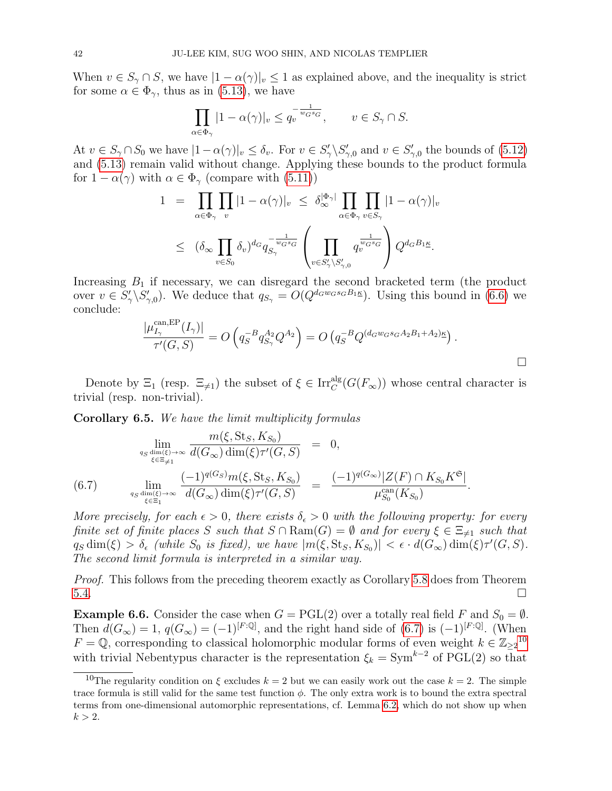When  $v \in S_{\gamma} \cap S$ , we have  $|1 - \alpha(\gamma)|_v \leq 1$  as explained above, and the inequality is strict for some  $\alpha \in \Phi_{\gamma}$ , thus as in [\(5.13\)](#page-34-2), we have

$$
\prod_{\alpha \in \Phi_{\gamma}} |1 - \alpha(\gamma)|_{v} \le q_{v}^{-\frac{1}{w_{G} s_{G}}}, \qquad v \in S_{\gamma} \cap S.
$$

At  $v \in S_\gamma \cap S_0$  we have  $|1-\alpha(\gamma)|_v \leq \delta_v$ . For  $v \in S'_\gamma \backslash S'_{\gamma,0}$  and  $v \in S'_{\gamma,0}$  the bounds of [\(5.12\)](#page-34-1) and [\(5.13\)](#page-34-2) remain valid without change. Applying these bounds to the product formula for  $1 - \alpha(\gamma)$  with  $\alpha \in \Phi_{\gamma}$  (compare with [\(5.11\)](#page-33-0))

$$
1 = \prod_{\alpha \in \Phi_{\gamma}} \prod_v |1 - \alpha(\gamma)|_v \leq \delta_{\infty}^{|\Phi_{\gamma}|} \prod_{\alpha \in \Phi_{\gamma}} \prod_{v \in S_{\gamma}} |1 - \alpha(\gamma)|_v
$$
  

$$
\leq (\delta_{\infty} \prod_{v \in S_0} \delta_v)^{d_G} q_{S_{\gamma}}^{-\frac{1}{w_G s_G}} \left( \prod_{v \in S_{\gamma} \setminus S_{\gamma,0}'} q_v^{\frac{1}{w_G s_G}} \right) Q^{d_G B_1 \underline{\kappa}}.
$$

Increasing  $B_1$  if necessary, we can disregard the second bracketed term (the product over  $v \in S'_\gamma \backslash S'_{\gamma,0}$ . We deduce that  $q_{S_\gamma} = O(Q^{d_G w_G s_G B_1 \underline{\kappa}})$ . Using this bound in [\(6.6\)](#page-40-1) we conclude:

$$
\frac{|\mu_{I_{\gamma}}^{\text{can,EP}}(I_{\gamma})|}{\tau'(G, S)} = O\left(q_S^{-B} q_{S_{\gamma}}^{A_2} Q^{A_2}\right) = O\left(q_S^{-B} Q^{(d_G w_G s_G A_2 B_1 + A_2) \kappa}\right).
$$

Denote by  $\Xi_1$  (resp.  $\Xi_{\neq 1}$ ) the subset of  $\xi \in \text{Irr}_C^{\text{alg}}(G(F_\infty))$  whose central character is trivial (resp. non-trivial).

<span id="page-41-1"></span>Corollary 6.5. We have the limit multiplicity formulas

<span id="page-41-2"></span>
$$
\lim_{q_S \text{ dim}(\xi) \to \infty} \frac{m(\xi, \text{St}_S, K_{S_0})}{d(G_{\infty}) \dim(\xi) \tau'(G, S)} = 0,
$$
\n(6.7) 
$$
\lim_{q_S \text{ dim}(\xi) \to \infty} \frac{(-1)^{q(G_S)} m(\xi, \text{St}_S, K_{S_0})}{d(G_{\infty}) \dim(\xi) \tau'(G, S)} = \frac{(-1)^{q(G_{\infty})} |Z(F) \cap K_{S_0} K^{\mathfrak{S}}|}{\mu_{S_0}^{\text{can}}(K_{S_0})}.
$$

More precisely, for each  $\epsilon > 0$ , there exists  $\delta_{\epsilon} > 0$  with the following property: for every finite set of finite places S such that  $S \cap \text{Ram}(G) = \emptyset$  and for every  $\xi \in \Xi_{\neq 1}$  such that  $q_S \dim(\xi) > \delta_{\epsilon}$  (while  $S_0$  is fixed), we have  $|m(\xi, St_S, K_{S_0})| < \epsilon \cdot d(G_{\infty}) \dim(\xi) \tau'(G, S)$ . The second limit formula is interpreted in a similar way.

Proof. This follows from the preceding theorem exactly as Corollary [5.8](#page-34-0) does from Theorem  $5.4.$ 

<span id="page-41-0"></span>**Example 6.6.** Consider the case when  $G = \text{PGL}(2)$  over a totally real field F and  $S_0 = \emptyset$ . Then  $d(G_{\infty}) = 1$ ,  $q(G_{\infty}) = (-1)^{[F:\mathbb{Q}]}$ , and the right hand side of [\(6.7\)](#page-41-2) is  $(-1)^{[F:\mathbb{Q}]}$ . (When  $F = \mathbb{Q}$ , corresponding to classical holomorphic modular forms of even weight  $k \in \mathbb{Z}_{\geq 2}^{10}$  $k \in \mathbb{Z}_{\geq 2}^{10}$  $k \in \mathbb{Z}_{\geq 2}^{10}$ with trivial Nebentypus character is the representation  $\xi_k = \text{Sym}^{k-2}$  of PGL(2) so that

<span id="page-41-3"></span><sup>&</sup>lt;sup>10</sup>The regularity condition on  $\xi$  excludes  $k = 2$  but we can easily work out the case  $k = 2$ . The simple trace formula is still valid for the same test function  $\phi$ . The only extra work is to bound the extra spectral terms from one-dimensional automorphic representations, cf. Lemma [6.2,](#page-39-1) which do not show up when  $k > 2$ .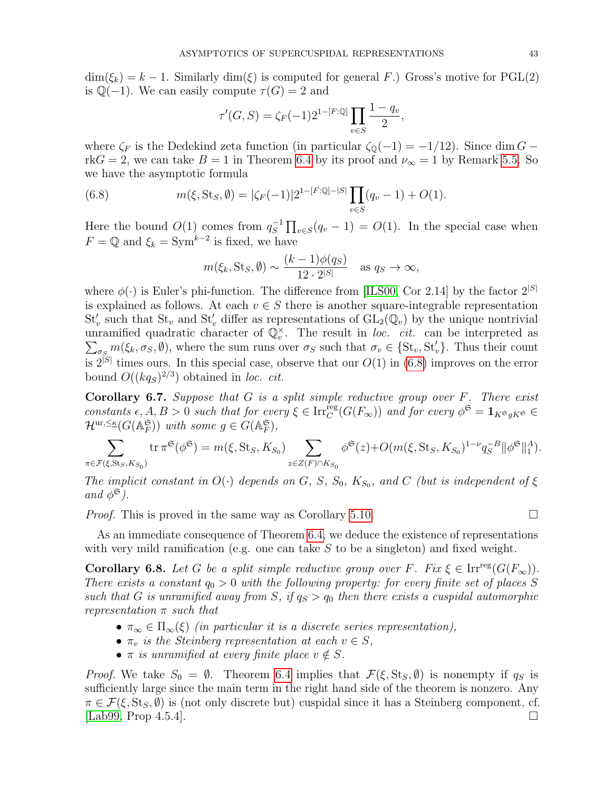$\dim(\xi_k) = k - 1$ . Similarly  $\dim(\xi)$  is computed for general F.) Gross's motive for PGL(2) is  $\mathbb{Q}(-1)$ . We can easily compute  $\tau(G) = 2$  and

$$
\tau'(G, S) = \zeta_F(-1)2^{1-[F:\mathbb{Q}]}\prod_{v\in S}\frac{1-q_v}{2},
$$

where  $\zeta_F$  is the Dedekind zeta function (in particular  $\zeta_{\mathbb{Q}}(-1) = -1/12$ ). Since dim G – rk $G = 2$ , we can take  $B = 1$  in Theorem [6.4](#page-39-0) by its proof and  $\nu_{\infty} = 1$  by Remark [5.5.](#page-32-2) So we have the asymptotic formula

(6.8) 
$$
m(\xi, \text{St}_S, \emptyset) = |\zeta_F(-1)|2^{1-[F:\mathbb{Q}]-|S|} \prod_{v \in S} (q_v - 1) + O(1).
$$

Here the bound  $O(1)$  comes from  $q_S^{-1}$  $\overline{S}^{-1} \prod_{v \in S} (q_v - 1) = O(1)$ . In the special case when  $F = \mathbb{Q}$  and  $\xi_k = \text{Sym}^{k-2}$  is fixed, we have

<span id="page-42-0"></span>
$$
m(\xi_k, \text{St}_S, \emptyset) \sim \frac{(k-1)\phi(q_S)}{12 \cdot 2^{|S|}}
$$
 as  $q_S \to \infty$ ,

where  $\phi(\cdot)$  is Euler's phi-function. The difference from [\[ILS00,](#page-44-9) Cor 2.14] by the factor  $2^{|S|}$ is explained as follows. At each  $v \in S$  there is another square-integrable representation  $St_v'$  such that  $St_v$  and  $St_v'$  differ as representations of  $GL_2(\mathbb{Q}_v)$  by the unique nontrivial unramified quadratic character of  $\mathbb{Q}_v^{\times}$ . The result in loc. cit. can be interpreted as unrammed quadratic character of  $\mathcal{Q}_v$ . The result in *toc. cu.* can be interpreted as  $\sum_{\sigma_S} m(\xi_k, \sigma_S, \emptyset)$ , where the sum runs over  $\sigma_S$  such that  $\sigma_v \in \{St_v, St_v'\}$ . Thus their count is  $2^{|S|}$  times ours. In this special case, observe that our  $O(1)$  in [\(6.8\)](#page-42-0) improves on the error bound  $O((kq_s)^{2/3})$  obtained in loc. cit.

**Corollary 6.7.** Suppose that  $G$  is a split simple reductive group over  $F$ . There exist constants  $\epsilon, A, B > 0$  such that for every  $\xi \in \text{Irr}_{C}^{\text{reg}}(G(F_{\infty}))$  and for every  $\phi^{\mathfrak{S}} = \mathbf{1}_{K^{\mathfrak{S}} g K^{\mathfrak{S}}} \in$  $\mathcal{H}^{\text{ur},\leq\kappa}(G(\mathbb{A}_F^{\mathfrak{S}}))$  with some  $g \in G(\mathbb{A}_F^{\mathfrak{S}})$ ,

$$
\sum_{\pi \in \mathcal{F}(\xi, \text{St}_S, K_{S_0})} \text{tr}\,\pi^{\mathfrak{S}}(\phi^{\mathfrak{S}}) = m(\xi, \text{St}_S, K_{S_0}) \sum_{z \in Z(F) \cap K_{S_0}} \phi^{\mathfrak{S}}(z) + O(m(\xi, \text{St}_S, K_{S_0})^{1-\nu} q_S^{-B} \|\phi^{\mathfrak{S}}\|_1^A).
$$

The implicit constant in  $O(\cdot)$  depends on G, S,  $S_0$ ,  $K_{S_0}$ , and C (but is independent of  $\xi$ and  $\phi^{\mathfrak{S}}$ ).

*Proof.* This is proved in the same way as Corollary [5.10.](#page-35-0)

As an immediate consequence of Theorem 6.4, we deduce the existence of representations with very mild ramification (e.g. one can take 
$$
S
$$
 to be a singleton) and fixed weight.

**Corollary 6.8.** Let G be a split simple reductive group over F. Fix  $\xi \in \text{Irr}^{\text{reg}}(G(F_{\infty}))$ . There exists a constant  $q_0 > 0$  with the following property: for every finite set of places S such that G is unramified away from S, if  $q_S > q_0$  then there exists a cuspidal automorphic representation  $\pi$  such that

- $\pi_{\infty} \in \Pi_{\infty}(\xi)$  (in particular it is a discrete series representation),
- $\pi_v$  is the Steinberg representation at each  $v \in S$ ,
- $\pi$  is unramified at every finite place  $v \notin S$ .

*Proof.* We take  $S_0 = \emptyset$ . Theorem [6.4](#page-39-0) implies that  $\mathcal{F}(\xi, \text{St}_S, \emptyset)$  is nonempty if  $q_S$  is sufficiently large since the main term in the right hand side of the theorem is nonzero. Any  $\pi \in \mathcal{F}(\xi, \text{St}_S, \emptyset)$  is (not only discrete but) cuspidal since it has a Steinberg component, cf.  $\Box$ [\[Lab99,](#page-44-25) Prop 4.5.4].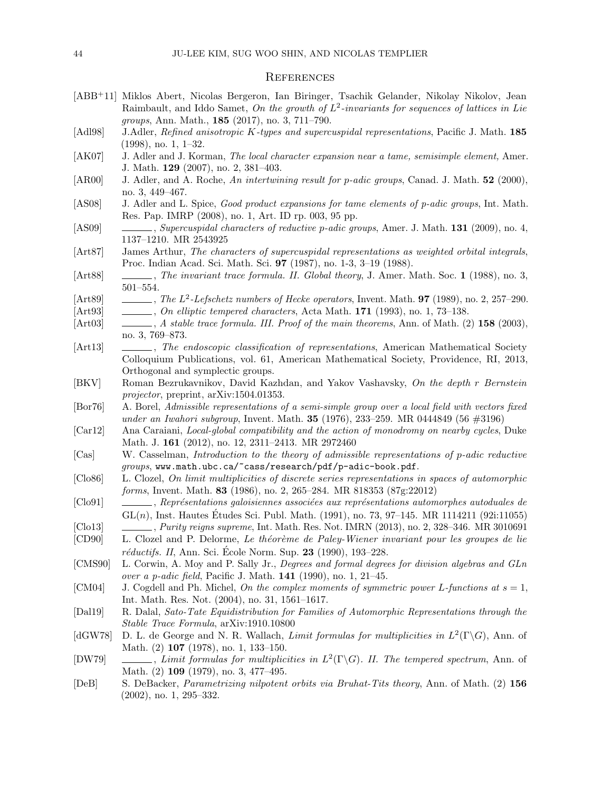### <span id="page-43-0"></span>**REFERENCES**

- <span id="page-43-3"></span>[ABB+11] Miklos Abert, Nicolas Bergeron, Ian Biringer, Tsachik Gelander, Nikolay Nikolov, Jean Raimbault, and Iddo Samet, On the growth of  $L^2$ -invariants for sequences of lattices in Lie groups, Ann. Math., 185 (2017), no. 3, 711–790.
- <span id="page-43-10"></span>[Adl98] J.Adler, Refined anisotropic K-types and supercuspidal representations, Pacific J. Math. 185 (1998), no. 1, 1–32.
- <span id="page-43-20"></span>[AK07] J. Adler and J. Korman, The local character expansion near a tame, semisimple element, Amer. J. Math. 129 (2007), no. 2, 381–403.
- <span id="page-43-16"></span>[AR00] J. Adler, and A. Roche, An intertwining result for p-adic groups, Canad. J. Math. 52 (2000), no. 3, 449–467.
- <span id="page-43-15"></span>[AS08] J. Adler and L. Spice, Good product expansions for tame elements of p-adic groups, Int. Math. Res. Pap. IMRP (2008), no. 1, Art. ID rp. 003, 95 pp.
- <span id="page-43-8"></span>[AS09] , Supercuspidal characters of reductive p-adic groups, Amer. J. Math. 131 (2009), no. 4, 1137–1210. MR 2543925
- <span id="page-43-19"></span>[Art87] James Arthur, The characters of supercuspidal representations as weighted orbital integrals, Proc. Indian Acad. Sci. Math. Sci. 97 (1987), no. 1-3, 3–19 (1988).
- <span id="page-43-22"></span>[Art88] , The invariant trace formula. II. Global theory, J. Amer. Math. Soc. 1 (1988), no. 3, 501–554.
- <span id="page-43-23"></span>[Art89]  $\Box$ , The  $L^2$ -Lefschetz numbers of Hecke operators, Invent. Math. **97** (1989), no. 2, 257–290.
- <span id="page-43-14"></span>[Art93] , On elliptic tempered characters, Acta Math. 171 (1993), no. 1, 73–138.
- <span id="page-43-18"></span>[Art03] , A stable trace formula. III. Proof of the main theorems, Ann. of Math. (2) 158 (2003), no. 3, 769–873.
- <span id="page-43-4"></span>[Art13] , The endoscopic classification of representations, American Mathematical Society Colloquium Publications, vol. 61, American Mathematical Society, Providence, RI, 2013, Orthogonal and symplectic groups.
- <span id="page-43-17"></span>[BKV] Roman Bezrukavnikov, David Kazhdan, and Yakov Vashavsky, On the depth r Bernstein projector, preprint, arXiv:1504.01353.
- <span id="page-43-26"></span>[Bor76] A. Borel, Admissible representations of a semi-simple group over a local field with vectors fixed under an Iwahori subgroup, Invent. Math.  $35$  (1976), 233–259. MR 0444849 (56  $\#3196$ )
- <span id="page-43-7"></span>[Car12] Ana Caraiani, Local-global compatibility and the action of monodromy on nearby cycles, Duke Math. J. 161 (2012), no. 12, 2311-2413. MR 2972460
- <span id="page-43-25"></span>[Cas] W. Casselman, Introduction to the theory of admissible representations of p-adic reductive groups, www.math.ubc.ca/~cass/research/pdf/p-adic-book.pdf.
- <span id="page-43-12"></span>[Clo86] L. Clozel, On limit multiplicities of discrete series representations in spaces of automorphic forms, Invent. Math. 83 (1986), no. 2, 265–284. MR 818353 (87g:22012)
- <span id="page-43-5"></span>[Clo91] , Représentations galoisiennes associées aux représentations automorphes autoduales de  $GL(n)$ , Inst. Hautes Études Sci. Publ. Math. (1991), no. 73, 97–145. MR 1114211 (92i:11055)
- <span id="page-43-6"></span>[Clo13] , Purity reigns supreme, Int. Math. Res. Not. IMRN (2013), no. 2, 328–346. MR 3010691
- <span id="page-43-13"></span>[CD90] L. Clozel and P. Delorme, Le théorème de Paley-Wiener invariant pour les groupes de lie  $r\acute{e}ductifs.$  II, Ann. Sci. Ecole Norm. Sup. **23** (1990), 193–228.
- <span id="page-43-11"></span>[CMS90] L. Corwin, A. Moy and P. Sally Jr., Degrees and formal degrees for division algebras and GLn over a p-adic field, Pacific J. Math. 141 (1990), no. 1, 21–45.
- <span id="page-43-9"></span>[CM04] J. Cogdell and Ph. Michel, On the complex moments of symmetric power L-functions at  $s = 1$ , Int. Math. Res. Not. (2004), no. 31, 1561–1617.
- <span id="page-43-24"></span>[Dal19] R. Dalal, Sato-Tate Equidistribution for Families of Automorphic Representations through the Stable Trace Formula, arXiv:1910.10800
- <span id="page-43-1"></span>[dGW78] D. L. de George and N. R. Wallach, Limit formulas for multiplicities in  $L^2(\Gamma \backslash G)$ , Ann. of Math. (2) **107** (1978), no. 1, 133-150.
- <span id="page-43-2"></span>[DW79]  $\_\_\_\_\_$ , Limit formulas for multiplicities in  $L^2(\Gamma \backslash G)$ . II. The tempered spectrum, Ann. of Math. (2) 109 (1979), no. 3, 477–495.
- <span id="page-43-21"></span>[DeB] S. DeBacker, *Parametrizing nilpotent orbits via Bruhat-Tits theory*, Ann. of Math. (2) 156 (2002), no. 1, 295–332.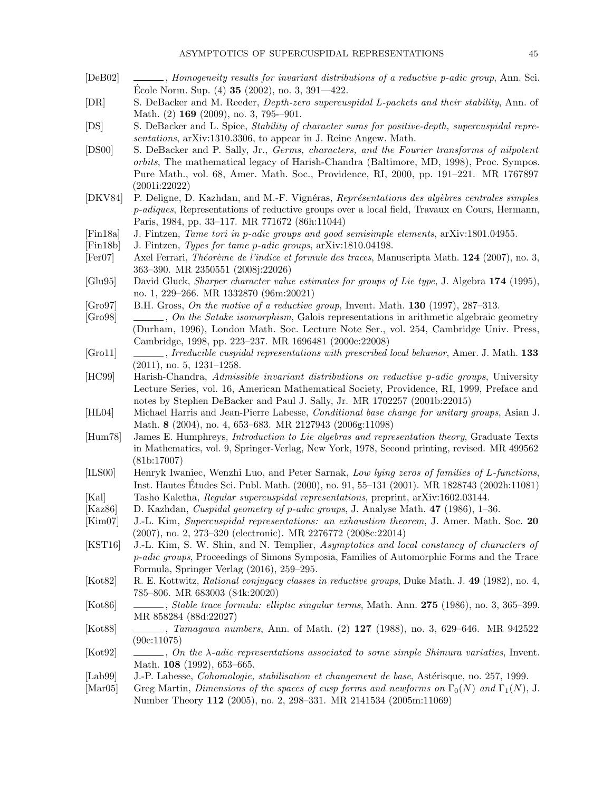- <span id="page-44-15"></span>[DeB02] , Homogeneity results for invariant distributions of a reductive p-adic group, Ann. Sci. Ecole Norm. Sup.  $(4)$  35  $(2002)$ , no. 3, 391—422.
- <span id="page-44-13"></span>[DR] S. DeBacker and M. Reeder, Depth-zero supercuspidal L-packets and their stability, Ann. of Math. (2) **169** (2009), no. 3, 795-–901.
- <span id="page-44-6"></span>[DS] S. DeBacker and L. Spice, Stability of character sums for positive-depth, supercuspidal representations, arXiv:1310.3306, to appear in J. Reine Angew. Math.
- <span id="page-44-5"></span>[DS00] S. DeBacker and P. Sally, Jr., Germs, characters, and the Fourier transforms of nilpotent orbits, The mathematical legacy of Harish-Chandra (Baltimore, MD, 1998), Proc. Sympos. Pure Math., vol. 68, Amer. Math. Soc., Providence, RI, 2000, pp. 191–221. MR 1767897 (2001i:22022)
- <span id="page-44-11"></span>[DKV84] P. Deligne, D. Kazhdan, and M.-F. Vignéras, Représentations des algèbres centrales simples p-adiques, Representations of reductive groups over a local field, Travaux en Cours, Hermann, Paris, 1984, pp. 33–117. MR 771672 (86h:11044)
- <span id="page-44-14"></span>[Fin18a] J. Fintzen, Tame tori in p-adic groups and good semisimple elements, arXiv:1801.04955.
- <span id="page-44-10"></span>[Fin18b] J. Fintzen, Types for tame p-adic groups, arXiv:1810.04198.
- <span id="page-44-20"></span>[Fer07] Axel Ferrari, *Théorème de l'indice et formule des traces*, Manuscripta Math. 124 (2007), no. 3, 363–390. MR 2350551 (2008j:22026)
- <span id="page-44-17"></span>[Glu95] David Gluck, *Sharper character value estimates for groups of Lie type*, J. Algebra 174 (1995), no. 1, 229–266. MR 1332870 (96m:20021)
- <span id="page-44-18"></span> $[Group]$  B.H. Gross, On the motive of a reductive group, Invent. Math. 130 (1997), 287–313.
- <span id="page-44-23"></span> $[Gro98] \quad \_\_\_\_$ , On the Satake isomorphism, Galois representations in arithmetic algebraic geometry (Durham, 1996), London Math. Soc. Lecture Note Ser., vol. 254, Cambridge Univ. Press, Cambridge, 1998, pp. 223–237. MR 1696481 (2000e:22008)
- <span id="page-44-0"></span>[Gro11] , Irreducible cuspidal representations with prescribed local behavior, Amer. J. Math. 133 (2011), no. 5, 1231–1258.
- <span id="page-44-22"></span>[HC99] Harish-Chandra, Admissible invariant distributions on reductive p-adic groups, University Lecture Series, vol. 16, American Mathematical Society, Providence, RI, 1999, Preface and notes by Stephen DeBacker and Paul J. Sally, Jr. MR 1702257 (2001b:22015)
- <span id="page-44-16"></span>[HL04] Michael Harris and Jean-Pierre Labesse, Conditional base change for unitary groups, Asian J. Math. 8 (2004), no. 4, 653–683. MR 2127943 (2006g:11098)
- <span id="page-44-19"></span>[Hum78] James E. Humphreys, Introduction to Lie algebras and representation theory, Graduate Texts in Mathematics, vol. 9, Springer-Verlag, New York, 1978, Second printing, revised. MR 499562 (81b:17007)
- <span id="page-44-9"></span>[ILS00] Henryk Iwaniec, Wenzhi Luo, and Peter Sarnak, Low lying zeros of families of L-functions, Inst. Hautes Etudes Sci. Publ. Math. (2000), no. 91, 55–131 (2001). MR 1828743 (2002h:11081) ´ [Kal] Tasho Kaletha, *Regular supercuspidal representations*, preprint, arXiv:1602.03144.
- <span id="page-44-12"></span><span id="page-44-7"></span>[Kaz86] D. Kazhdan, Cuspidal geometry of p-adic groups, J. Analyse Math. 47 (1986), 1–36.
- <span id="page-44-4"></span>[Kim07] J.-L. Kim, Supercuspidal representations: an exhaustion theorem, J. Amer. Math. Soc. 20 (2007), no. 2, 273–320 (electronic). MR 2276772 (2008c:22014)
- <span id="page-44-2"></span>[KST16] J.-L. Kim, S. W. Shin, and N. Templier, Asymptotics and local constancy of characters of p-adic groups, Proceedings of Simons Symposia, Families of Automorphic Forms and the Trace Formula, Springer Verlag (2016), 259–295.
- <span id="page-44-24"></span>[Kot82] R. E. Kottwitz, Rational conjugacy classes in reductive groups, Duke Math. J. 49 (1982), no. 4, 785–806. MR 683003 (84k:20020)
- <span id="page-44-21"></span>[Kot86] , Stable trace formula: elliptic singular terms, Math. Ann. 275 (1986), no. 3, 365–399. MR 858284 (88d:22027)
- <span id="page-44-8"></span>[Kot88] , Tamagawa numbers, Ann. of Math. (2) 127 (1988), no. 3, 629–646. MR 942522 (90e:11075)
- <span id="page-44-3"></span>[Kot92] , On the  $\lambda$ -adic representations associated to some simple Shimura variaties, Invent. Math. 108 (1992), 653-665.
- <span id="page-44-25"></span>[Lab99] J.-P. Labesse, *Cohomologie, stabilisation et changement de base*, Astérisque, no. 257, 1999.
- <span id="page-44-1"></span>[Mar05] Greg Martin, Dimensions of the spaces of cusp forms and newforms on  $\Gamma_0(N)$  and  $\Gamma_1(N)$ , J. Number Theory 112 (2005), no. 2, 298–331. MR 2141534 (2005m:11069)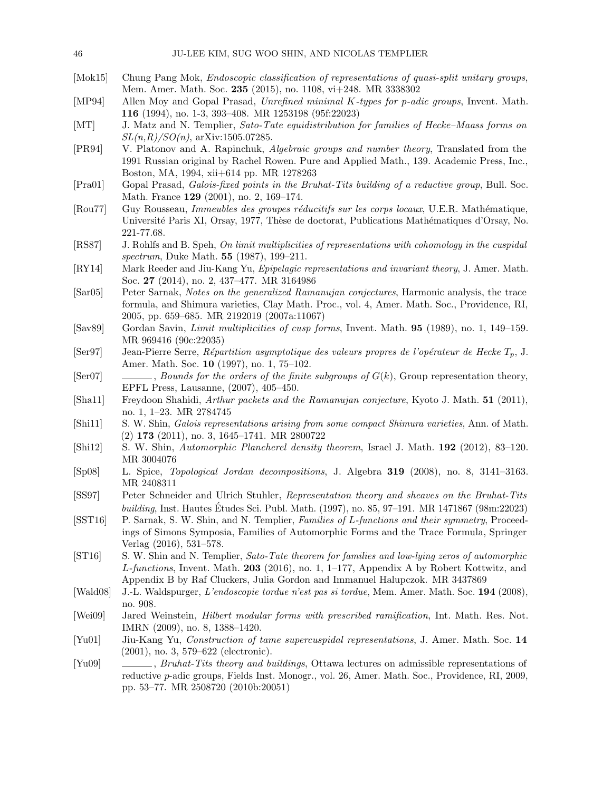- <span id="page-45-10"></span>[Mok15] Chung Pang Mok, Endoscopic classification of representations of quasi-split unitary groups, Mem. Amer. Math. Soc. 235 (2015), no. 1108, vi+248. MR 3338302
- <span id="page-45-3"></span>[MP94] Allen Moy and Gopal Prasad, Unrefined minimal K-types for p-adic groups, Invent. Math. 116 (1994), no. 1-3, 393–408. MR 1253198 (95f:22023)
- <span id="page-45-9"></span>[MT] J. Matz and N. Templier, Sato-Tate equidistribution for families of Hecke–Maass forms on  $SL(n, R)/SO(n)$ , arXiv:1505.07285.
- <span id="page-45-21"></span>[PR94] V. Platonov and A. Rapinchuk, Algebraic groups and number theory, Translated from the 1991 Russian original by Rachel Rowen. Pure and Applied Math., 139. Academic Press, Inc., Boston, MA, 1994, xii+614 pp. MR 1278263
- <span id="page-45-15"></span>[Pra01] Gopal Prasad, Galois-fixed points in the Bruhat-Tits building of a reductive group, Bull. Soc. Math. France 129 (2001), no. 2, 169-174.
- <span id="page-45-14"></span>[Rou77] Guy Rousseau, *Immeubles des groupes réducitifs sur les corps locaux*, U.E.R. Mathématique, Université Paris XI, Orsay, 1977, Thèse de doctorat, Publications Mathématiques d'Orsay, No. 221-77.68.
- <span id="page-45-0"></span>[RS87] J. Rohlfs and B. Speh, On limit multiplicities of representations with cohomology in the cuspidal spectrum, Duke Math. **55** (1987), 199-211.
- <span id="page-45-18"></span>[RY14] Mark Reeder and Jiu-Kang Yu, Epipelagic representations and invariant theory, J. Amer. Math. Soc. 27 (2014), no. 2, 437–477. MR 3164986
- <span id="page-45-12"></span>[Sar05] Peter Sarnak, Notes on the generalized Ramanujan conjectures, Harmonic analysis, the trace formula, and Shimura varieties, Clay Math. Proc., vol. 4, Amer. Math. Soc., Providence, RI, 2005, pp. 659–685. MR 2192019 (2007a:11067)
- <span id="page-45-1"></span>[Sav89] Gordan Savin, Limit multiplicities of cusp forms, Invent. Math. 95 (1989), no. 1, 149–159. MR 969416 (90c:22035)
- <span id="page-45-6"></span>[Ser97] Jean-Pierre Serre, Répartition asymptotique des valeurs propres de l'opérateur de Hecke  $T_p$ , J. Amer. Math. Soc. 10 (1997), no. 1, 75–102.
- <span id="page-45-19"></span> $[Set07] \quad \underline{\hspace{2cm}}$ , Bounds for the orders of the finite subgroups of  $G(k)$ , Group representation theory, EPFL Press, Lausanne, (2007), 405–450.
- <span id="page-45-13"></span>[Sha11] Freydoon Shahidi, Arthur packets and the Ramanujan conjecture, Kyoto J. Math. 51 (2011), no. 1, 1–23. MR 2784745
- <span id="page-45-11"></span>[Shi11] S. W. Shin, Galois representations arising from some compact Shimura varieties, Ann. of Math. (2) 173 (2011), no. 3, 1645–1741. MR 2800722
- <span id="page-45-4"></span>[Shi12] S. W. Shin, Automorphic Plancherel density theorem, Israel J. Math. 192 (2012), 83–120. MR 3004076
- <span id="page-45-22"></span>[Sp08] L. Spice, Topological Jordan decompositions, J. Algebra 319 (2008), no. 8, 3141–3163. MR 2408311
- <span id="page-45-17"></span>[SS97] Peter Schneider and Ulrich Stuhler, Representation theory and sheaves on the Bruhat-Tits building, Inst. Hautes Etudes Sci. Publ. Math. (1997), no. 85, 97–191. MR 1471867 (98m:22023) ´
- <span id="page-45-7"></span>[SST16] P. Sarnak, S. W. Shin, and N. Templier, Families of L-functions and their symmetry, Proceedings of Simons Symposia, Families of Automorphic Forms and the Trace Formula, Springer Verlag (2016), 531–578.
- <span id="page-45-5"></span>[ST16] S. W. Shin and N. Templier, Sato-Tate theorem for families and low-lying zeros of automorphic  $L$ -functions, Invent. Math. 203 (2016), no. 1, 1–177, Appendix A by Robert Kottwitz, and Appendix B by Raf Cluckers, Julia Gordon and Immanuel Halupczok. MR 3437869
- <span id="page-45-20"></span>[Wald08] J.-L. Waldspurger, L'endoscopie tordue n'est pas si tordue, Mem. Amer. Math. Soc. 194 (2008), no. 908.
- <span id="page-45-2"></span>[Wei09] Jared Weinstein, Hilbert modular forms with prescribed ramification, Int. Math. Res. Not. IMRN (2009), no. 8, 1388–1420.
- <span id="page-45-16"></span>[Yu01] Jiu-Kang Yu, Construction of tame supercuspidal representations, J. Amer. Math. Soc. 14 (2001), no. 3, 579–622 (electronic).
- <span id="page-45-8"></span>[Yu09] , Bruhat-Tits theory and buildings, Ottawa lectures on admissible representations of reductive p-adic groups, Fields Inst. Monogr., vol. 26, Amer. Math. Soc., Providence, RI, 2009, pp. 53–77. MR 2508720 (2010b:20051)